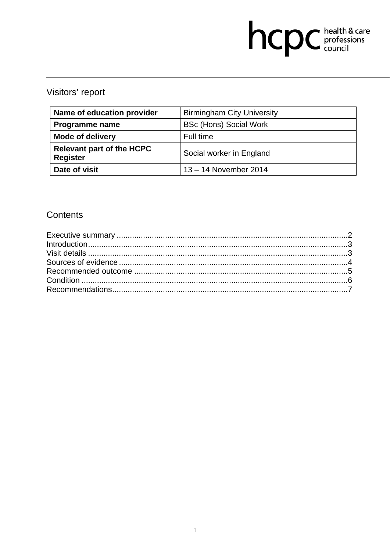# hcpc health & care

## Visitors' report

| Name of education provider                          | <b>Birmingham City University</b> |
|-----------------------------------------------------|-----------------------------------|
| Programme name                                      | <b>BSc (Hons) Social Work</b>     |
| <b>Mode of delivery</b>                             | Full time                         |
| <b>Relevant part of the HCPC</b><br><b>Register</b> | Social worker in England          |
| Date of visit                                       | 13 – 14 November 2014             |

## Contents

| Introduction 3 |  |
|----------------|--|
|                |  |
|                |  |
|                |  |
|                |  |
|                |  |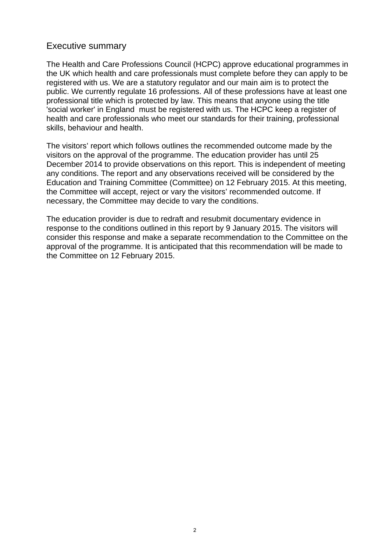## Executive summary

The Health and Care Professions Council (HCPC) approve educational programmes in the UK which health and care professionals must complete before they can apply to be registered with us. We are a statutory regulator and our main aim is to protect the public. We currently regulate 16 professions. All of these professions have at least one professional title which is protected by law. This means that anyone using the title 'social worker' in England must be registered with us. The HCPC keep a register of health and care professionals who meet our standards for their training, professional skills, behaviour and health.

The visitors' report which follows outlines the recommended outcome made by the visitors on the approval of the programme. The education provider has until 25 December 2014 to provide observations on this report. This is independent of meeting any conditions. The report and any observations received will be considered by the Education and Training Committee (Committee) on 12 February 2015. At this meeting, the Committee will accept, reject or vary the visitors' recommended outcome. If necessary, the Committee may decide to vary the conditions.

The education provider is due to redraft and resubmit documentary evidence in response to the conditions outlined in this report by 9 January 2015. The visitors will consider this response and make a separate recommendation to the Committee on the approval of the programme. It is anticipated that this recommendation will be made to the Committee on 12 February 2015.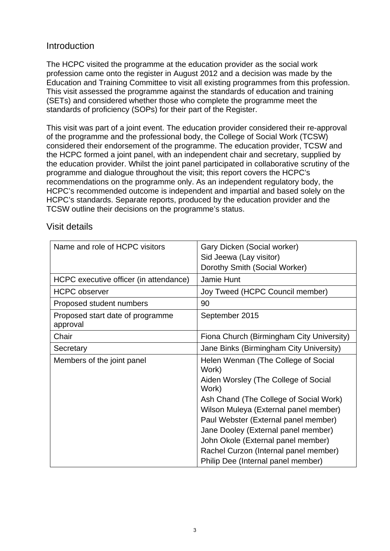## **Introduction**

The HCPC visited the programme at the education provider as the social work profession came onto the register in August 2012 and a decision was made by the Education and Training Committee to visit all existing programmes from this profession. This visit assessed the programme against the standards of education and training (SETs) and considered whether those who complete the programme meet the standards of proficiency (SOPs) for their part of the Register.

This visit was part of a joint event. The education provider considered their re-approval of the programme and the professional body, the College of Social Work (TCSW) considered their endorsement of the programme. The education provider, TCSW and the HCPC formed a joint panel, with an independent chair and secretary, supplied by the education provider. Whilst the joint panel participated in collaborative scrutiny of the programme and dialogue throughout the visit; this report covers the HCPC's recommendations on the programme only. As an independent regulatory body, the HCPC's recommended outcome is independent and impartial and based solely on the HCPC's standards. Separate reports, produced by the education provider and the TCSW outline their decisions on the programme's status.

| Name and role of HCPC visitors               | Gary Dicken (Social worker)                   |
|----------------------------------------------|-----------------------------------------------|
|                                              | Sid Jeewa (Lay visitor)                       |
|                                              | Dorothy Smith (Social Worker)                 |
| HCPC executive officer (in attendance)       | Jamie Hunt                                    |
| <b>HCPC</b> observer                         | Joy Tweed (HCPC Council member)               |
| Proposed student numbers                     | 90                                            |
| Proposed start date of programme<br>approval | September 2015                                |
| Chair                                        | Fiona Church (Birmingham City University)     |
| Secretary                                    | Jane Binks (Birmingham City University)       |
| Members of the joint panel                   | Helen Wenman (The College of Social<br>Work)  |
|                                              | Aiden Worsley (The College of Social<br>Work) |
|                                              | Ash Chand (The College of Social Work)        |
|                                              | Wilson Muleya (External panel member)         |
|                                              | Paul Webster (External panel member)          |
|                                              | Jane Dooley (External panel member)           |
|                                              | John Okole (External panel member)            |
|                                              | Rachel Curzon (Internal panel member)         |
|                                              | Philip Dee (Internal panel member)            |

## Visit details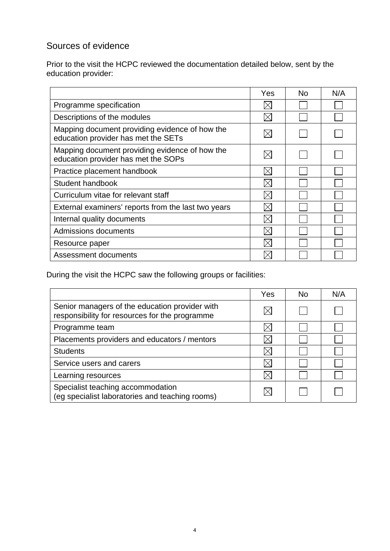## Sources of evidence

Prior to the visit the HCPC reviewed the documentation detailed below, sent by the education provider:

|                                                                                       | Yes | N٥ | N/A |
|---------------------------------------------------------------------------------------|-----|----|-----|
| Programme specification                                                               |     |    |     |
| Descriptions of the modules                                                           |     |    |     |
| Mapping document providing evidence of how the<br>education provider has met the SETs |     |    |     |
| Mapping document providing evidence of how the<br>education provider has met the SOPs |     |    |     |
| Practice placement handbook                                                           |     |    |     |
| Student handbook                                                                      |     |    |     |
| Curriculum vitae for relevant staff                                                   |     |    |     |
| External examiners' reports from the last two years                                   |     |    |     |
| Internal quality documents                                                            |     |    |     |
| Admissions documents                                                                  |     |    |     |
| Resource paper                                                                        |     |    |     |
| Assessment documents                                                                  |     |    |     |

During the visit the HCPC saw the following groups or facilities:

|                                                                                                  | Yes | No. | N/A |
|--------------------------------------------------------------------------------------------------|-----|-----|-----|
| Senior managers of the education provider with<br>responsibility for resources for the programme |     |     |     |
| Programme team                                                                                   |     |     |     |
| Placements providers and educators / mentors                                                     |     |     |     |
| <b>Students</b>                                                                                  |     |     |     |
| Service users and carers                                                                         |     |     |     |
| Learning resources                                                                               |     |     |     |
| Specialist teaching accommodation<br>(eg specialist laboratories and teaching rooms)             |     |     |     |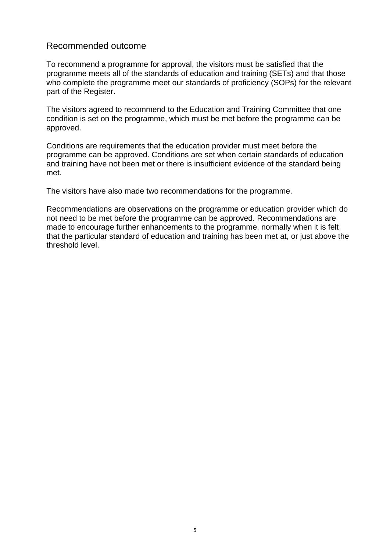## Recommended outcome

To recommend a programme for approval, the visitors must be satisfied that the programme meets all of the standards of education and training (SETs) and that those who complete the programme meet our standards of proficiency (SOPs) for the relevant part of the Register.

The visitors agreed to recommend to the Education and Training Committee that one condition is set on the programme, which must be met before the programme can be approved.

Conditions are requirements that the education provider must meet before the programme can be approved. Conditions are set when certain standards of education and training have not been met or there is insufficient evidence of the standard being met.

The visitors have also made two recommendations for the programme.

Recommendations are observations on the programme or education provider which do not need to be met before the programme can be approved. Recommendations are made to encourage further enhancements to the programme, normally when it is felt that the particular standard of education and training has been met at, or just above the threshold level.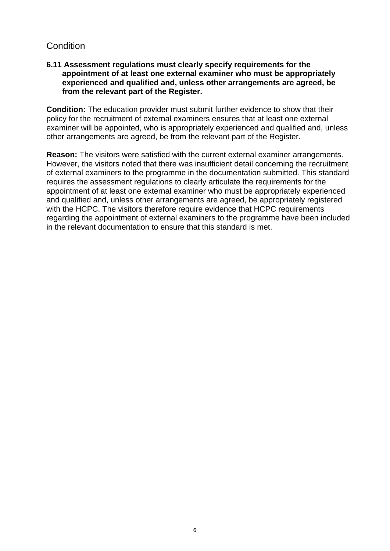## **Condition**

#### **6.11 Assessment regulations must clearly specify requirements for the appointment of at least one external examiner who must be appropriately experienced and qualified and, unless other arrangements are agreed, be from the relevant part of the Register.**

**Condition:** The education provider must submit further evidence to show that their policy for the recruitment of external examiners ensures that at least one external examiner will be appointed, who is appropriately experienced and qualified and, unless other arrangements are agreed, be from the relevant part of the Register.

**Reason:** The visitors were satisfied with the current external examiner arrangements. However, the visitors noted that there was insufficient detail concerning the recruitment of external examiners to the programme in the documentation submitted. This standard requires the assessment regulations to clearly articulate the requirements for the appointment of at least one external examiner who must be appropriately experienced and qualified and, unless other arrangements are agreed, be appropriately registered with the HCPC. The visitors therefore require evidence that HCPC requirements regarding the appointment of external examiners to the programme have been included in the relevant documentation to ensure that this standard is met.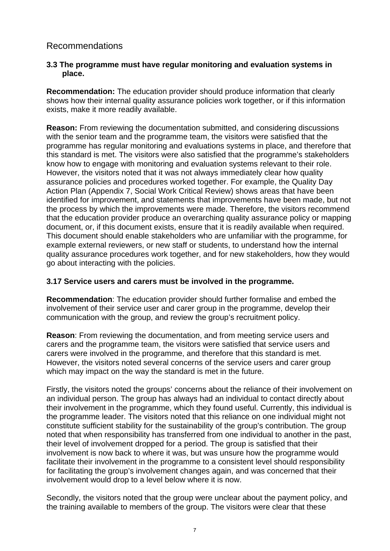## Recommendations

#### **3.3 The programme must have regular monitoring and evaluation systems in place.**

**Recommendation:** The education provider should produce information that clearly shows how their internal quality assurance policies work together, or if this information exists, make it more readily available.

**Reason:** From reviewing the documentation submitted, and considering discussions with the senior team and the programme team, the visitors were satisfied that the programme has regular monitoring and evaluations systems in place, and therefore that this standard is met. The visitors were also satisfied that the programme's stakeholders know how to engage with monitoring and evaluation systems relevant to their role. However, the visitors noted that it was not always immediately clear how quality assurance policies and procedures worked together. For example, the Quality Day Action Plan (Appendix 7, Social Work Critical Review) shows areas that have been identified for improvement, and statements that improvements have been made, but not the process by which the improvements were made. Therefore, the visitors recommend that the education provider produce an overarching quality assurance policy or mapping document, or, if this document exists, ensure that it is readily available when required. This document should enable stakeholders who are unfamiliar with the programme, for example external reviewers, or new staff or students, to understand how the internal quality assurance procedures work together, and for new stakeholders, how they would go about interacting with the policies.

## **3.17 Service users and carers must be involved in the programme.**

**Recommendation**: The education provider should further formalise and embed the involvement of their service user and carer group in the programme, develop their communication with the group, and review the group's recruitment policy.

**Reason**: From reviewing the documentation, and from meeting service users and carers and the programme team, the visitors were satisfied that service users and carers were involved in the programme, and therefore that this standard is met. However, the visitors noted several concerns of the service users and carer group which may impact on the way the standard is met in the future.

Firstly, the visitors noted the groups' concerns about the reliance of their involvement on an individual person. The group has always had an individual to contact directly about their involvement in the programme, which they found useful. Currently, this individual is the programme leader. The visitors noted that this reliance on one individual might not constitute sufficient stability for the sustainability of the group's contribution. The group noted that when responsibility has transferred from one individual to another in the past, their level of involvement dropped for a period. The group is satisfied that their involvement is now back to where it was, but was unsure how the programme would facilitate their involvement in the programme to a consistent level should responsibility for facilitating the group's involvement changes again, and was concerned that their involvement would drop to a level below where it is now.

Secondly, the visitors noted that the group were unclear about the payment policy, and the training available to members of the group. The visitors were clear that these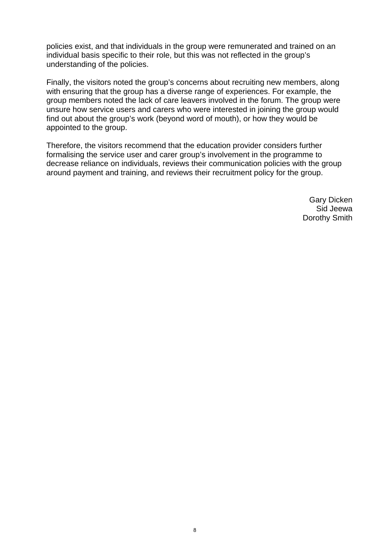policies exist, and that individuals in the group were remunerated and trained on an individual basis specific to their role, but this was not reflected in the group's understanding of the policies.

Finally, the visitors noted the group's concerns about recruiting new members, along with ensuring that the group has a diverse range of experiences. For example, the group members noted the lack of care leavers involved in the forum. The group were unsure how service users and carers who were interested in joining the group would find out about the group's work (beyond word of mouth), or how they would be appointed to the group.

Therefore, the visitors recommend that the education provider considers further formalising the service user and carer group's involvement in the programme to decrease reliance on individuals, reviews their communication policies with the group around payment and training, and reviews their recruitment policy for the group.

> Gary Dicken Sid Jeewa Dorothy Smith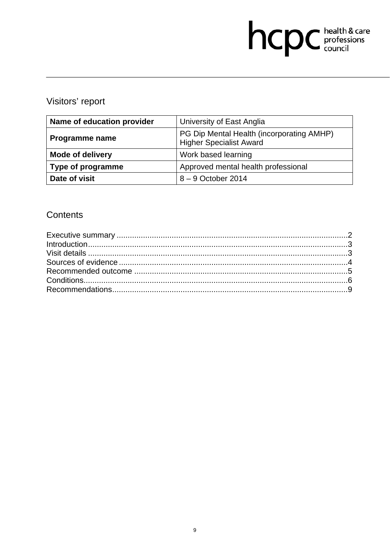# hcpc health & care

## Visitors' report

| Name of education provider | University of East Anglia                                                   |
|----------------------------|-----------------------------------------------------------------------------|
| Programme name             | PG Dip Mental Health (incorporating AMHP)<br><b>Higher Specialist Award</b> |
| <b>Mode of delivery</b>    | Work based learning                                                         |
| <b>Type of programme</b>   | Approved mental health professional                                         |
| Date of visit              | 8-9 October 2014                                                            |

## **Contents**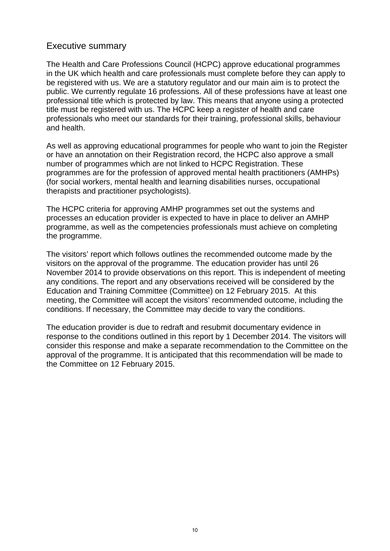## Executive summary

The Health and Care Professions Council (HCPC) approve educational programmes in the UK which health and care professionals must complete before they can apply to be registered with us. We are a statutory regulator and our main aim is to protect the public. We currently regulate 16 professions. All of these professions have at least one professional title which is protected by law. This means that anyone using a protected title must be registered with us. The HCPC keep a register of health and care professionals who meet our standards for their training, professional skills, behaviour and health.

As well as approving educational programmes for people who want to join the Register or have an annotation on their Registration record, the HCPC also approve a small number of programmes which are not linked to HCPC Registration. These programmes are for the profession of approved mental health practitioners (AMHPs) (for social workers, mental health and learning disabilities nurses, occupational therapists and practitioner psychologists).

The HCPC criteria for approving AMHP programmes set out the systems and processes an education provider is expected to have in place to deliver an AMHP programme, as well as the competencies professionals must achieve on completing the programme.

The visitors' report which follows outlines the recommended outcome made by the visitors on the approval of the programme. The education provider has until 26 November 2014 to provide observations on this report. This is independent of meeting any conditions. The report and any observations received will be considered by the Education and Training Committee (Committee) on 12 February 2015. At this meeting, the Committee will accept the visitors' recommended outcome, including the conditions. If necessary, the Committee may decide to vary the conditions.

The education provider is due to redraft and resubmit documentary evidence in response to the conditions outlined in this report by 1 December 2014. The visitors will consider this response and make a separate recommendation to the Committee on the approval of the programme. It is anticipated that this recommendation will be made to the Committee on 12 February 2015.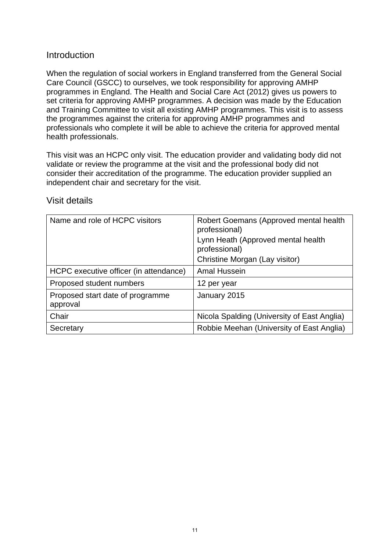## Introduction

When the regulation of social workers in England transferred from the General Social Care Council (GSCC) to ourselves, we took responsibility for approving AMHP programmes in England. The Health and Social Care Act (2012) gives us powers to set criteria for approving AMHP programmes. A decision was made by the Education and Training Committee to visit all existing AMHP programmes. This visit is to assess the programmes against the criteria for approving AMHP programmes and professionals who complete it will be able to achieve the criteria for approved mental health professionals.

This visit was an HCPC only visit. The education provider and validating body did not validate or review the programme at the visit and the professional body did not consider their accreditation of the programme. The education provider supplied an independent chair and secretary for the visit.

| Name and role of HCPC visitors               | Robert Goemans (Approved mental health<br>professional)<br>Lynn Heath (Approved mental health<br>professional)<br>Christine Morgan (Lay visitor) |
|----------------------------------------------|--------------------------------------------------------------------------------------------------------------------------------------------------|
| HCPC executive officer (in attendance)       | Amal Hussein                                                                                                                                     |
| Proposed student numbers                     | 12 per year                                                                                                                                      |
| Proposed start date of programme<br>approval | January 2015                                                                                                                                     |
| Chair                                        | Nicola Spalding (University of East Anglia)                                                                                                      |
| Secretary                                    | Robbie Meehan (University of East Anglia)                                                                                                        |

## Visit details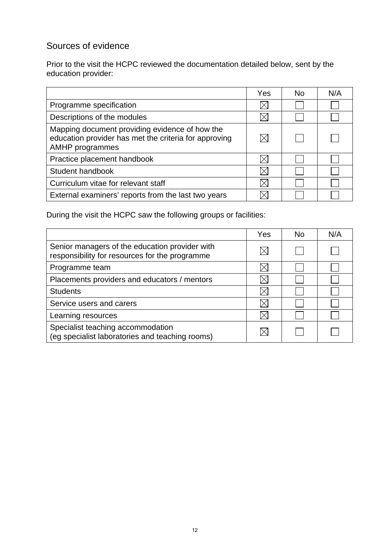## Sources of evidence

Prior to the visit the HCPC reviewed the documentation detailed below, sent by the education provider:

|                                                                                                                                   | Yes | No. | N/A |
|-----------------------------------------------------------------------------------------------------------------------------------|-----|-----|-----|
| Programme specification                                                                                                           |     |     |     |
| Descriptions of the modules                                                                                                       |     |     |     |
| Mapping document providing evidence of how the<br>education provider has met the criteria for approving<br><b>AMHP</b> programmes |     |     |     |
| Practice placement handbook                                                                                                       |     |     |     |
| Student handbook                                                                                                                  |     |     |     |
| Curriculum vitae for relevant staff                                                                                               |     |     |     |
| External examiners' reports from the last two years                                                                               |     |     |     |

During the visit the HCPC saw the following groups or facilities:

|                                                                                                  | Yes | No. | N/A |
|--------------------------------------------------------------------------------------------------|-----|-----|-----|
| Senior managers of the education provider with<br>responsibility for resources for the programme |     |     |     |
| Programme team                                                                                   |     |     |     |
| Placements providers and educators / mentors                                                     |     |     |     |
| <b>Students</b>                                                                                  |     |     |     |
| Service users and carers                                                                         |     |     |     |
| Learning resources                                                                               |     |     |     |
| Specialist teaching accommodation<br>(eg specialist laboratories and teaching rooms)             |     |     |     |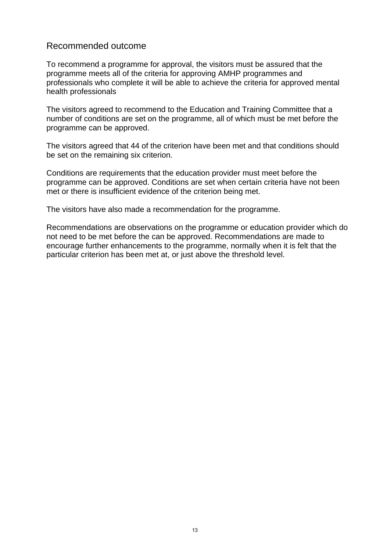## Recommended outcome

To recommend a programme for approval, the visitors must be assured that the programme meets all of the criteria for approving AMHP programmes and professionals who complete it will be able to achieve the criteria for approved mental health professionals

The visitors agreed to recommend to the Education and Training Committee that a number of conditions are set on the programme, all of which must be met before the programme can be approved.

The visitors agreed that 44 of the criterion have been met and that conditions should be set on the remaining six criterion.

Conditions are requirements that the education provider must meet before the programme can be approved. Conditions are set when certain criteria have not been met or there is insufficient evidence of the criterion being met.

The visitors have also made a recommendation for the programme.

Recommendations are observations on the programme or education provider which do not need to be met before the can be approved. Recommendations are made to encourage further enhancements to the programme, normally when it is felt that the particular criterion has been met at, or just above the threshold level.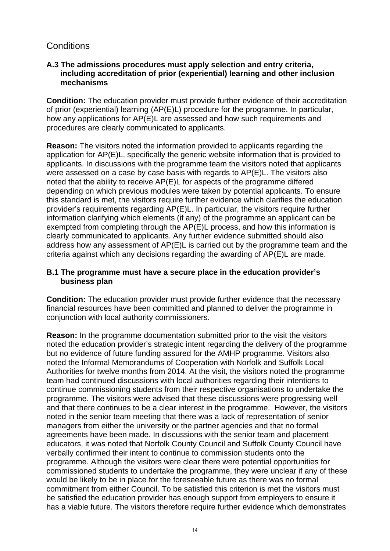## **Conditions**

#### **A.3 The admissions procedures must apply selection and entry criteria, including accreditation of prior (experiential) learning and other inclusion mechanisms**

**Condition:** The education provider must provide further evidence of their accreditation of prior (experiential) learning (AP(E)L) procedure for the programme. In particular, how any applications for AP(E)L are assessed and how such requirements and procedures are clearly communicated to applicants.

**Reason:** The visitors noted the information provided to applicants regarding the application for AP(E)L, specifically the generic website information that is provided to applicants. In discussions with the programme team the visitors noted that applicants were assessed on a case by case basis with regards to AP(E)L. The visitors also noted that the ability to receive AP(E)L for aspects of the programme differed depending on which previous modules were taken by potential applicants. To ensure this standard is met, the visitors require further evidence which clarifies the education provider's requirements regarding AP(E)L. In particular, the visitors require further information clarifying which elements (if any) of the programme an applicant can be exempted from completing through the AP(E)L process, and how this information is clearly communicated to applicants. Any further evidence submitted should also address how any assessment of AP(E)L is carried out by the programme team and the criteria against which any decisions regarding the awarding of AP(E)L are made.

#### **B.1 The programme must have a secure place in the education provider's business plan**

**Condition:** The education provider must provide further evidence that the necessary financial resources have been committed and planned to deliver the programme in conjunction with local authority commissioners.

**Reason:** In the programme documentation submitted prior to the visit the visitors noted the education provider's strategic intent regarding the delivery of the programme but no evidence of future funding assured for the AMHP programme. Visitors also noted the Informal Memorandums of Cooperation with Norfolk and Suffolk Local Authorities for twelve months from 2014. At the visit, the visitors noted the programme team had continued discussions with local authorities regarding their intentions to continue commissioning students from their respective organisations to undertake the programme. The visitors were advised that these discussions were progressing well and that there continues to be a clear interest in the programme. However, the visitors noted in the senior team meeting that there was a lack of representation of senior managers from either the university or the partner agencies and that no formal agreements have been made. In discussions with the senior team and placement educators, it was noted that Norfolk County Council and Suffolk County Council have verbally confirmed their intent to continue to commission students onto the programme. Although the visitors were clear there were potential opportunities for commissioned students to undertake the programme, they were unclear if any of these would be likely to be in place for the foreseeable future as there was no formal commitment from either Council. To be satisfied this criterion is met the visitors must be satisfied the education provider has enough support from employers to ensure it has a viable future. The visitors therefore require further evidence which demonstrates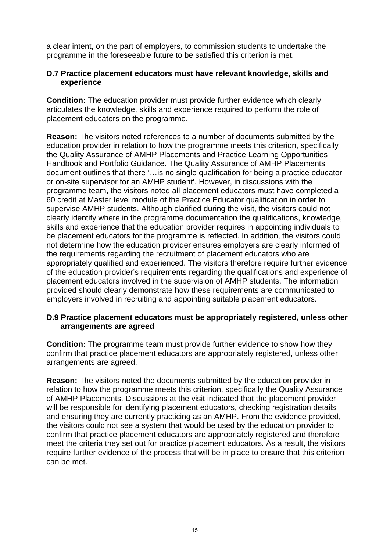a clear intent, on the part of employers, to commission students to undertake the programme in the foreseeable future to be satisfied this criterion is met.

#### **D.7 Practice placement educators must have relevant knowledge, skills and experience**

**Condition:** The education provider must provide further evidence which clearly articulates the knowledge, skills and experience required to perform the role of placement educators on the programme.

**Reason:** The visitors noted references to a number of documents submitted by the education provider in relation to how the programme meets this criterion, specifically the Quality Assurance of AMHP Placements and Practice Learning Opportunities Handbook and Portfolio Guidance. The Quality Assurance of AMHP Placements document outlines that there '…is no single qualification for being a practice educator or on-site supervisor for an AMHP student'. However, in discussions with the programme team, the visitors noted all placement educators must have completed a 60 credit at Master level module of the Practice Educator qualification in order to supervise AMHP students. Although clarified during the visit, the visitors could not clearly identify where in the programme documentation the qualifications, knowledge, skills and experience that the education provider requires in appointing individuals to be placement educators for the programme is reflected. In addition, the visitors could not determine how the education provider ensures employers are clearly informed of the requirements regarding the recruitment of placement educators who are appropriately qualified and experienced. The visitors therefore require further evidence of the education provider's requirements regarding the qualifications and experience of placement educators involved in the supervision of AMHP students. The information provided should clearly demonstrate how these requirements are communicated to employers involved in recruiting and appointing suitable placement educators.

#### **D.9 Practice placement educators must be appropriately registered, unless other arrangements are agreed**

**Condition:** The programme team must provide further evidence to show how they confirm that practice placement educators are appropriately registered, unless other arrangements are agreed.

**Reason:** The visitors noted the documents submitted by the education provider in relation to how the programme meets this criterion, specifically the Quality Assurance of AMHP Placements. Discussions at the visit indicated that the placement provider will be responsible for identifying placement educators, checking registration details and ensuring they are currently practicing as an AMHP. From the evidence provided, the visitors could not see a system that would be used by the education provider to confirm that practice placement educators are appropriately registered and therefore meet the criteria they set out for practice placement educators. As a result, the visitors require further evidence of the process that will be in place to ensure that this criterion can be met.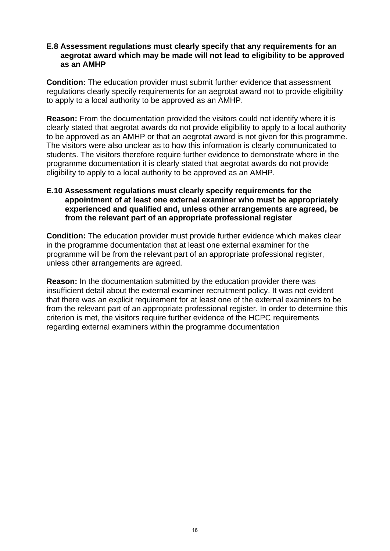#### **E.8 Assessment regulations must clearly specify that any requirements for an aegrotat award which may be made will not lead to eligibility to be approved as an AMHP**

**Condition:** The education provider must submit further evidence that assessment regulations clearly specify requirements for an aegrotat award not to provide eligibility to apply to a local authority to be approved as an AMHP.

**Reason:** From the documentation provided the visitors could not identify where it is clearly stated that aegrotat awards do not provide eligibility to apply to a local authority to be approved as an AMHP or that an aegrotat award is not given for this programme. The visitors were also unclear as to how this information is clearly communicated to students. The visitors therefore require further evidence to demonstrate where in the programme documentation it is clearly stated that aegrotat awards do not provide eligibility to apply to a local authority to be approved as an AMHP.

#### **E.10 Assessment regulations must clearly specify requirements for the appointment of at least one external examiner who must be appropriately experienced and qualified and, unless other arrangements are agreed, be from the relevant part of an appropriate professional register**

**Condition:** The education provider must provide further evidence which makes clear in the programme documentation that at least one external examiner for the programme will be from the relevant part of an appropriate professional register, unless other arrangements are agreed.

**Reason:** In the documentation submitted by the education provider there was insufficient detail about the external examiner recruitment policy. It was not evident that there was an explicit requirement for at least one of the external examiners to be from the relevant part of an appropriate professional register. In order to determine this criterion is met, the visitors require further evidence of the HCPC requirements regarding external examiners within the programme documentation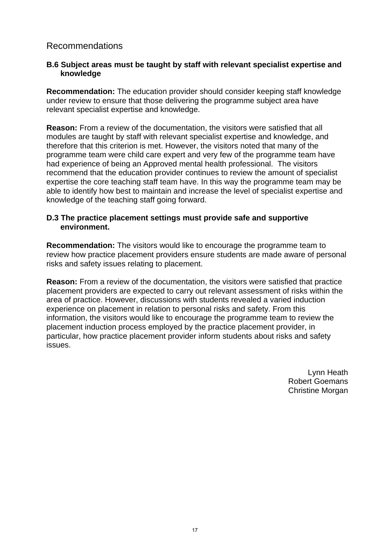## Recommendations

#### **B.6 Subject areas must be taught by staff with relevant specialist expertise and knowledge**

**Recommendation:** The education provider should consider keeping staff knowledge under review to ensure that those delivering the programme subject area have relevant specialist expertise and knowledge.

**Reason:** From a review of the documentation, the visitors were satisfied that all modules are taught by staff with relevant specialist expertise and knowledge, and therefore that this criterion is met. However, the visitors noted that many of the programme team were child care expert and very few of the programme team have had experience of being an Approved mental health professional. The visitors recommend that the education provider continues to review the amount of specialist expertise the core teaching staff team have. In this way the programme team may be able to identify how best to maintain and increase the level of specialist expertise and knowledge of the teaching staff going forward.

#### **D.3 The practice placement settings must provide safe and supportive environment.**

**Recommendation:** The visitors would like to encourage the programme team to review how practice placement providers ensure students are made aware of personal risks and safety issues relating to placement.

**Reason:** From a review of the documentation, the visitors were satisfied that practice placement providers are expected to carry out relevant assessment of risks within the area of practice. However, discussions with students revealed a varied induction experience on placement in relation to personal risks and safety. From this information, the visitors would like to encourage the programme team to review the placement induction process employed by the practice placement provider, in particular, how practice placement provider inform students about risks and safety issues.

> Lynn Heath Robert Goemans Christine Morgan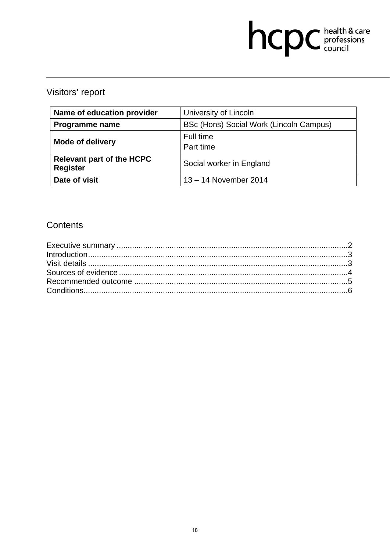# hcpc health & care

## Visitors' report

| Name of education provider                          | University of Lincoln                   |
|-----------------------------------------------------|-----------------------------------------|
| Programme name                                      | BSc (Hons) Social Work (Lincoln Campus) |
| <b>Mode of delivery</b>                             | Full time<br>Part time                  |
| <b>Relevant part of the HCPC</b><br><b>Register</b> | Social worker in England                |
| Date of visit                                       | 13 - 14 November 2014                   |

## **Contents**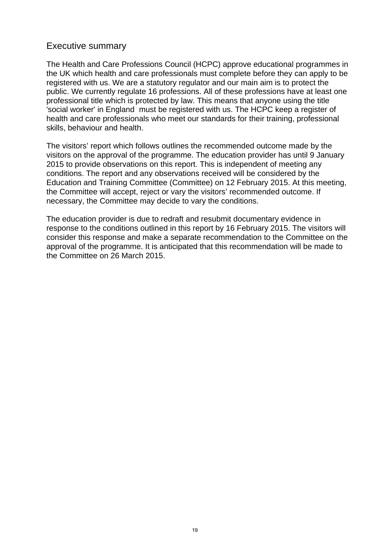## Executive summary

The Health and Care Professions Council (HCPC) approve educational programmes in the UK which health and care professionals must complete before they can apply to be registered with us. We are a statutory regulator and our main aim is to protect the public. We currently regulate 16 professions. All of these professions have at least one professional title which is protected by law. This means that anyone using the title 'social worker' in England must be registered with us. The HCPC keep a register of health and care professionals who meet our standards for their training, professional skills, behaviour and health.

The visitors' report which follows outlines the recommended outcome made by the visitors on the approval of the programme. The education provider has until 9 January 2015 to provide observations on this report. This is independent of meeting any conditions. The report and any observations received will be considered by the Education and Training Committee (Committee) on 12 February 2015. At this meeting, the Committee will accept, reject or vary the visitors' recommended outcome. If necessary, the Committee may decide to vary the conditions.

The education provider is due to redraft and resubmit documentary evidence in response to the conditions outlined in this report by 16 February 2015. The visitors will consider this response and make a separate recommendation to the Committee on the approval of the programme. It is anticipated that this recommendation will be made to the Committee on 26 March 2015.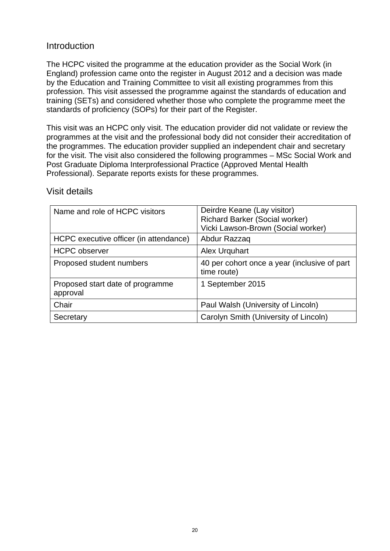## **Introduction**

The HCPC visited the programme at the education provider as the Social Work (in England) profession came onto the register in August 2012 and a decision was made by the Education and Training Committee to visit all existing programmes from this profession. This visit assessed the programme against the standards of education and training (SETs) and considered whether those who complete the programme meet the standards of proficiency (SOPs) for their part of the Register.

This visit was an HCPC only visit. The education provider did not validate or review the programmes at the visit and the professional body did not consider their accreditation of the programmes. The education provider supplied an independent chair and secretary for the visit. The visit also considered the following programmes – MSc Social Work and Post Graduate Diploma Interprofessional Practice (Approved Mental Health Professional). Separate reports exists for these programmes.

| Name and role of HCPC visitors               | Deirdre Keane (Lay visitor)<br><b>Richard Barker (Social worker)</b><br>Vicki Lawson-Brown (Social worker) |
|----------------------------------------------|------------------------------------------------------------------------------------------------------------|
| HCPC executive officer (in attendance)       | Abdur Razzaq                                                                                               |
| <b>HCPC</b> observer                         | Alex Urguhart                                                                                              |
| Proposed student numbers                     | 40 per cohort once a year (inclusive of part<br>time route)                                                |
| Proposed start date of programme<br>approval | 1 September 2015                                                                                           |
| Chair                                        | Paul Walsh (University of Lincoln)                                                                         |
| Secretary                                    | Carolyn Smith (University of Lincoln)                                                                      |

## Visit details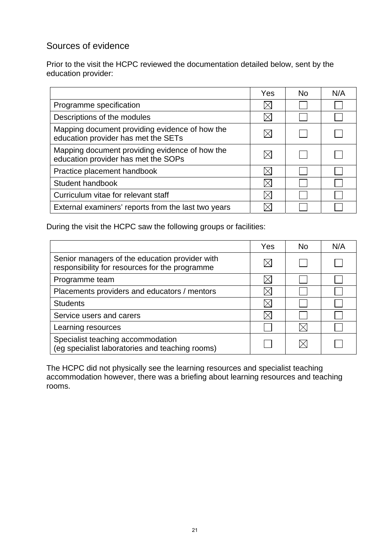## Sources of evidence

Prior to the visit the HCPC reviewed the documentation detailed below, sent by the education provider:

|                                                                                       | Yes | No. | N/A |
|---------------------------------------------------------------------------------------|-----|-----|-----|
| Programme specification                                                               |     |     |     |
| Descriptions of the modules                                                           |     |     |     |
| Mapping document providing evidence of how the<br>education provider has met the SETs |     |     |     |
| Mapping document providing evidence of how the<br>education provider has met the SOPs |     |     |     |
| Practice placement handbook                                                           |     |     |     |
| Student handbook                                                                      |     |     |     |
| Curriculum vitae for relevant staff                                                   |     |     |     |
| External examiners' reports from the last two years                                   |     |     |     |

During the visit the HCPC saw the following groups or facilities:

|                                                                                                  | Yes | No. | N/A |
|--------------------------------------------------------------------------------------------------|-----|-----|-----|
| Senior managers of the education provider with<br>responsibility for resources for the programme |     |     |     |
| Programme team                                                                                   |     |     |     |
| Placements providers and educators / mentors                                                     |     |     |     |
| <b>Students</b>                                                                                  |     |     |     |
| Service users and carers                                                                         |     |     |     |
| Learning resources                                                                               |     |     |     |
| Specialist teaching accommodation<br>(eg specialist laboratories and teaching rooms)             |     |     |     |

The HCPC did not physically see the learning resources and specialist teaching accommodation however, there was a briefing about learning resources and teaching rooms.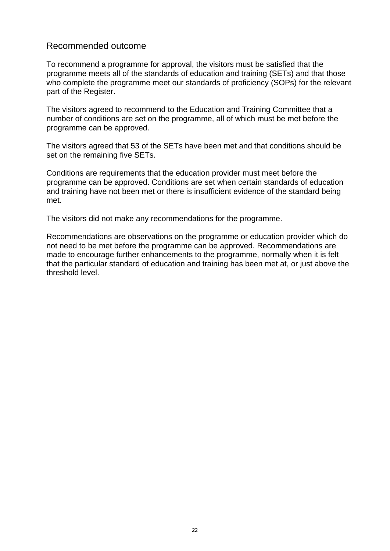## Recommended outcome

To recommend a programme for approval, the visitors must be satisfied that the programme meets all of the standards of education and training (SETs) and that those who complete the programme meet our standards of proficiency (SOPs) for the relevant part of the Register.

The visitors agreed to recommend to the Education and Training Committee that a number of conditions are set on the programme, all of which must be met before the programme can be approved.

The visitors agreed that 53 of the SETs have been met and that conditions should be set on the remaining five SETs.

Conditions are requirements that the education provider must meet before the programme can be approved. Conditions are set when certain standards of education and training have not been met or there is insufficient evidence of the standard being met.

The visitors did not make any recommendations for the programme.

Recommendations are observations on the programme or education provider which do not need to be met before the programme can be approved. Recommendations are made to encourage further enhancements to the programme, normally when it is felt that the particular standard of education and training has been met at, or just above the threshold level.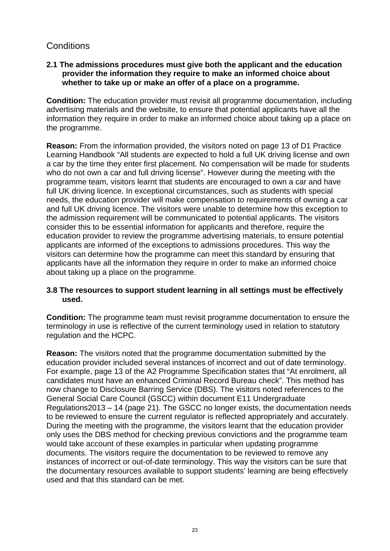## **Conditions**

#### **2.1 The admissions procedures must give both the applicant and the education provider the information they require to make an informed choice about whether to take up or make an offer of a place on a programme.**

**Condition:** The education provider must revisit all programme documentation, including advertising materials and the website, to ensure that potential applicants have all the information they require in order to make an informed choice about taking up a place on the programme.

**Reason:** From the information provided, the visitors noted on page 13 of D1 Practice Learning Handbook "All students are expected to hold a full UK driving license and own a car by the time they enter first placement. No compensation will be made for students who do not own a car and full driving license". However during the meeting with the programme team, visitors learnt that students are encouraged to own a car and have full UK driving licence. In exceptional circumstances, such as students with special needs, the education provider will make compensation to requirements of owning a car and full UK driving licence. The visitors were unable to determine how this exception to the admission requirement will be communicated to potential applicants. The visitors consider this to be essential information for applicants and therefore, require the education provider to review the programme advertising materials, to ensure potential applicants are informed of the exceptions to admissions procedures. This way the visitors can determine how the programme can meet this standard by ensuring that applicants have all the information they require in order to make an informed choice about taking up a place on the programme.

#### **3.8 The resources to support student learning in all settings must be effectively used.**

**Condition:** The programme team must revisit programme documentation to ensure the terminology in use is reflective of the current terminology used in relation to statutory regulation and the HCPC.

**Reason:** The visitors noted that the programme documentation submitted by the education provider included several instances of incorrect and out of date terminology. For example, page 13 of the A2 Programme Specification states that "At enrolment, all candidates must have an enhanced Criminal Record Bureau check". This method has now change to Disclosure Barring Service (DBS). The visitors noted references to the General Social Care Council (GSCC) within document E11 Undergraduate Regulations2013 – 14 (page 21). The GSCC no longer exists, the documentation needs to be reviewed to ensure the current regulator is reflected appropriately and accurately. During the meeting with the programme, the visitors learnt that the education provider only uses the DBS method for checking previous convictions and the programme team would take account of these examples in particular when updating programme documents. The visitors require the documentation to be reviewed to remove any instances of incorrect or out-of-date terminology. This way the visitors can be sure that the documentary resources available to support students' learning are being effectively used and that this standard can be met.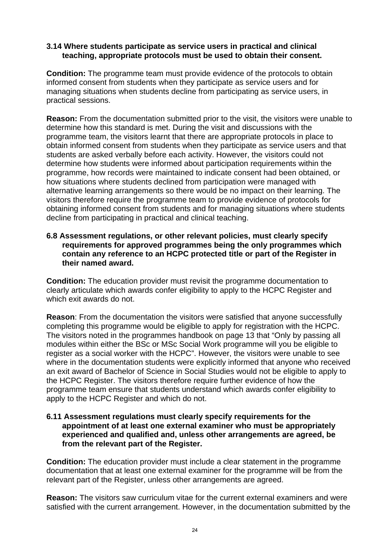#### **3.14 Where students participate as service users in practical and clinical teaching, appropriate protocols must be used to obtain their consent.**

**Condition:** The programme team must provide evidence of the protocols to obtain informed consent from students when they participate as service users and for managing situations when students decline from participating as service users, in practical sessions.

**Reason:** From the documentation submitted prior to the visit, the visitors were unable to determine how this standard is met. During the visit and discussions with the programme team, the visitors learnt that there are appropriate protocols in place to obtain informed consent from students when they participate as service users and that students are asked verbally before each activity. However, the visitors could not determine how students were informed about participation requirements within the programme, how records were maintained to indicate consent had been obtained, or how situations where students declined from participation were managed with alternative learning arrangements so there would be no impact on their learning. The visitors therefore require the programme team to provide evidence of protocols for obtaining informed consent from students and for managing situations where students decline from participating in practical and clinical teaching.

#### **6.8 Assessment regulations, or other relevant policies, must clearly specify requirements for approved programmes being the only programmes which contain any reference to an HCPC protected title or part of the Register in their named award.**

**Condition:** The education provider must revisit the programme documentation to clearly articulate which awards confer eligibility to apply to the HCPC Register and which exit awards do not.

**Reason**: From the documentation the visitors were satisfied that anyone successfully completing this programme would be eligible to apply for registration with the HCPC. The visitors noted in the programmes handbook on page 13 that "Only by passing all modules within either the BSc or MSc Social Work programme will you be eligible to register as a social worker with the HCPC". However, the visitors were unable to see where in the documentation students were explicitly informed that anyone who received an exit award of Bachelor of Science in Social Studies would not be eligible to apply to the HCPC Register. The visitors therefore require further evidence of how the programme team ensure that students understand which awards confer eligibility to apply to the HCPC Register and which do not.

#### **6.11 Assessment regulations must clearly specify requirements for the appointment of at least one external examiner who must be appropriately experienced and qualified and, unless other arrangements are agreed, be from the relevant part of the Register.**

**Condition:** The education provider must include a clear statement in the programme documentation that at least one external examiner for the programme will be from the relevant part of the Register, unless other arrangements are agreed.

**Reason:** The visitors saw curriculum vitae for the current external examiners and were satisfied with the current arrangement. However, in the documentation submitted by the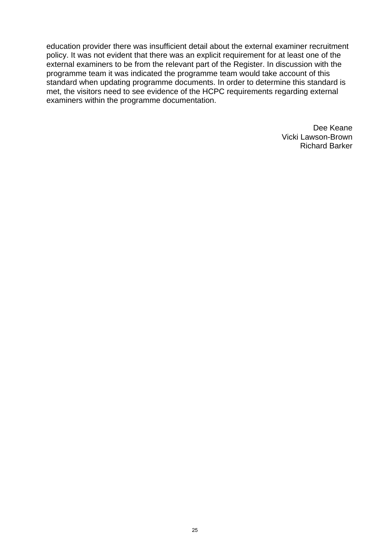education provider there was insufficient detail about the external examiner recruitment policy. It was not evident that there was an explicit requirement for at least one of the external examiners to be from the relevant part of the Register. In discussion with the programme team it was indicated the programme team would take account of this standard when updating programme documents. In order to determine this standard is met, the visitors need to see evidence of the HCPC requirements regarding external examiners within the programme documentation.

> Dee Keane Vicki Lawson-Brown Richard Barker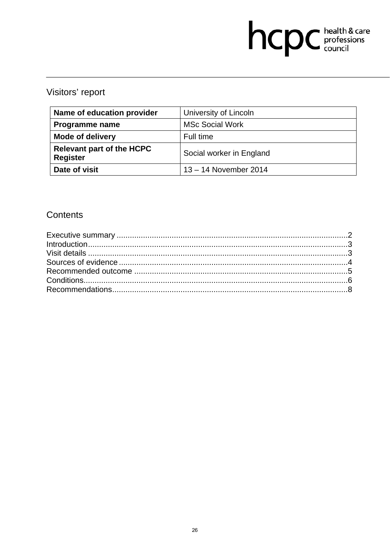# hcpc health & care

## Visitors' report

| Name of education provider                          | University of Lincoln    |
|-----------------------------------------------------|--------------------------|
| Programme name                                      | <b>MSc Social Work</b>   |
| <b>Mode of delivery</b>                             | Full time                |
| <b>Relevant part of the HCPC</b><br><b>Register</b> | Social worker in England |
| Date of visit                                       | 13 - 14 November 2014    |

## Contents

| Introduction 1.13 |
|-------------------|
|                   |
|                   |
|                   |
|                   |
|                   |
|                   |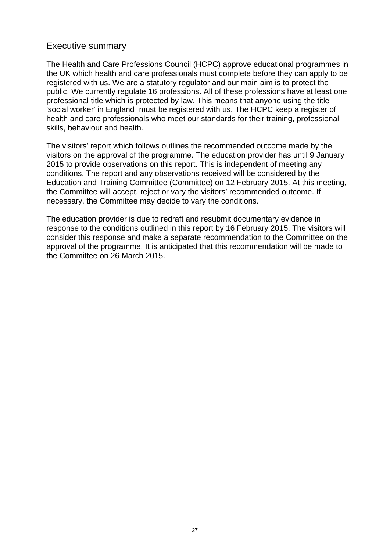## Executive summary

The Health and Care Professions Council (HCPC) approve educational programmes in the UK which health and care professionals must complete before they can apply to be registered with us. We are a statutory regulator and our main aim is to protect the public. We currently regulate 16 professions. All of these professions have at least one professional title which is protected by law. This means that anyone using the title 'social worker' in England must be registered with us. The HCPC keep a register of health and care professionals who meet our standards for their training, professional skills, behaviour and health.

The visitors' report which follows outlines the recommended outcome made by the visitors on the approval of the programme. The education provider has until 9 January 2015 to provide observations on this report. This is independent of meeting any conditions. The report and any observations received will be considered by the Education and Training Committee (Committee) on 12 February 2015. At this meeting, the Committee will accept, reject or vary the visitors' recommended outcome. If necessary, the Committee may decide to vary the conditions.

The education provider is due to redraft and resubmit documentary evidence in response to the conditions outlined in this report by 16 February 2015. The visitors will consider this response and make a separate recommendation to the Committee on the approval of the programme. It is anticipated that this recommendation will be made to the Committee on 26 March 2015.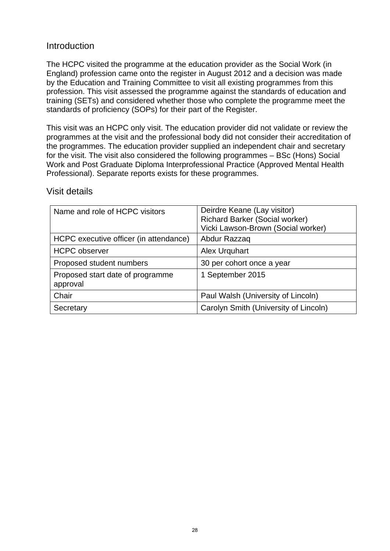## **Introduction**

The HCPC visited the programme at the education provider as the Social Work (in England) profession came onto the register in August 2012 and a decision was made by the Education and Training Committee to visit all existing programmes from this profession. This visit assessed the programme against the standards of education and training (SETs) and considered whether those who complete the programme meet the standards of proficiency (SOPs) for their part of the Register.

This visit was an HCPC only visit. The education provider did not validate or review the programmes at the visit and the professional body did not consider their accreditation of the programmes. The education provider supplied an independent chair and secretary for the visit. The visit also considered the following programmes – BSc (Hons) Social Work and Post Graduate Diploma Interprofessional Practice (Approved Mental Health Professional). Separate reports exists for these programmes.

| Name and role of HCPC visitors               | Deirdre Keane (Lay visitor)<br><b>Richard Barker (Social worker)</b><br>Vicki Lawson-Brown (Social worker) |
|----------------------------------------------|------------------------------------------------------------------------------------------------------------|
| HCPC executive officer (in attendance)       | Abdur Razzaq                                                                                               |
| <b>HCPC</b> observer                         | Alex Urguhart                                                                                              |
| Proposed student numbers                     | 30 per cohort once a year                                                                                  |
| Proposed start date of programme<br>approval | 1 September 2015                                                                                           |
| Chair                                        | Paul Walsh (University of Lincoln)                                                                         |
| Secretary                                    | Carolyn Smith (University of Lincoln)                                                                      |

## Visit details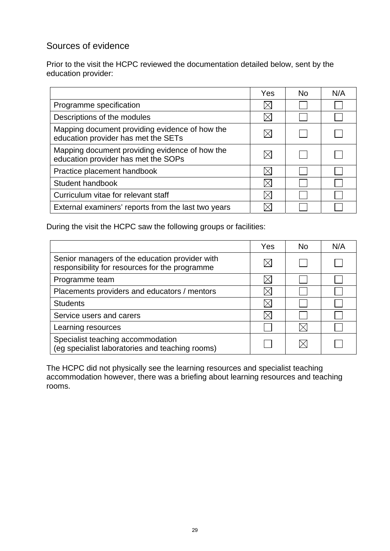## Sources of evidence

Prior to the visit the HCPC reviewed the documentation detailed below, sent by the education provider:

|                                                                                       | Yes | No. | N/A |
|---------------------------------------------------------------------------------------|-----|-----|-----|
| Programme specification                                                               |     |     |     |
| Descriptions of the modules                                                           |     |     |     |
| Mapping document providing evidence of how the<br>education provider has met the SETs |     |     |     |
| Mapping document providing evidence of how the<br>education provider has met the SOPs |     |     |     |
| Practice placement handbook                                                           |     |     |     |
| Student handbook                                                                      |     |     |     |
| Curriculum vitae for relevant staff                                                   |     |     |     |
| External examiners' reports from the last two years                                   |     |     |     |

During the visit the HCPC saw the following groups or facilities:

|                                                                                                  | Yes | No. | N/A |
|--------------------------------------------------------------------------------------------------|-----|-----|-----|
| Senior managers of the education provider with<br>responsibility for resources for the programme |     |     |     |
| Programme team                                                                                   |     |     |     |
| Placements providers and educators / mentors                                                     |     |     |     |
| <b>Students</b>                                                                                  |     |     |     |
| Service users and carers                                                                         |     |     |     |
| Learning resources                                                                               |     |     |     |
| Specialist teaching accommodation<br>(eg specialist laboratories and teaching rooms)             |     |     |     |

The HCPC did not physically see the learning resources and specialist teaching accommodation however, there was a briefing about learning resources and teaching rooms.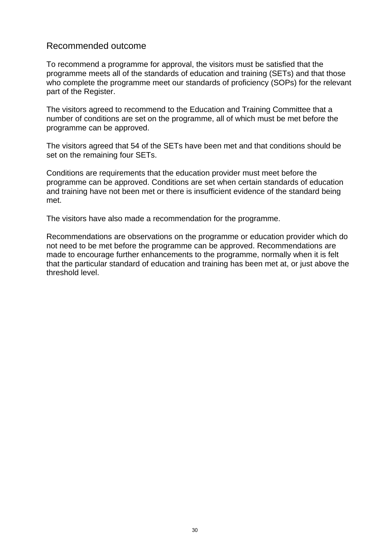## Recommended outcome

To recommend a programme for approval, the visitors must be satisfied that the programme meets all of the standards of education and training (SETs) and that those who complete the programme meet our standards of proficiency (SOPs) for the relevant part of the Register.

The visitors agreed to recommend to the Education and Training Committee that a number of conditions are set on the programme, all of which must be met before the programme can be approved.

The visitors agreed that 54 of the SETs have been met and that conditions should be set on the remaining four SETs.

Conditions are requirements that the education provider must meet before the programme can be approved. Conditions are set when certain standards of education and training have not been met or there is insufficient evidence of the standard being met.

The visitors have also made a recommendation for the programme.

Recommendations are observations on the programme or education provider which do not need to be met before the programme can be approved. Recommendations are made to encourage further enhancements to the programme, normally when it is felt that the particular standard of education and training has been met at, or just above the threshold level.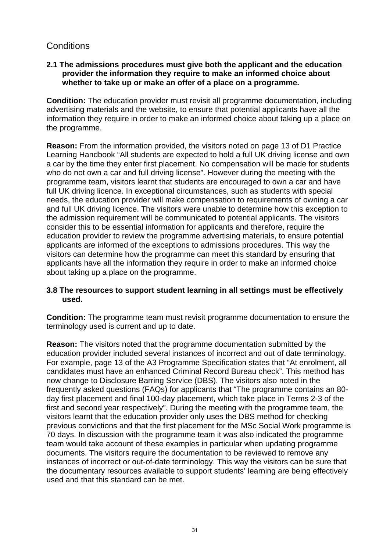## **Conditions**

#### **2.1 The admissions procedures must give both the applicant and the education provider the information they require to make an informed choice about whether to take up or make an offer of a place on a programme.**

**Condition:** The education provider must revisit all programme documentation, including advertising materials and the website, to ensure that potential applicants have all the information they require in order to make an informed choice about taking up a place on the programme.

**Reason:** From the information provided, the visitors noted on page 13 of D1 Practice Learning Handbook "All students are expected to hold a full UK driving license and own a car by the time they enter first placement. No compensation will be made for students who do not own a car and full driving license". However during the meeting with the programme team, visitors learnt that students are encouraged to own a car and have full UK driving licence. In exceptional circumstances, such as students with special needs, the education provider will make compensation to requirements of owning a car and full UK driving licence. The visitors were unable to determine how this exception to the admission requirement will be communicated to potential applicants. The visitors consider this to be essential information for applicants and therefore, require the education provider to review the programme advertising materials, to ensure potential applicants are informed of the exceptions to admissions procedures. This way the visitors can determine how the programme can meet this standard by ensuring that applicants have all the information they require in order to make an informed choice about taking up a place on the programme.

#### **3.8 The resources to support student learning in all settings must be effectively used.**

**Condition:** The programme team must revisit programme documentation to ensure the terminology used is current and up to date.

**Reason:** The visitors noted that the programme documentation submitted by the education provider included several instances of incorrect and out of date terminology. For example, page 13 of the A3 Programme Specification states that "At enrolment, all candidates must have an enhanced Criminal Record Bureau check". This method has now change to Disclosure Barring Service (DBS). The visitors also noted in the frequently asked questions (FAQs) for applicants that "The programme contains an 80 day first placement and final 100-day placement, which take place in Terms 2-3 of the first and second year respectively". During the meeting with the programme team, the visitors learnt that the education provider only uses the DBS method for checking previous convictions and that the first placement for the MSc Social Work programme is 70 days. In discussion with the programme team it was also indicated the programme team would take account of these examples in particular when updating programme documents. The visitors require the documentation to be reviewed to remove any instances of incorrect or out-of-date terminology. This way the visitors can be sure that the documentary resources available to support students' learning are being effectively used and that this standard can be met.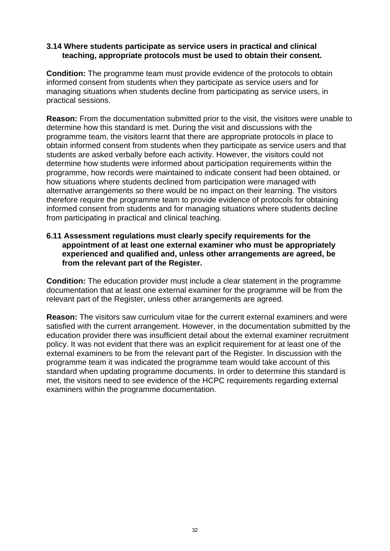#### **3.14 Where students participate as service users in practical and clinical teaching, appropriate protocols must be used to obtain their consent.**

**Condition:** The programme team must provide evidence of the protocols to obtain informed consent from students when they participate as service users and for managing situations when students decline from participating as service users, in practical sessions.

**Reason:** From the documentation submitted prior to the visit, the visitors were unable to determine how this standard is met. During the visit and discussions with the programme team, the visitors learnt that there are appropriate protocols in place to obtain informed consent from students when they participate as service users and that students are asked verbally before each activity. However, the visitors could not determine how students were informed about participation requirements within the programme, how records were maintained to indicate consent had been obtained, or how situations where students declined from participation were managed with alternative arrangements so there would be no impact on their learning. The visitors therefore require the programme team to provide evidence of protocols for obtaining informed consent from students and for managing situations where students decline from participating in practical and clinical teaching.

#### **6.11 Assessment regulations must clearly specify requirements for the appointment of at least one external examiner who must be appropriately experienced and qualified and, unless other arrangements are agreed, be from the relevant part of the Register.**

**Condition:** The education provider must include a clear statement in the programme documentation that at least one external examiner for the programme will be from the relevant part of the Register, unless other arrangements are agreed.

**Reason:** The visitors saw curriculum vitae for the current external examiners and were satisfied with the current arrangement. However, in the documentation submitted by the education provider there was insufficient detail about the external examiner recruitment policy. It was not evident that there was an explicit requirement for at least one of the external examiners to be from the relevant part of the Register. In discussion with the programme team it was indicated the programme team would take account of this standard when updating programme documents. In order to determine this standard is met, the visitors need to see evidence of the HCPC requirements regarding external examiners within the programme documentation.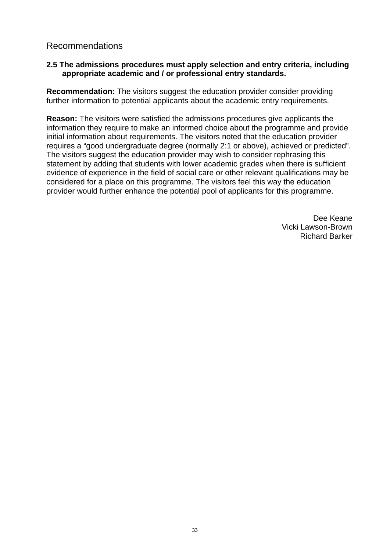## Recommendations

#### **2.5 The admissions procedures must apply selection and entry criteria, including appropriate academic and / or professional entry standards.**

**Recommendation:** The visitors suggest the education provider consider providing further information to potential applicants about the academic entry requirements.

**Reason:** The visitors were satisfied the admissions procedures give applicants the information they require to make an informed choice about the programme and provide initial information about requirements. The visitors noted that the education provider requires a "good undergraduate degree (normally 2:1 or above), achieved or predicted". The visitors suggest the education provider may wish to consider rephrasing this statement by adding that students with lower academic grades when there is sufficient evidence of experience in the field of social care or other relevant qualifications may be considered for a place on this programme. The visitors feel this way the education provider would further enhance the potential pool of applicants for this programme.

> Dee Keane Vicki Lawson-Brown Richard Barker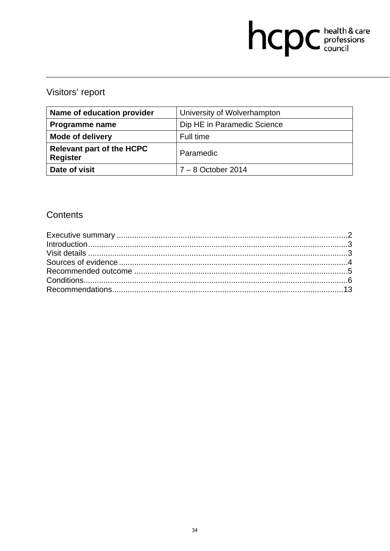# hcpc health & care

## Visitors' report

| Name of education provider                          | University of Wolverhampton |
|-----------------------------------------------------|-----------------------------|
| Programme name                                      | Dip HE in Paramedic Science |
| <b>Mode of delivery</b>                             | Full time                   |
| <b>Relevant part of the HCPC</b><br><b>Register</b> | Paramedic                   |
| Date of visit                                       | $7 - 8$ October 2014        |

## Contents

| Introduction 1.13 |  |
|-------------------|--|
|                   |  |
|                   |  |
|                   |  |
|                   |  |
|                   |  |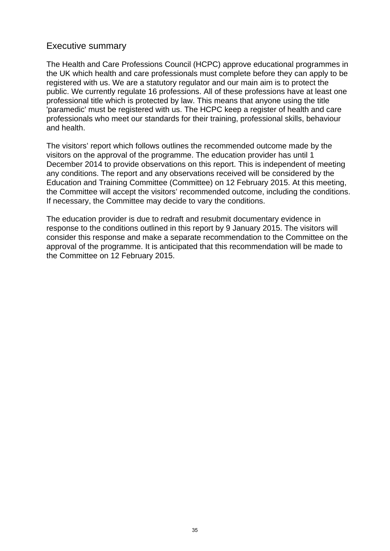## Executive summary

The Health and Care Professions Council (HCPC) approve educational programmes in the UK which health and care professionals must complete before they can apply to be registered with us. We are a statutory regulator and our main aim is to protect the public. We currently regulate 16 professions. All of these professions have at least one professional title which is protected by law. This means that anyone using the title 'paramedic' must be registered with us. The HCPC keep a register of health and care professionals who meet our standards for their training, professional skills, behaviour and health.

The visitors' report which follows outlines the recommended outcome made by the visitors on the approval of the programme. The education provider has until 1 December 2014 to provide observations on this report. This is independent of meeting any conditions. The report and any observations received will be considered by the Education and Training Committee (Committee) on 12 February 2015. At this meeting, the Committee will accept the visitors' recommended outcome, including the conditions. If necessary, the Committee may decide to vary the conditions.

The education provider is due to redraft and resubmit documentary evidence in response to the conditions outlined in this report by 9 January 2015. The visitors will consider this response and make a separate recommendation to the Committee on the approval of the programme. It is anticipated that this recommendation will be made to the Committee on 12 February 2015.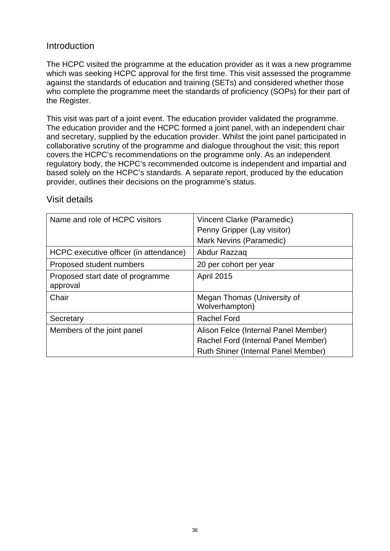## **Introduction**

The HCPC visited the programme at the education provider as it was a new programme which was seeking HCPC approval for the first time. This visit assessed the programme against the standards of education and training (SETs) and considered whether those who complete the programme meet the standards of proficiency (SOPs) for their part of the Register.

This visit was part of a joint event. The education provider validated the programme. The education provider and the HCPC formed a joint panel, with an independent chair and secretary, supplied by the education provider. Whilst the joint panel participated in collaborative scrutiny of the programme and dialogue throughout the visit; this report covers the HCPC's recommendations on the programme only. As an independent regulatory body, the HCPC's recommended outcome is independent and impartial and based solely on the HCPC's standards. A separate report, produced by the education provider, outlines their decisions on the programme's status.

| Name and role of HCPC visitors               | Vincent Clarke (Paramedic)<br>Penny Gripper (Lay visitor)<br>Mark Nevins (Paramedic)                               |
|----------------------------------------------|--------------------------------------------------------------------------------------------------------------------|
| HCPC executive officer (in attendance)       | Abdur Razzaq                                                                                                       |
| Proposed student numbers                     | 20 per cohort per year                                                                                             |
| Proposed start date of programme<br>approval | <b>April 2015</b>                                                                                                  |
| Chair                                        | Megan Thomas (University of<br>Wolverhampton)                                                                      |
| Secretary                                    | <b>Rachel Ford</b>                                                                                                 |
| Members of the joint panel                   | Alison Felce (Internal Panel Member)<br>Rachel Ford (Internal Panel Member)<br>Ruth Shiner (Internal Panel Member) |

## Visit details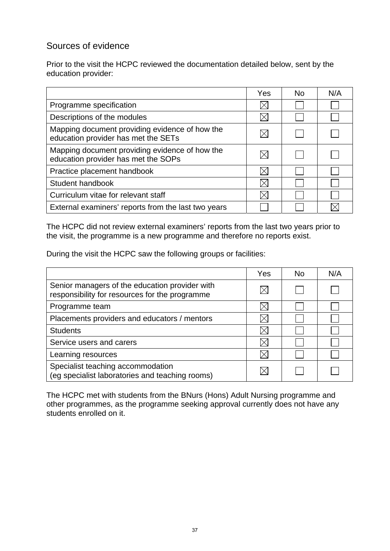# Sources of evidence

Prior to the visit the HCPC reviewed the documentation detailed below, sent by the education provider:

|                                                                                       | Yes | No. | N/A |
|---------------------------------------------------------------------------------------|-----|-----|-----|
| Programme specification                                                               |     |     |     |
| Descriptions of the modules                                                           |     |     |     |
| Mapping document providing evidence of how the<br>education provider has met the SETs |     |     |     |
| Mapping document providing evidence of how the<br>education provider has met the SOPs |     |     |     |
| Practice placement handbook                                                           |     |     |     |
| Student handbook                                                                      |     |     |     |
| Curriculum vitae for relevant staff                                                   |     |     |     |
| External examiners' reports from the last two years                                   |     |     |     |

The HCPC did not review external examiners' reports from the last two years prior to the visit, the programme is a new programme and therefore no reports exist.

During the visit the HCPC saw the following groups or facilities:

|                                                                                                  | Yes | No. | N/A |
|--------------------------------------------------------------------------------------------------|-----|-----|-----|
| Senior managers of the education provider with<br>responsibility for resources for the programme |     |     |     |
| Programme team                                                                                   |     |     |     |
| Placements providers and educators / mentors                                                     |     |     |     |
| <b>Students</b>                                                                                  |     |     |     |
| Service users and carers                                                                         |     |     |     |
| Learning resources                                                                               |     |     |     |
| Specialist teaching accommodation<br>(eg specialist laboratories and teaching rooms)             |     |     |     |

The HCPC met with students from the BNurs (Hons) Adult Nursing programme and other programmes, as the programme seeking approval currently does not have any students enrolled on it.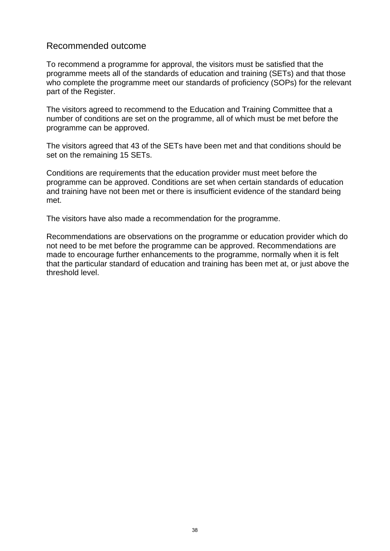#### Recommended outcome

To recommend a programme for approval, the visitors must be satisfied that the programme meets all of the standards of education and training (SETs) and that those who complete the programme meet our standards of proficiency (SOPs) for the relevant part of the Register.

The visitors agreed to recommend to the Education and Training Committee that a number of conditions are set on the programme, all of which must be met before the programme can be approved.

The visitors agreed that 43 of the SETs have been met and that conditions should be set on the remaining 15 SETs.

Conditions are requirements that the education provider must meet before the programme can be approved. Conditions are set when certain standards of education and training have not been met or there is insufficient evidence of the standard being met.

The visitors have also made a recommendation for the programme.

Recommendations are observations on the programme or education provider which do not need to be met before the programme can be approved. Recommendations are made to encourage further enhancements to the programme, normally when it is felt that the particular standard of education and training has been met at, or just above the threshold level.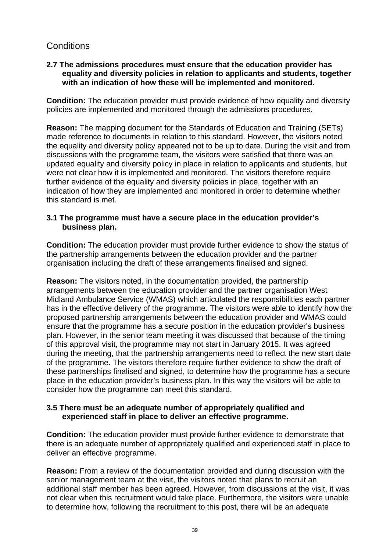# **Conditions**

#### **2.7 The admissions procedures must ensure that the education provider has equality and diversity policies in relation to applicants and students, together with an indication of how these will be implemented and monitored.**

**Condition:** The education provider must provide evidence of how equality and diversity policies are implemented and monitored through the admissions procedures.

**Reason:** The mapping document for the Standards of Education and Training (SETs) made reference to documents in relation to this standard. However, the visitors noted the equality and diversity policy appeared not to be up to date. During the visit and from discussions with the programme team, the visitors were satisfied that there was an updated equality and diversity policy in place in relation to applicants and students, but were not clear how it is implemented and monitored. The visitors therefore require further evidence of the equality and diversity policies in place, together with an indication of how they are implemented and monitored in order to determine whether this standard is met.

#### **3.1 The programme must have a secure place in the education provider's business plan.**

**Condition:** The education provider must provide further evidence to show the status of the partnership arrangements between the education provider and the partner organisation including the draft of these arrangements finalised and signed.

**Reason:** The visitors noted, in the documentation provided, the partnership arrangements between the education provider and the partner organisation West Midland Ambulance Service (WMAS) which articulated the responsibilities each partner has in the effective delivery of the programme. The visitors were able to identify how the proposed partnership arrangements between the education provider and WMAS could ensure that the programme has a secure position in the education provider's business plan. However, in the senior team meeting it was discussed that because of the timing of this approval visit, the programme may not start in January 2015. It was agreed during the meeting, that the partnership arrangements need to reflect the new start date of the programme. The visitors therefore require further evidence to show the draft of these partnerships finalised and signed, to determine how the programme has a secure place in the education provider's business plan. In this way the visitors will be able to consider how the programme can meet this standard.

#### **3.5 There must be an adequate number of appropriately qualified and experienced staff in place to deliver an effective programme.**

**Condition:** The education provider must provide further evidence to demonstrate that there is an adequate number of appropriately qualified and experienced staff in place to deliver an effective programme.

**Reason:** From a review of the documentation provided and during discussion with the senior management team at the visit, the visitors noted that plans to recruit an additional staff member has been agreed. However, from discussions at the visit, it was not clear when this recruitment would take place. Furthermore, the visitors were unable to determine how, following the recruitment to this post, there will be an adequate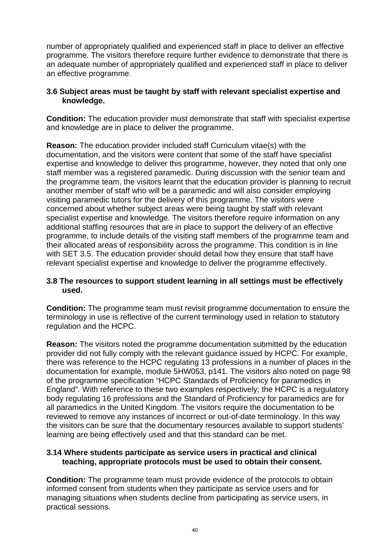number of appropriately qualified and experienced staff in place to deliver an effective programme. The visitors therefore require further evidence to demonstrate that there is an adequate number of appropriately qualified and experienced staff in place to deliver an effective programme.

#### **3.6 Subject areas must be taught by staff with relevant specialist expertise and knowledge.**

**Condition:** The education provider must demonstrate that staff with specialist expertise and knowledge are in place to deliver the programme.

**Reason:** The education provider included staff Curriculum vitae(s) with the documentation, and the visitors were content that some of the staff have specialist expertise and knowledge to deliver this programme, however, they noted that only one staff member was a registered paramedic. During discussion with the senior team and the programme team, the visitors learnt that the education provider is planning to recruit another member of staff who will be a paramedic and will also consider employing visiting paramedic tutors for the delivery of this programme. The visitors were concerned about whether subject areas were being taught by staff with relevant specialist expertise and knowledge. The visitors therefore require information on any additional staffing resources that are in place to support the delivery of an effective programme, to include details of the visiting staff members of the programme team and their allocated areas of responsibility across the programme. This condition is in line with SET 3.5. The education provider should detail how they ensure that staff have relevant specialist expertise and knowledge to deliver the programme effectively.

#### **3.8 The resources to support student learning in all settings must be effectively used.**

**Condition:** The programme team must revisit programme documentation to ensure the terminology in use is reflective of the current terminology used in relation to statutory regulation and the HCPC.

**Reason:** The visitors noted the programme documentation submitted by the education provider did not fully comply with the relevant guidance issued by HCPC. For example, there was reference to the HCPC regulating 13 professions in a number of places in the documentation for example, module 5HW053, p141. The visitors also noted on page 98 of the programme specification "HCPC Standards of Proficiency for paramedics in England". With reference to these two examples respectively; the HCPC is a regulatory body regulating 16 professions and the Standard of Proficiency for paramedics are for all paramedics in the United Kingdom. The visitors require the documentation to be reviewed to remove any instances of incorrect or out-of-date terminology. In this way the visitors can be sure that the documentary resources available to support students' learning are being effectively used and that this standard can be met.

#### **3.14 Where students participate as service users in practical and clinical teaching, appropriate protocols must be used to obtain their consent.**

**Condition:** The programme team must provide evidence of the protocols to obtain informed consent from students when they participate as service users and for managing situations when students decline from participating as service users, in practical sessions.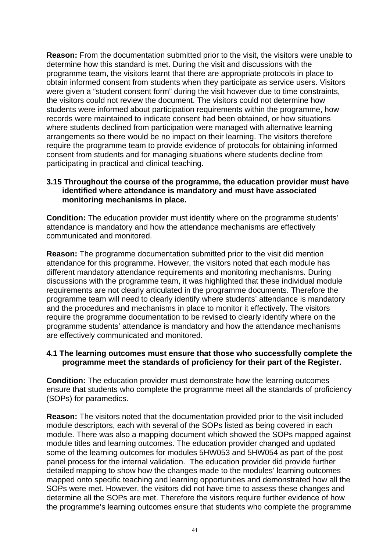**Reason:** From the documentation submitted prior to the visit, the visitors were unable to determine how this standard is met. During the visit and discussions with the programme team, the visitors learnt that there are appropriate protocols in place to obtain informed consent from students when they participate as service users. Visitors were given a "student consent form" during the visit however due to time constraints, the visitors could not review the document. The visitors could not determine how students were informed about participation requirements within the programme, how records were maintained to indicate consent had been obtained, or how situations where students declined from participation were managed with alternative learning arrangements so there would be no impact on their learning. The visitors therefore require the programme team to provide evidence of protocols for obtaining informed consent from students and for managing situations where students decline from participating in practical and clinical teaching.

#### **3.15 Throughout the course of the programme, the education provider must have identified where attendance is mandatory and must have associated monitoring mechanisms in place.**

**Condition:** The education provider must identify where on the programme students' attendance is mandatory and how the attendance mechanisms are effectively communicated and monitored.

**Reason:** The programme documentation submitted prior to the visit did mention attendance for this programme. However, the visitors noted that each module has different mandatory attendance requirements and monitoring mechanisms. During discussions with the programme team, it was highlighted that these individual module requirements are not clearly articulated in the programme documents. Therefore the programme team will need to clearly identify where students' attendance is mandatory and the procedures and mechanisms in place to monitor it effectively. The visitors require the programme documentation to be revised to clearly identify where on the programme students' attendance is mandatory and how the attendance mechanisms are effectively communicated and monitored.

#### **4.1 The learning outcomes must ensure that those who successfully complete the programme meet the standards of proficiency for their part of the Register.**

**Condition:** The education provider must demonstrate how the learning outcomes ensure that students who complete the programme meet all the standards of proficiency (SOPs) for paramedics.

**Reason:** The visitors noted that the documentation provided prior to the visit included module descriptors, each with several of the SOPs listed as being covered in each module. There was also a mapping document which showed the SOPs mapped against module titles and learning outcomes. The education provider changed and updated some of the learning outcomes for modules 5HW053 and 5HW054 as part of the post panel process for the internal validation. The education provider did provide further detailed mapping to show how the changes made to the modules' learning outcomes mapped onto specific teaching and learning opportunities and demonstrated how all the SOPs were met. However, the visitors did not have time to assess these changes and determine all the SOPs are met. Therefore the visitors require further evidence of how the programme's learning outcomes ensure that students who complete the programme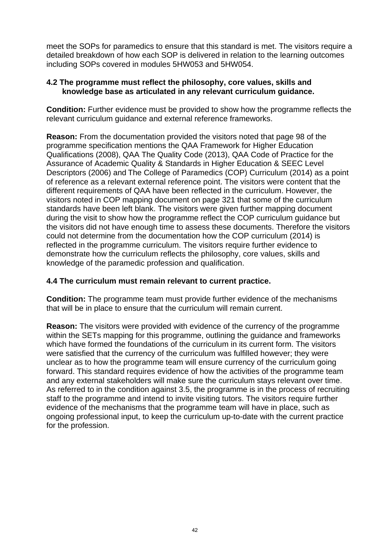meet the SOPs for paramedics to ensure that this standard is met. The visitors require a detailed breakdown of how each SOP is delivered in relation to the learning outcomes including SOPs covered in modules 5HW053 and 5HW054.

#### **4.2 The programme must reflect the philosophy, core values, skills and knowledge base as articulated in any relevant curriculum guidance.**

**Condition:** Further evidence must be provided to show how the programme reflects the relevant curriculum guidance and external reference frameworks.

**Reason:** From the documentation provided the visitors noted that page 98 of the programme specification mentions the QAA Framework for Higher Education Qualifications (2008), QAA The Quality Code (2013), QAA Code of Practice for the Assurance of Academic Quality & Standards in Higher Education & SEEC Level Descriptors (2006) and The College of Paramedics (COP) Curriculum (2014) as a point of reference as a relevant external reference point. The visitors were content that the different requirements of QAA have been reflected in the curriculum. However, the visitors noted in COP mapping document on page 321 that some of the curriculum standards have been left blank. The visitors were given further mapping document during the visit to show how the programme reflect the COP curriculum guidance but the visitors did not have enough time to assess these documents. Therefore the visitors could not determine from the documentation how the COP curriculum (2014) is reflected in the programme curriculum. The visitors require further evidence to demonstrate how the curriculum reflects the philosophy, core values, skills and knowledge of the paramedic profession and qualification.

#### **4.4 The curriculum must remain relevant to current practice.**

**Condition:** The programme team must provide further evidence of the mechanisms that will be in place to ensure that the curriculum will remain current.

**Reason:** The visitors were provided with evidence of the currency of the programme within the SETs mapping for this programme, outlining the guidance and frameworks which have formed the foundations of the curriculum in its current form. The visitors were satisfied that the currency of the curriculum was fulfilled however; they were unclear as to how the programme team will ensure currency of the curriculum going forward. This standard requires evidence of how the activities of the programme team and any external stakeholders will make sure the curriculum stays relevant over time. As referred to in the condition against 3.5, the programme is in the process of recruiting staff to the programme and intend to invite visiting tutors. The visitors require further evidence of the mechanisms that the programme team will have in place, such as ongoing professional input, to keep the curriculum up-to-date with the current practice for the profession.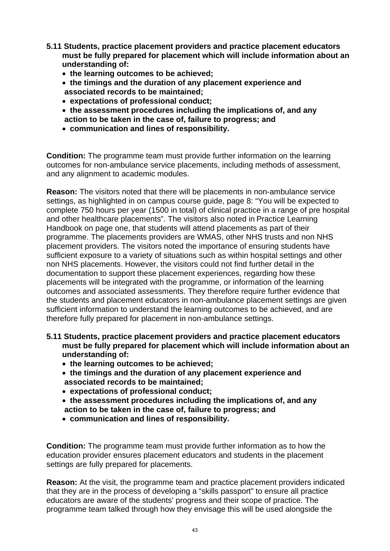- **5.11 Students, practice placement providers and practice placement educators must be fully prepared for placement which will include information about an understanding of:** 
	- **the learning outcomes to be achieved;**
	- **the timings and the duration of any placement experience and associated records to be maintained;**
	- **expectations of professional conduct;**
	- **the assessment procedures including the implications of, and any action to be taken in the case of, failure to progress; and**
	- **communication and lines of responsibility.**

**Condition:** The programme team must provide further information on the learning outcomes for non-ambulance service placements, including methods of assessment, and any alignment to academic modules.

**Reason:** The visitors noted that there will be placements in non-ambulance service settings, as highlighted in on campus course guide, page 8: "You will be expected to complete 750 hours per year (1500 in total) of clinical practice in a range of pre hospital and other healthcare placements". The visitors also noted in Practice Learning Handbook on page one, that students will attend placements as part of their programme. The placements providers are WMAS, other NHS trusts and non NHS placement providers. The visitors noted the importance of ensuring students have sufficient exposure to a variety of situations such as within hospital settings and other non NHS placements. However, the visitors could not find further detail in the documentation to support these placement experiences, regarding how these placements will be integrated with the programme, or information of the learning outcomes and associated assessments. They therefore require further evidence that the students and placement educators in non-ambulance placement settings are given sufficient information to understand the learning outcomes to be achieved, and are therefore fully prepared for placement in non-ambulance settings.

- **5.11 Students, practice placement providers and practice placement educators must be fully prepared for placement which will include information about an understanding of:** 
	- **the learning outcomes to be achieved;**
	- **the timings and the duration of any placement experience and associated records to be maintained;**
	- **expectations of professional conduct;**
	- **the assessment procedures including the implications of, and any action to be taken in the case of, failure to progress; and**
	- **communication and lines of responsibility.**

**Condition:** The programme team must provide further information as to how the education provider ensures placement educators and students in the placement settings are fully prepared for placements.

**Reason:** At the visit, the programme team and practice placement providers indicated that they are in the process of developing a "skills passport" to ensure all practice educators are aware of the students' progress and their scope of practice. The programme team talked through how they envisage this will be used alongside the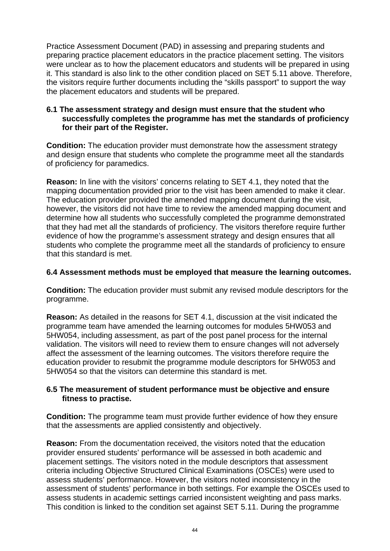Practice Assessment Document (PAD) in assessing and preparing students and preparing practice placement educators in the practice placement setting. The visitors were unclear as to how the placement educators and students will be prepared in using it. This standard is also link to the other condition placed on SET 5.11 above. Therefore, the visitors require further documents including the "skills passport" to support the way the placement educators and students will be prepared.

#### **6.1 The assessment strategy and design must ensure that the student who successfully completes the programme has met the standards of proficiency for their part of the Register.**

**Condition:** The education provider must demonstrate how the assessment strategy and design ensure that students who complete the programme meet all the standards of proficiency for paramedics.

**Reason:** In line with the visitors' concerns relating to SET 4.1, they noted that the mapping documentation provided prior to the visit has been amended to make it clear. The education provider provided the amended mapping document during the visit, however, the visitors did not have time to review the amended mapping document and determine how all students who successfully completed the programme demonstrated that they had met all the standards of proficiency. The visitors therefore require further evidence of how the programme's assessment strategy and design ensures that all students who complete the programme meet all the standards of proficiency to ensure that this standard is met.

#### **6.4 Assessment methods must be employed that measure the learning outcomes.**

**Condition:** The education provider must submit any revised module descriptors for the programme.

**Reason:** As detailed in the reasons for SET 4.1, discussion at the visit indicated the programme team have amended the learning outcomes for modules 5HW053 and 5HW054, including assessment, as part of the post panel process for the internal validation. The visitors will need to review them to ensure changes will not adversely affect the assessment of the learning outcomes. The visitors therefore require the education provider to resubmit the programme module descriptors for 5HW053 and 5HW054 so that the visitors can determine this standard is met.

#### **6.5 The measurement of student performance must be objective and ensure fitness to practise.**

**Condition:** The programme team must provide further evidence of how they ensure that the assessments are applied consistently and objectively.

**Reason:** From the documentation received, the visitors noted that the education provider ensured students' performance will be assessed in both academic and placement settings. The visitors noted in the module descriptors that assessment criteria including Objective Structured Clinical Examinations (OSCEs) were used to assess students' performance. However, the visitors noted inconsistency in the assessment of students' performance in both settings. For example the OSCEs used to assess students in academic settings carried inconsistent weighting and pass marks. This condition is linked to the condition set against SET 5.11. During the programme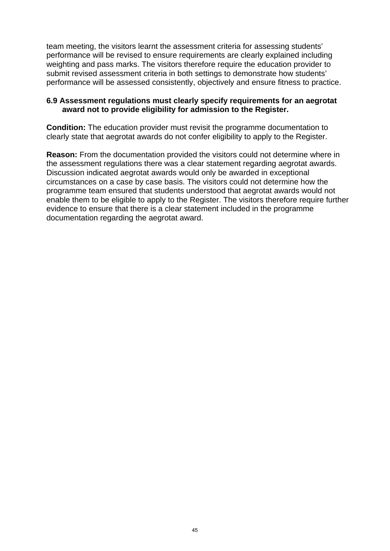team meeting, the visitors learnt the assessment criteria for assessing students' performance will be revised to ensure requirements are clearly explained including weighting and pass marks. The visitors therefore require the education provider to submit revised assessment criteria in both settings to demonstrate how students' performance will be assessed consistently, objectively and ensure fitness to practice.

#### **6.9 Assessment regulations must clearly specify requirements for an aegrotat award not to provide eligibility for admission to the Register.**

**Condition:** The education provider must revisit the programme documentation to clearly state that aegrotat awards do not confer eligibility to apply to the Register.

**Reason:** From the documentation provided the visitors could not determine where in the assessment regulations there was a clear statement regarding aegrotat awards. Discussion indicated aegrotat awards would only be awarded in exceptional circumstances on a case by case basis. The visitors could not determine how the programme team ensured that students understood that aegrotat awards would not enable them to be eligible to apply to the Register. The visitors therefore require further evidence to ensure that there is a clear statement included in the programme documentation regarding the aegrotat award.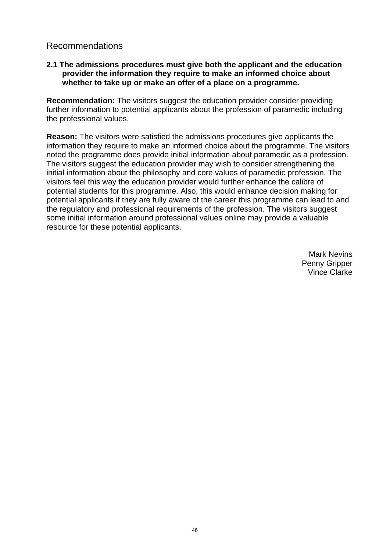# Recommendations

#### **2.1 The admissions procedures must give both the applicant and the education provider the information they require to make an informed choice about whether to take up or make an offer of a place on a programme.**

**Recommendation:** The visitors suggest the education provider consider providing further information to potential applicants about the profession of paramedic including the professional values.

**Reason:** The visitors were satisfied the admissions procedures give applicants the information they require to make an informed choice about the programme. The visitors noted the programme does provide initial information about paramedic as a profession. The visitors suggest the education provider may wish to consider strengthening the initial information about the philosophy and core values of paramedic profession. The visitors feel this way the education provider would further enhance the calibre of potential students for this programme. Also, this would enhance decision making for potential applicants if they are fully aware of the career this programme can lead to and the regulatory and professional requirements of the profession. The visitors suggest some initial information around professional values online may provide a valuable resource for these potential applicants.

> Mark Nevins Penny Gripper Vince Clarke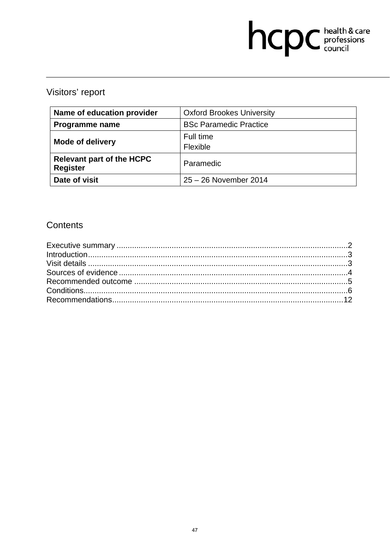# hcpc health & care

# Visitors' report

| Name of education provider                          | <b>Oxford Brookes University</b> |
|-----------------------------------------------------|----------------------------------|
| Programme name                                      | <b>BSc Paramedic Practice</b>    |
| <b>Mode of delivery</b>                             | Full time<br>Flexible            |
| <b>Relevant part of the HCPC</b><br><b>Register</b> | Paramedic                        |
| Date of visit                                       | 25 - 26 November 2014            |

# Contents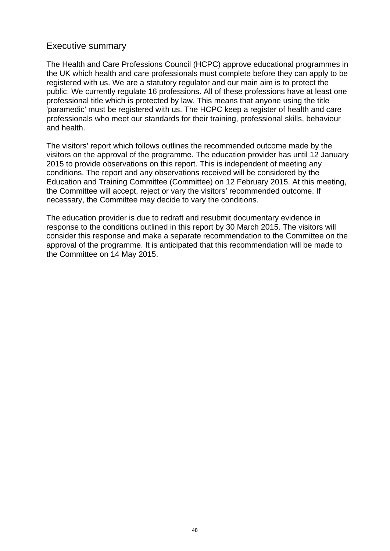### Executive summary

The Health and Care Professions Council (HCPC) approve educational programmes in the UK which health and care professionals must complete before they can apply to be registered with us. We are a statutory regulator and our main aim is to protect the public. We currently regulate 16 professions. All of these professions have at least one professional title which is protected by law. This means that anyone using the title 'paramedic' must be registered with us. The HCPC keep a register of health and care professionals who meet our standards for their training, professional skills, behaviour and health.

The visitors' report which follows outlines the recommended outcome made by the visitors on the approval of the programme. The education provider has until 12 January 2015 to provide observations on this report. This is independent of meeting any conditions. The report and any observations received will be considered by the Education and Training Committee (Committee) on 12 February 2015. At this meeting, the Committee will accept, reject or vary the visitors' recommended outcome. If necessary, the Committee may decide to vary the conditions.

The education provider is due to redraft and resubmit documentary evidence in response to the conditions outlined in this report by 30 March 2015. The visitors will consider this response and make a separate recommendation to the Committee on the approval of the programme. It is anticipated that this recommendation will be made to the Committee on 14 May 2015.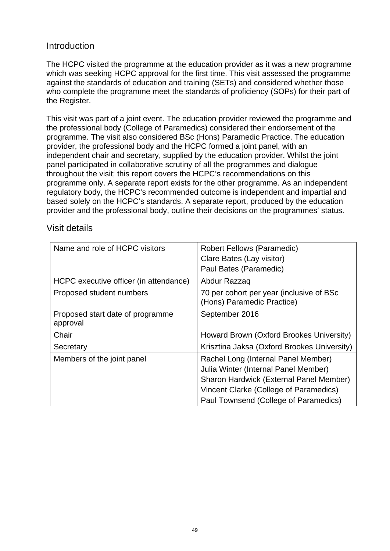# **Introduction**

The HCPC visited the programme at the education provider as it was a new programme which was seeking HCPC approval for the first time. This visit assessed the programme against the standards of education and training (SETs) and considered whether those who complete the programme meet the standards of proficiency (SOPs) for their part of the Register.

This visit was part of a joint event. The education provider reviewed the programme and the professional body (College of Paramedics) considered their endorsement of the programme. The visit also considered BSc (Hons) Paramedic Practice. The education provider, the professional body and the HCPC formed a joint panel, with an independent chair and secretary, supplied by the education provider. Whilst the joint panel participated in collaborative scrutiny of all the programmes and dialogue throughout the visit; this report covers the HCPC's recommendations on this programme only. A separate report exists for the other programme. As an independent regulatory body, the HCPC's recommended outcome is independent and impartial and based solely on the HCPC's standards. A separate report, produced by the education provider and the professional body, outline their decisions on the programmes' status.

| Name and role of HCPC visitors               | <b>Robert Fellows (Paramedic)</b><br>Clare Bates (Lay visitor)                                                                                                                                            |
|----------------------------------------------|-----------------------------------------------------------------------------------------------------------------------------------------------------------------------------------------------------------|
|                                              | Paul Bates (Paramedic)                                                                                                                                                                                    |
| HCPC executive officer (in attendance)       | Abdur Razzaq                                                                                                                                                                                              |
| Proposed student numbers                     | 70 per cohort per year (inclusive of BSc<br>(Hons) Paramedic Practice)                                                                                                                                    |
| Proposed start date of programme<br>approval | September 2016                                                                                                                                                                                            |
| Chair                                        | Howard Brown (Oxford Brookes University)                                                                                                                                                                  |
| Secretary                                    | Krisztina Jaksa (Oxford Brookes University)                                                                                                                                                               |
| Members of the joint panel                   | Rachel Long (Internal Panel Member)<br>Julia Winter (Internal Panel Member)<br>Sharon Hardwick (External Panel Member)<br>Vincent Clarke (College of Paramedics)<br>Paul Townsend (College of Paramedics) |

Visit details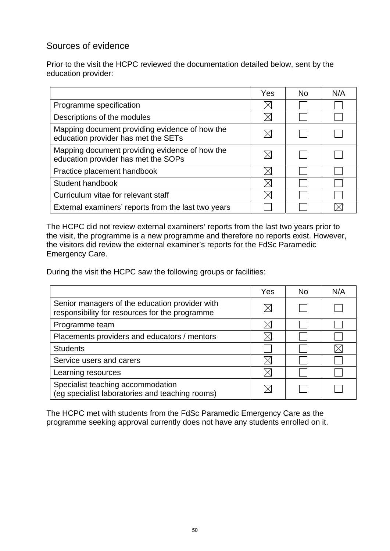# Sources of evidence

Prior to the visit the HCPC reviewed the documentation detailed below, sent by the education provider:

|                                                                                       | Yes | No. | N/A |
|---------------------------------------------------------------------------------------|-----|-----|-----|
| Programme specification                                                               |     |     |     |
| Descriptions of the modules                                                           |     |     |     |
| Mapping document providing evidence of how the<br>education provider has met the SETs |     |     |     |
| Mapping document providing evidence of how the<br>education provider has met the SOPs |     |     |     |
| Practice placement handbook                                                           |     |     |     |
| Student handbook                                                                      |     |     |     |
| Curriculum vitae for relevant staff                                                   |     |     |     |
| External examiners' reports from the last two years                                   |     |     |     |

The HCPC did not review external examiners' reports from the last two years prior to the visit, the programme is a new programme and therefore no reports exist. However, the visitors did review the external examiner's reports for the FdSc Paramedic Emergency Care.

During the visit the HCPC saw the following groups or facilities:

|                                                                                                  | Yes | N٥ | N/A |
|--------------------------------------------------------------------------------------------------|-----|----|-----|
| Senior managers of the education provider with<br>responsibility for resources for the programme |     |    |     |
| Programme team                                                                                   |     |    |     |
| Placements providers and educators / mentors                                                     |     |    |     |
| <b>Students</b>                                                                                  |     |    |     |
| Service users and carers                                                                         |     |    |     |
| Learning resources                                                                               |     |    |     |
| Specialist teaching accommodation<br>(eg specialist laboratories and teaching rooms)             |     |    |     |

The HCPC met with students from the FdSc Paramedic Emergency Care as the programme seeking approval currently does not have any students enrolled on it.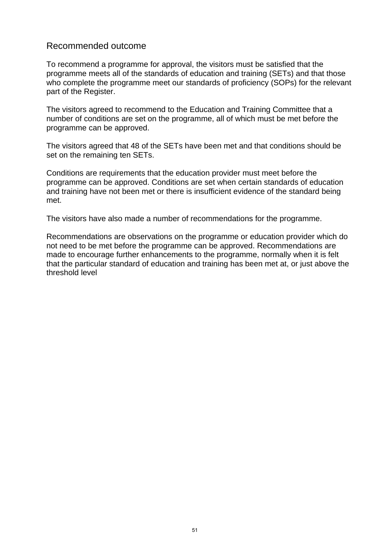### Recommended outcome

To recommend a programme for approval, the visitors must be satisfied that the programme meets all of the standards of education and training (SETs) and that those who complete the programme meet our standards of proficiency (SOPs) for the relevant part of the Register.

The visitors agreed to recommend to the Education and Training Committee that a number of conditions are set on the programme, all of which must be met before the programme can be approved.

The visitors agreed that 48 of the SETs have been met and that conditions should be set on the remaining ten SETs.

Conditions are requirements that the education provider must meet before the programme can be approved. Conditions are set when certain standards of education and training have not been met or there is insufficient evidence of the standard being met.

The visitors have also made a number of recommendations for the programme.

Recommendations are observations on the programme or education provider which do not need to be met before the programme can be approved. Recommendations are made to encourage further enhancements to the programme, normally when it is felt that the particular standard of education and training has been met at, or just above the threshold level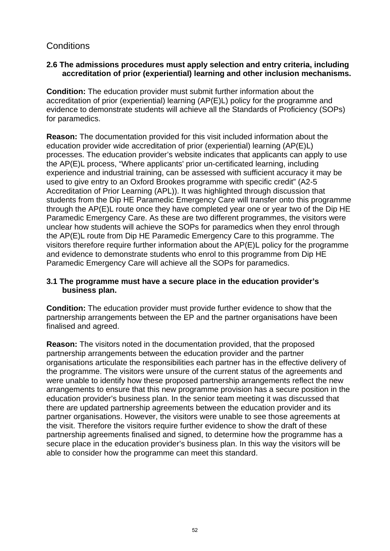# **Conditions**

#### **2.6 The admissions procedures must apply selection and entry criteria, including accreditation of prior (experiential) learning and other inclusion mechanisms.**

**Condition:** The education provider must submit further information about the accreditation of prior (experiential) learning (AP(E)L) policy for the programme and evidence to demonstrate students will achieve all the Standards of Proficiency (SOPs) for paramedics.

**Reason:** The documentation provided for this visit included information about the education provider wide accreditation of prior (experiential) learning (AP(E)L) processes. The education provider's website indicates that applicants can apply to use the AP(E)L process, "Where applicants' prior un-certificated learning, including experience and industrial training, can be assessed with sufficient accuracy it may be used to give entry to an Oxford Brookes programme with specific credit" (A2-5 Accreditation of Prior Learning (APL)). It was highlighted through discussion that students from the Dip HE Paramedic Emergency Care will transfer onto this programme through the AP(E)L route once they have completed year one or year two of the Dip HE Paramedic Emergency Care. As these are two different programmes, the visitors were unclear how students will achieve the SOPs for paramedics when they enrol through the AP(E)L route from Dip HE Paramedic Emergency Care to this programme. The visitors therefore require further information about the AP(E)L policy for the programme and evidence to demonstrate students who enrol to this programme from Dip HE Paramedic Emergency Care will achieve all the SOPs for paramedics.

#### **3.1 The programme must have a secure place in the education provider's business plan.**

**Condition:** The education provider must provide further evidence to show that the partnership arrangements between the EP and the partner organisations have been finalised and agreed.

**Reason:** The visitors noted in the documentation provided, that the proposed partnership arrangements between the education provider and the partner organisations articulate the responsibilities each partner has in the effective delivery of the programme. The visitors were unsure of the current status of the agreements and were unable to identify how these proposed partnership arrangements reflect the new arrangements to ensure that this new programme provision has a secure position in the education provider's business plan. In the senior team meeting it was discussed that there are updated partnership agreements between the education provider and its partner organisations. However, the visitors were unable to see those agreements at the visit. Therefore the visitors require further evidence to show the draft of these partnership agreements finalised and signed, to determine how the programme has a secure place in the education provider's business plan. In this way the visitors will be able to consider how the programme can meet this standard.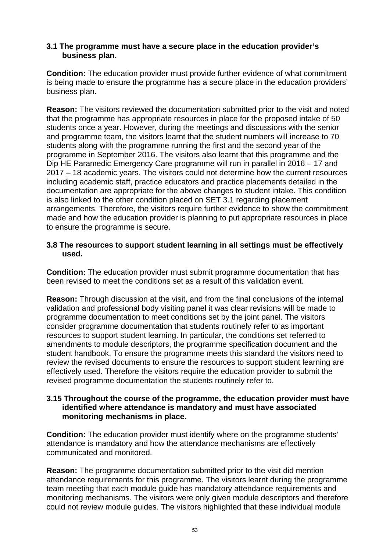#### **3.1 The programme must have a secure place in the education provider's business plan.**

**Condition:** The education provider must provide further evidence of what commitment is being made to ensure the programme has a secure place in the education providers' business plan.

**Reason:** The visitors reviewed the documentation submitted prior to the visit and noted that the programme has appropriate resources in place for the proposed intake of 50 students once a year. However, during the meetings and discussions with the senior and programme team, the visitors learnt that the student numbers will increase to 70 students along with the programme running the first and the second year of the programme in September 2016. The visitors also learnt that this programme and the Dip HE Paramedic Emergency Care programme will run in parallel in 2016 – 17 and 2017 – 18 academic years. The visitors could not determine how the current resources including academic staff, practice educators and practice placements detailed in the documentation are appropriate for the above changes to student intake. This condition is also linked to the other condition placed on SET 3.1 regarding placement arrangements. Therefore, the visitors require further evidence to show the commitment made and how the education provider is planning to put appropriate resources in place to ensure the programme is secure.

#### **3.8 The resources to support student learning in all settings must be effectively used.**

**Condition:** The education provider must submit programme documentation that has been revised to meet the conditions set as a result of this validation event.

**Reason:** Through discussion at the visit, and from the final conclusions of the internal validation and professional body visiting panel it was clear revisions will be made to programme documentation to meet conditions set by the joint panel. The visitors consider programme documentation that students routinely refer to as important resources to support student learning. In particular, the conditions set referred to amendments to module descriptors, the programme specification document and the student handbook. To ensure the programme meets this standard the visitors need to review the revised documents to ensure the resources to support student learning are effectively used. Therefore the visitors require the education provider to submit the revised programme documentation the students routinely refer to.

#### **3.15 Throughout the course of the programme, the education provider must have identified where attendance is mandatory and must have associated monitoring mechanisms in place.**

**Condition:** The education provider must identify where on the programme students' attendance is mandatory and how the attendance mechanisms are effectively communicated and monitored.

**Reason:** The programme documentation submitted prior to the visit did mention attendance requirements for this programme. The visitors learnt during the programme team meeting that each module guide has mandatory attendance requirements and monitoring mechanisms. The visitors were only given module descriptors and therefore could not review module guides. The visitors highlighted that these individual module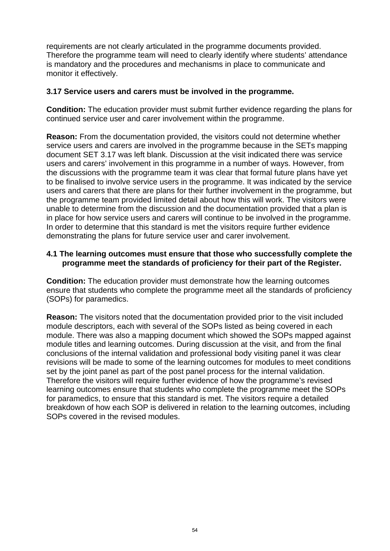requirements are not clearly articulated in the programme documents provided. Therefore the programme team will need to clearly identify where students' attendance is mandatory and the procedures and mechanisms in place to communicate and monitor it effectively.

#### **3.17 Service users and carers must be involved in the programme.**

**Condition:** The education provider must submit further evidence regarding the plans for continued service user and carer involvement within the programme.

**Reason:** From the documentation provided, the visitors could not determine whether service users and carers are involved in the programme because in the SETs mapping document SET 3.17 was left blank. Discussion at the visit indicated there was service users and carers' involvement in this programme in a number of ways. However, from the discussions with the programme team it was clear that formal future plans have yet to be finalised to involve service users in the programme. It was indicated by the service users and carers that there are plans for their further involvement in the programme, but the programme team provided limited detail about how this will work. The visitors were unable to determine from the discussion and the documentation provided that a plan is in place for how service users and carers will continue to be involved in the programme. In order to determine that this standard is met the visitors require further evidence demonstrating the plans for future service user and carer involvement.

#### **4.1 The learning outcomes must ensure that those who successfully complete the programme meet the standards of proficiency for their part of the Register.**

**Condition:** The education provider must demonstrate how the learning outcomes ensure that students who complete the programme meet all the standards of proficiency (SOPs) for paramedics.

**Reason:** The visitors noted that the documentation provided prior to the visit included module descriptors, each with several of the SOPs listed as being covered in each module. There was also a mapping document which showed the SOPs mapped against module titles and learning outcomes. During discussion at the visit, and from the final conclusions of the internal validation and professional body visiting panel it was clear revisions will be made to some of the learning outcomes for modules to meet conditions set by the joint panel as part of the post panel process for the internal validation. Therefore the visitors will require further evidence of how the programme's revised learning outcomes ensure that students who complete the programme meet the SOPs for paramedics, to ensure that this standard is met. The visitors require a detailed breakdown of how each SOP is delivered in relation to the learning outcomes, including SOPs covered in the revised modules.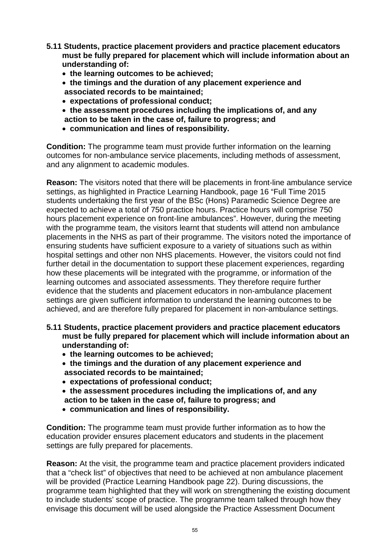- **5.11 Students, practice placement providers and practice placement educators must be fully prepared for placement which will include information about an understanding of:** 
	- **the learning outcomes to be achieved;**
	- **the timings and the duration of any placement experience and associated records to be maintained;**
	- **expectations of professional conduct;**
	- **the assessment procedures including the implications of, and any action to be taken in the case of, failure to progress; and**
	- **communication and lines of responsibility.**

**Condition:** The programme team must provide further information on the learning outcomes for non-ambulance service placements, including methods of assessment, and any alignment to academic modules.

**Reason:** The visitors noted that there will be placements in front-line ambulance service settings, as highlighted in Practice Learning Handbook, page 16 "Full Time 2015 students undertaking the first year of the BSc (Hons) Paramedic Science Degree are expected to achieve a total of 750 practice hours. Practice hours will comprise 750 hours placement experience on front-line ambulances". However, during the meeting with the programme team, the visitors learnt that students will attend non ambulance placements in the NHS as part of their programme. The visitors noted the importance of ensuring students have sufficient exposure to a variety of situations such as within hospital settings and other non NHS placements. However, the visitors could not find further detail in the documentation to support these placement experiences, regarding how these placements will be integrated with the programme, or information of the learning outcomes and associated assessments. They therefore require further evidence that the students and placement educators in non-ambulance placement settings are given sufficient information to understand the learning outcomes to be achieved, and are therefore fully prepared for placement in non-ambulance settings.

- **5.11 Students, practice placement providers and practice placement educators must be fully prepared for placement which will include information about an understanding of:** 
	- **the learning outcomes to be achieved;**
	- **the timings and the duration of any placement experience and associated records to be maintained;**
	- **expectations of professional conduct;**
	- **the assessment procedures including the implications of, and any action to be taken in the case of, failure to progress; and**
	- **communication and lines of responsibility.**

**Condition:** The programme team must provide further information as to how the education provider ensures placement educators and students in the placement settings are fully prepared for placements.

**Reason:** At the visit, the programme team and practice placement providers indicated that a "check list" of objectives that need to be achieved at non ambulance placement will be provided (Practice Learning Handbook page 22). During discussions, the programme team highlighted that they will work on strengthening the existing document to include students' scope of practice. The programme team talked through how they envisage this document will be used alongside the Practice Assessment Document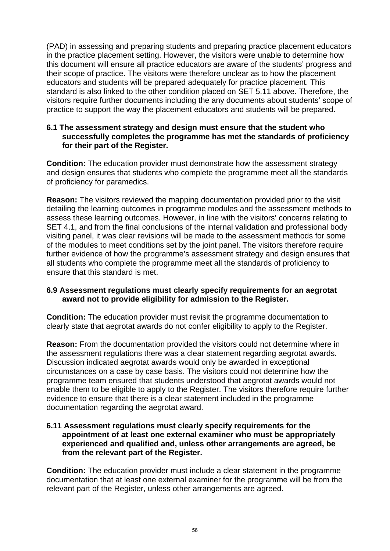(PAD) in assessing and preparing students and preparing practice placement educators in the practice placement setting. However, the visitors were unable to determine how this document will ensure all practice educators are aware of the students' progress and their scope of practice. The visitors were therefore unclear as to how the placement educators and students will be prepared adequately for practice placement. This standard is also linked to the other condition placed on SET 5.11 above. Therefore, the visitors require further documents including the any documents about students' scope of practice to support the way the placement educators and students will be prepared.

#### **6.1 The assessment strategy and design must ensure that the student who successfully completes the programme has met the standards of proficiency for their part of the Register.**

**Condition:** The education provider must demonstrate how the assessment strategy and design ensures that students who complete the programme meet all the standards of proficiency for paramedics.

**Reason:** The visitors reviewed the mapping documentation provided prior to the visit detailing the learning outcomes in programme modules and the assessment methods to assess these learning outcomes. However, in line with the visitors' concerns relating to SET 4.1, and from the final conclusions of the internal validation and professional body visiting panel, it was clear revisions will be made to the assessment methods for some of the modules to meet conditions set by the joint panel. The visitors therefore require further evidence of how the programme's assessment strategy and design ensures that all students who complete the programme meet all the standards of proficiency to ensure that this standard is met.

#### **6.9 Assessment regulations must clearly specify requirements for an aegrotat award not to provide eligibility for admission to the Register.**

**Condition:** The education provider must revisit the programme documentation to clearly state that aegrotat awards do not confer eligibility to apply to the Register.

**Reason:** From the documentation provided the visitors could not determine where in the assessment regulations there was a clear statement regarding aegrotat awards. Discussion indicated aegrotat awards would only be awarded in exceptional circumstances on a case by case basis. The visitors could not determine how the programme team ensured that students understood that aegrotat awards would not enable them to be eligible to apply to the Register. The visitors therefore require further evidence to ensure that there is a clear statement included in the programme documentation regarding the aegrotat award.

#### **6.11 Assessment regulations must clearly specify requirements for the appointment of at least one external examiner who must be appropriately experienced and qualified and, unless other arrangements are agreed, be from the relevant part of the Register.**

**Condition:** The education provider must include a clear statement in the programme documentation that at least one external examiner for the programme will be from the relevant part of the Register, unless other arrangements are agreed.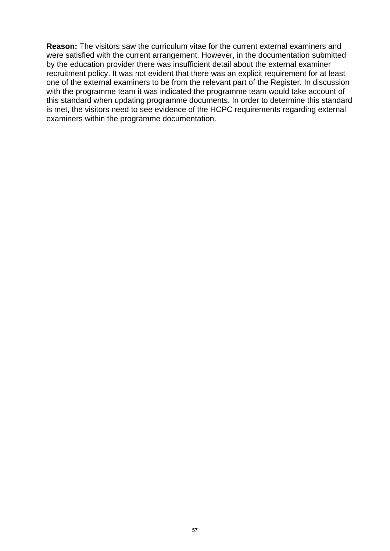**Reason:** The visitors saw the curriculum vitae for the current external examiners and were satisfied with the current arrangement. However, in the documentation submitted by the education provider there was insufficient detail about the external examiner recruitment policy. It was not evident that there was an explicit requirement for at least one of the external examiners to be from the relevant part of the Register. In discussion with the programme team it was indicated the programme team would take account of this standard when updating programme documents. In order to determine this standard is met, the visitors need to see evidence of the HCPC requirements regarding external examiners within the programme documentation.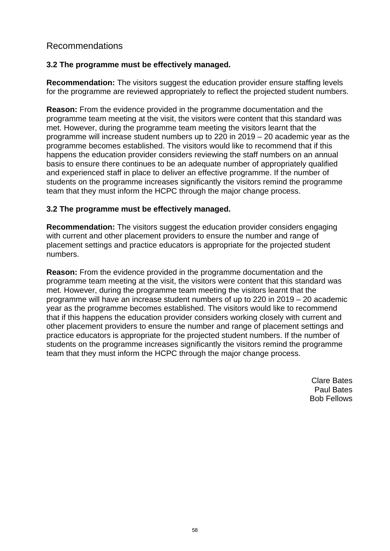# Recommendations

### **3.2 The programme must be effectively managed.**

**Recommendation:** The visitors suggest the education provider ensure staffing levels for the programme are reviewed appropriately to reflect the projected student numbers.

**Reason:** From the evidence provided in the programme documentation and the programme team meeting at the visit, the visitors were content that this standard was met. However, during the programme team meeting the visitors learnt that the programme will increase student numbers up to 220 in 2019 – 20 academic year as the programme becomes established. The visitors would like to recommend that if this happens the education provider considers reviewing the staff numbers on an annual basis to ensure there continues to be an adequate number of appropriately qualified and experienced staff in place to deliver an effective programme. If the number of students on the programme increases significantly the visitors remind the programme team that they must inform the HCPC through the major change process.

#### **3.2 The programme must be effectively managed.**

**Recommendation:** The visitors suggest the education provider considers engaging with current and other placement providers to ensure the number and range of placement settings and practice educators is appropriate for the projected student numbers.

**Reason:** From the evidence provided in the programme documentation and the programme team meeting at the visit, the visitors were content that this standard was met. However, during the programme team meeting the visitors learnt that the programme will have an increase student numbers of up to 220 in 2019 – 20 academic year as the programme becomes established. The visitors would like to recommend that if this happens the education provider considers working closely with current and other placement providers to ensure the number and range of placement settings and practice educators is appropriate for the projected student numbers. If the number of students on the programme increases significantly the visitors remind the programme team that they must inform the HCPC through the major change process.

> Clare Bates Paul Bates Bob Fellows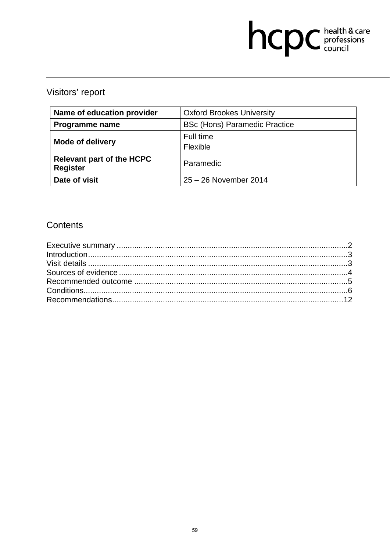# hcpc health & care

# Visitors' report

| Name of education provider                          | <b>Oxford Brookes University</b>     |
|-----------------------------------------------------|--------------------------------------|
| Programme name                                      | <b>BSc (Hons) Paramedic Practice</b> |
| <b>Mode of delivery</b>                             | Full time<br>Flexible                |
| <b>Relevant part of the HCPC</b><br><b>Register</b> | Paramedic                            |
| Date of visit                                       | 25 - 26 November 2014                |

# Contents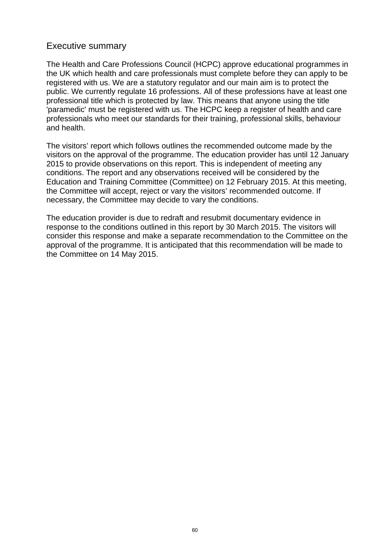### Executive summary

The Health and Care Professions Council (HCPC) approve educational programmes in the UK which health and care professionals must complete before they can apply to be registered with us. We are a statutory regulator and our main aim is to protect the public. We currently regulate 16 professions. All of these professions have at least one professional title which is protected by law. This means that anyone using the title 'paramedic' must be registered with us. The HCPC keep a register of health and care professionals who meet our standards for their training, professional skills, behaviour and health.

The visitors' report which follows outlines the recommended outcome made by the visitors on the approval of the programme. The education provider has until 12 January 2015 to provide observations on this report. This is independent of meeting any conditions. The report and any observations received will be considered by the Education and Training Committee (Committee) on 12 February 2015. At this meeting, the Committee will accept, reject or vary the visitors' recommended outcome. If necessary, the Committee may decide to vary the conditions.

The education provider is due to redraft and resubmit documentary evidence in response to the conditions outlined in this report by 30 March 2015. The visitors will consider this response and make a separate recommendation to the Committee on the approval of the programme. It is anticipated that this recommendation will be made to the Committee on 14 May 2015.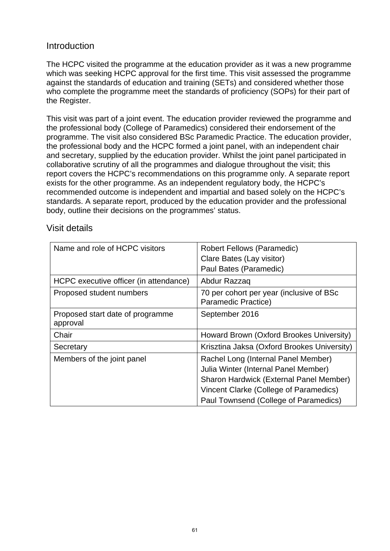# **Introduction**

The HCPC visited the programme at the education provider as it was a new programme which was seeking HCPC approval for the first time. This visit assessed the programme against the standards of education and training (SETs) and considered whether those who complete the programme meet the standards of proficiency (SOPs) for their part of the Register.

This visit was part of a joint event. The education provider reviewed the programme and the professional body (College of Paramedics) considered their endorsement of the programme. The visit also considered BSc Paramedic Practice. The education provider, the professional body and the HCPC formed a joint panel, with an independent chair and secretary, supplied by the education provider. Whilst the joint panel participated in collaborative scrutiny of all the programmes and dialogue throughout the visit; this report covers the HCPC's recommendations on this programme only. A separate report exists for the other programme. As an independent regulatory body, the HCPC's recommended outcome is independent and impartial and based solely on the HCPC's standards. A separate report, produced by the education provider and the professional body, outline their decisions on the programmes' status.

| Name and role of HCPC visitors               | <b>Robert Fellows (Paramedic)</b>                                                                                                                                                                         |
|----------------------------------------------|-----------------------------------------------------------------------------------------------------------------------------------------------------------------------------------------------------------|
|                                              | Clare Bates (Lay visitor)                                                                                                                                                                                 |
|                                              | Paul Bates (Paramedic)                                                                                                                                                                                    |
| HCPC executive officer (in attendance)       | Abdur Razzaq                                                                                                                                                                                              |
| Proposed student numbers                     | 70 per cohort per year (inclusive of BSc<br>Paramedic Practice)                                                                                                                                           |
| Proposed start date of programme<br>approval | September 2016                                                                                                                                                                                            |
| Chair                                        | Howard Brown (Oxford Brookes University)                                                                                                                                                                  |
| Secretary                                    | Krisztina Jaksa (Oxford Brookes University)                                                                                                                                                               |
| Members of the joint panel                   | Rachel Long (Internal Panel Member)<br>Julia Winter (Internal Panel Member)<br>Sharon Hardwick (External Panel Member)<br>Vincent Clarke (College of Paramedics)<br>Paul Townsend (College of Paramedics) |

#### Visit details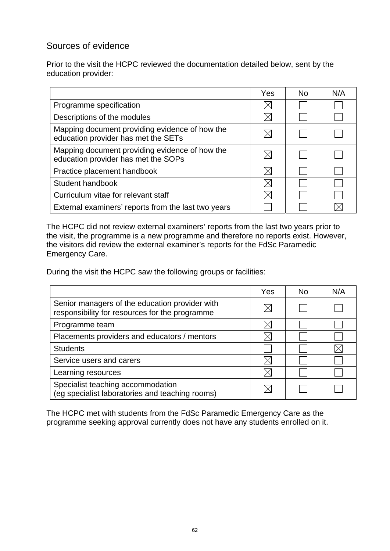# Sources of evidence

Prior to the visit the HCPC reviewed the documentation detailed below, sent by the education provider:

|                                                                                       | Yes | No. | N/A |
|---------------------------------------------------------------------------------------|-----|-----|-----|
| Programme specification                                                               |     |     |     |
| Descriptions of the modules                                                           |     |     |     |
| Mapping document providing evidence of how the<br>education provider has met the SETs |     |     |     |
| Mapping document providing evidence of how the<br>education provider has met the SOPs |     |     |     |
| Practice placement handbook                                                           |     |     |     |
| Student handbook                                                                      |     |     |     |
| Curriculum vitae for relevant staff                                                   |     |     |     |
| External examiners' reports from the last two years                                   |     |     |     |

The HCPC did not review external examiners' reports from the last two years prior to the visit, the programme is a new programme and therefore no reports exist. However, the visitors did review the external examiner's reports for the FdSc Paramedic Emergency Care.

During the visit the HCPC saw the following groups or facilities:

|                                                                                                  | Yes | N٥ | N/A |
|--------------------------------------------------------------------------------------------------|-----|----|-----|
| Senior managers of the education provider with<br>responsibility for resources for the programme |     |    |     |
| Programme team                                                                                   |     |    |     |
| Placements providers and educators / mentors                                                     |     |    |     |
| <b>Students</b>                                                                                  |     |    |     |
| Service users and carers                                                                         |     |    |     |
| Learning resources                                                                               |     |    |     |
| Specialist teaching accommodation<br>(eg specialist laboratories and teaching rooms)             |     |    |     |

The HCPC met with students from the FdSc Paramedic Emergency Care as the programme seeking approval currently does not have any students enrolled on it.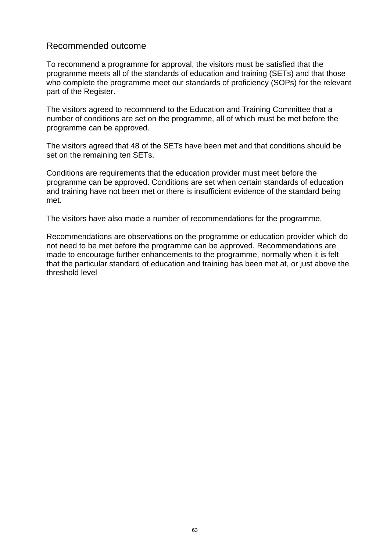### Recommended outcome

To recommend a programme for approval, the visitors must be satisfied that the programme meets all of the standards of education and training (SETs) and that those who complete the programme meet our standards of proficiency (SOPs) for the relevant part of the Register.

The visitors agreed to recommend to the Education and Training Committee that a number of conditions are set on the programme, all of which must be met before the programme can be approved.

The visitors agreed that 48 of the SETs have been met and that conditions should be set on the remaining ten SETs.

Conditions are requirements that the education provider must meet before the programme can be approved. Conditions are set when certain standards of education and training have not been met or there is insufficient evidence of the standard being met.

The visitors have also made a number of recommendations for the programme.

Recommendations are observations on the programme or education provider which do not need to be met before the programme can be approved. Recommendations are made to encourage further enhancements to the programme, normally when it is felt that the particular standard of education and training has been met at, or just above the threshold level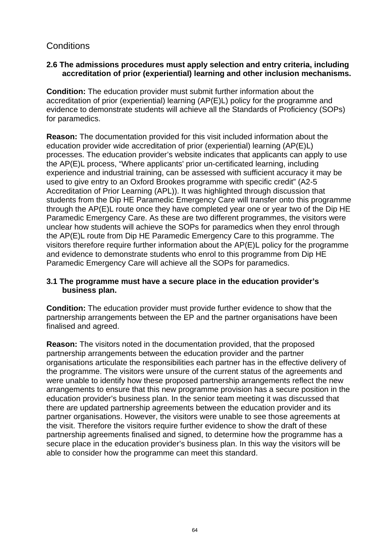# **Conditions**

#### **2.6 The admissions procedures must apply selection and entry criteria, including accreditation of prior (experiential) learning and other inclusion mechanisms.**

**Condition:** The education provider must submit further information about the accreditation of prior (experiential) learning (AP(E)L) policy for the programme and evidence to demonstrate students will achieve all the Standards of Proficiency (SOPs) for paramedics.

**Reason:** The documentation provided for this visit included information about the education provider wide accreditation of prior (experiential) learning (AP(E)L) processes. The education provider's website indicates that applicants can apply to use the AP(E)L process, "Where applicants' prior un-certificated learning, including experience and industrial training, can be assessed with sufficient accuracy it may be used to give entry to an Oxford Brookes programme with specific credit" (A2-5 Accreditation of Prior Learning (APL)). It was highlighted through discussion that students from the Dip HE Paramedic Emergency Care will transfer onto this programme through the AP(E)L route once they have completed year one or year two of the Dip HE Paramedic Emergency Care. As these are two different programmes, the visitors were unclear how students will achieve the SOPs for paramedics when they enrol through the AP(E)L route from Dip HE Paramedic Emergency Care to this programme. The visitors therefore require further information about the AP(E)L policy for the programme and evidence to demonstrate students who enrol to this programme from Dip HE Paramedic Emergency Care will achieve all the SOPs for paramedics.

#### **3.1 The programme must have a secure place in the education provider's business plan.**

**Condition:** The education provider must provide further evidence to show that the partnership arrangements between the EP and the partner organisations have been finalised and agreed.

**Reason:** The visitors noted in the documentation provided, that the proposed partnership arrangements between the education provider and the partner organisations articulate the responsibilities each partner has in the effective delivery of the programme. The visitors were unsure of the current status of the agreements and were unable to identify how these proposed partnership arrangements reflect the new arrangements to ensure that this new programme provision has a secure position in the education provider's business plan. In the senior team meeting it was discussed that there are updated partnership agreements between the education provider and its partner organisations. However, the visitors were unable to see those agreements at the visit. Therefore the visitors require further evidence to show the draft of these partnership agreements finalised and signed, to determine how the programme has a secure place in the education provider's business plan. In this way the visitors will be able to consider how the programme can meet this standard.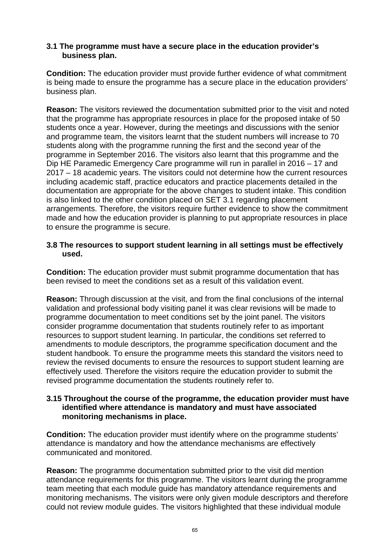#### **3.1 The programme must have a secure place in the education provider's business plan.**

**Condition:** The education provider must provide further evidence of what commitment is being made to ensure the programme has a secure place in the education providers' business plan.

**Reason:** The visitors reviewed the documentation submitted prior to the visit and noted that the programme has appropriate resources in place for the proposed intake of 50 students once a year. However, during the meetings and discussions with the senior and programme team, the visitors learnt that the student numbers will increase to 70 students along with the programme running the first and the second year of the programme in September 2016. The visitors also learnt that this programme and the Dip HE Paramedic Emergency Care programme will run in parallel in 2016 – 17 and 2017 – 18 academic years. The visitors could not determine how the current resources including academic staff, practice educators and practice placements detailed in the documentation are appropriate for the above changes to student intake. This condition is also linked to the other condition placed on SET 3.1 regarding placement arrangements. Therefore, the visitors require further evidence to show the commitment made and how the education provider is planning to put appropriate resources in place to ensure the programme is secure.

#### **3.8 The resources to support student learning in all settings must be effectively used.**

**Condition:** The education provider must submit programme documentation that has been revised to meet the conditions set as a result of this validation event.

**Reason:** Through discussion at the visit, and from the final conclusions of the internal validation and professional body visiting panel it was clear revisions will be made to programme documentation to meet conditions set by the joint panel. The visitors consider programme documentation that students routinely refer to as important resources to support student learning. In particular, the conditions set referred to amendments to module descriptors, the programme specification document and the student handbook. To ensure the programme meets this standard the visitors need to review the revised documents to ensure the resources to support student learning are effectively used. Therefore the visitors require the education provider to submit the revised programme documentation the students routinely refer to.

#### **3.15 Throughout the course of the programme, the education provider must have identified where attendance is mandatory and must have associated monitoring mechanisms in place.**

**Condition:** The education provider must identify where on the programme students' attendance is mandatory and how the attendance mechanisms are effectively communicated and monitored.

**Reason:** The programme documentation submitted prior to the visit did mention attendance requirements for this programme. The visitors learnt during the programme team meeting that each module guide has mandatory attendance requirements and monitoring mechanisms. The visitors were only given module descriptors and therefore could not review module guides. The visitors highlighted that these individual module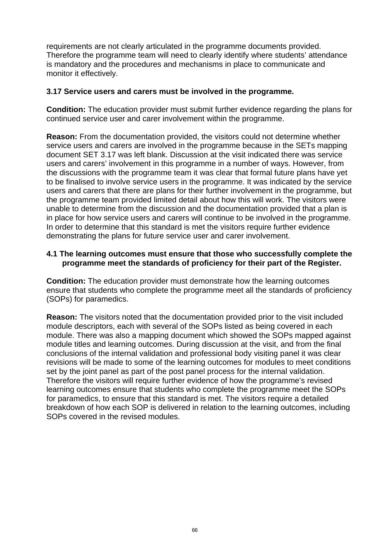requirements are not clearly articulated in the programme documents provided. Therefore the programme team will need to clearly identify where students' attendance is mandatory and the procedures and mechanisms in place to communicate and monitor it effectively.

#### **3.17 Service users and carers must be involved in the programme.**

**Condition:** The education provider must submit further evidence regarding the plans for continued service user and carer involvement within the programme.

**Reason:** From the documentation provided, the visitors could not determine whether service users and carers are involved in the programme because in the SETs mapping document SET 3.17 was left blank. Discussion at the visit indicated there was service users and carers' involvement in this programme in a number of ways. However, from the discussions with the programme team it was clear that formal future plans have yet to be finalised to involve service users in the programme. It was indicated by the service users and carers that there are plans for their further involvement in the programme, but the programme team provided limited detail about how this will work. The visitors were unable to determine from the discussion and the documentation provided that a plan is in place for how service users and carers will continue to be involved in the programme. In order to determine that this standard is met the visitors require further evidence demonstrating the plans for future service user and carer involvement.

#### **4.1 The learning outcomes must ensure that those who successfully complete the programme meet the standards of proficiency for their part of the Register.**

**Condition:** The education provider must demonstrate how the learning outcomes ensure that students who complete the programme meet all the standards of proficiency (SOPs) for paramedics.

**Reason:** The visitors noted that the documentation provided prior to the visit included module descriptors, each with several of the SOPs listed as being covered in each module. There was also a mapping document which showed the SOPs mapped against module titles and learning outcomes. During discussion at the visit, and from the final conclusions of the internal validation and professional body visiting panel it was clear revisions will be made to some of the learning outcomes for modules to meet conditions set by the joint panel as part of the post panel process for the internal validation. Therefore the visitors will require further evidence of how the programme's revised learning outcomes ensure that students who complete the programme meet the SOPs for paramedics, to ensure that this standard is met. The visitors require a detailed breakdown of how each SOP is delivered in relation to the learning outcomes, including SOPs covered in the revised modules.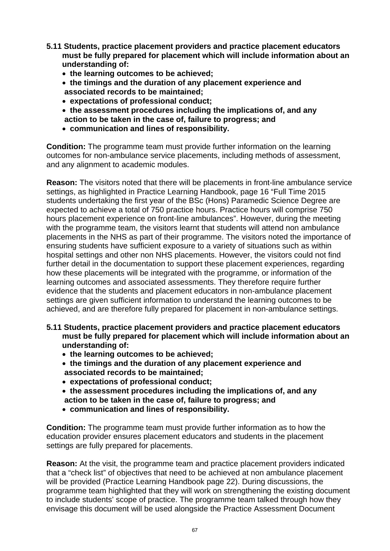- **5.11 Students, practice placement providers and practice placement educators must be fully prepared for placement which will include information about an understanding of:** 
	- **the learning outcomes to be achieved;**
	- **the timings and the duration of any placement experience and associated records to be maintained;**
	- **expectations of professional conduct;**
	- **the assessment procedures including the implications of, and any action to be taken in the case of, failure to progress; and**
	- **communication and lines of responsibility.**

**Condition:** The programme team must provide further information on the learning outcomes for non-ambulance service placements, including methods of assessment, and any alignment to academic modules.

**Reason:** The visitors noted that there will be placements in front-line ambulance service settings, as highlighted in Practice Learning Handbook, page 16 "Full Time 2015 students undertaking the first year of the BSc (Hons) Paramedic Science Degree are expected to achieve a total of 750 practice hours. Practice hours will comprise 750 hours placement experience on front-line ambulances". However, during the meeting with the programme team, the visitors learnt that students will attend non ambulance placements in the NHS as part of their programme. The visitors noted the importance of ensuring students have sufficient exposure to a variety of situations such as within hospital settings and other non NHS placements. However, the visitors could not find further detail in the documentation to support these placement experiences, regarding how these placements will be integrated with the programme, or information of the learning outcomes and associated assessments. They therefore require further evidence that the students and placement educators in non-ambulance placement settings are given sufficient information to understand the learning outcomes to be achieved, and are therefore fully prepared for placement in non-ambulance settings.

- **5.11 Students, practice placement providers and practice placement educators must be fully prepared for placement which will include information about an understanding of:** 
	- **the learning outcomes to be achieved;**
	- **the timings and the duration of any placement experience and associated records to be maintained;**
	- **expectations of professional conduct;**
	- **the assessment procedures including the implications of, and any action to be taken in the case of, failure to progress; and**
	- **communication and lines of responsibility.**

**Condition:** The programme team must provide further information as to how the education provider ensures placement educators and students in the placement settings are fully prepared for placements.

**Reason:** At the visit, the programme team and practice placement providers indicated that a "check list" of objectives that need to be achieved at non ambulance placement will be provided (Practice Learning Handbook page 22). During discussions, the programme team highlighted that they will work on strengthening the existing document to include students' scope of practice. The programme team talked through how they envisage this document will be used alongside the Practice Assessment Document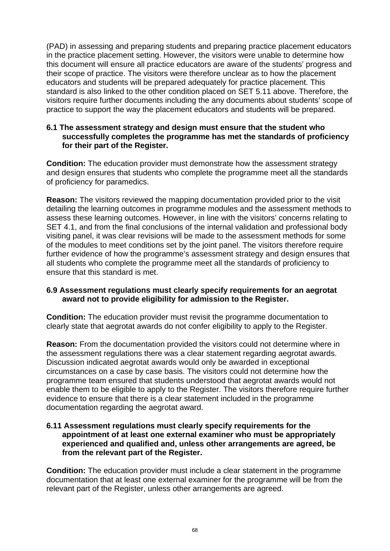(PAD) in assessing and preparing students and preparing practice placement educators in the practice placement setting. However, the visitors were unable to determine how this document will ensure all practice educators are aware of the students' progress and their scope of practice. The visitors were therefore unclear as to how the placement educators and students will be prepared adequately for practice placement. This standard is also linked to the other condition placed on SET 5.11 above. Therefore, the visitors require further documents including the any documents about students' scope of practice to support the way the placement educators and students will be prepared.

#### **6.1 The assessment strategy and design must ensure that the student who successfully completes the programme has met the standards of proficiency for their part of the Register.**

**Condition:** The education provider must demonstrate how the assessment strategy and design ensures that students who complete the programme meet all the standards of proficiency for paramedics.

**Reason:** The visitors reviewed the mapping documentation provided prior to the visit detailing the learning outcomes in programme modules and the assessment methods to assess these learning outcomes. However, in line with the visitors' concerns relating to SET 4.1, and from the final conclusions of the internal validation and professional body visiting panel, it was clear revisions will be made to the assessment methods for some of the modules to meet conditions set by the joint panel. The visitors therefore require further evidence of how the programme's assessment strategy and design ensures that all students who complete the programme meet all the standards of proficiency to ensure that this standard is met.

#### **6.9 Assessment regulations must clearly specify requirements for an aegrotat award not to provide eligibility for admission to the Register.**

**Condition:** The education provider must revisit the programme documentation to clearly state that aegrotat awards do not confer eligibility to apply to the Register.

**Reason:** From the documentation provided the visitors could not determine where in the assessment regulations there was a clear statement regarding aegrotat awards. Discussion indicated aegrotat awards would only be awarded in exceptional circumstances on a case by case basis. The visitors could not determine how the programme team ensured that students understood that aegrotat awards would not enable them to be eligible to apply to the Register. The visitors therefore require further evidence to ensure that there is a clear statement included in the programme documentation regarding the aegrotat award.

#### **6.11 Assessment regulations must clearly specify requirements for the appointment of at least one external examiner who must be appropriately experienced and qualified and, unless other arrangements are agreed, be from the relevant part of the Register.**

**Condition:** The education provider must include a clear statement in the programme documentation that at least one external examiner for the programme will be from the relevant part of the Register, unless other arrangements are agreed.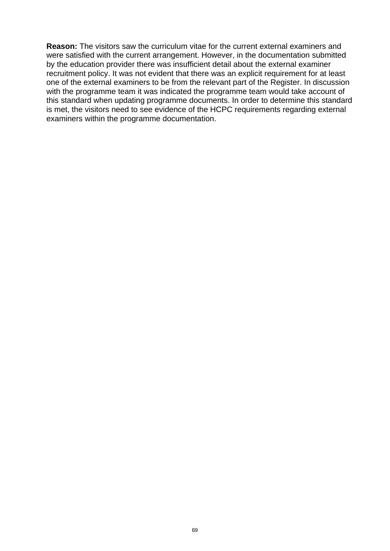**Reason:** The visitors saw the curriculum vitae for the current external examiners and were satisfied with the current arrangement. However, in the documentation submitted by the education provider there was insufficient detail about the external examiner recruitment policy. It was not evident that there was an explicit requirement for at least one of the external examiners to be from the relevant part of the Register. In discussion with the programme team it was indicated the programme team would take account of this standard when updating programme documents. In order to determine this standard is met, the visitors need to see evidence of the HCPC requirements regarding external examiners within the programme documentation.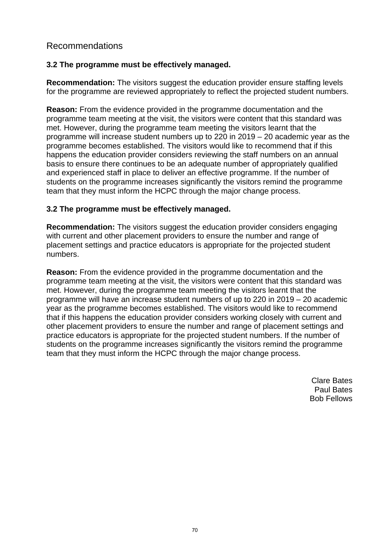# Recommendations

#### **3.2 The programme must be effectively managed.**

**Recommendation:** The visitors suggest the education provider ensure staffing levels for the programme are reviewed appropriately to reflect the projected student numbers.

**Reason:** From the evidence provided in the programme documentation and the programme team meeting at the visit, the visitors were content that this standard was met. However, during the programme team meeting the visitors learnt that the programme will increase student numbers up to 220 in 2019 – 20 academic year as the programme becomes established. The visitors would like to recommend that if this happens the education provider considers reviewing the staff numbers on an annual basis to ensure there continues to be an adequate number of appropriately qualified and experienced staff in place to deliver an effective programme. If the number of students on the programme increases significantly the visitors remind the programme team that they must inform the HCPC through the major change process.

#### **3.2 The programme must be effectively managed.**

**Recommendation:** The visitors suggest the education provider considers engaging with current and other placement providers to ensure the number and range of placement settings and practice educators is appropriate for the projected student numbers.

**Reason:** From the evidence provided in the programme documentation and the programme team meeting at the visit, the visitors were content that this standard was met. However, during the programme team meeting the visitors learnt that the programme will have an increase student numbers of up to 220 in 2019 – 20 academic year as the programme becomes established. The visitors would like to recommend that if this happens the education provider considers working closely with current and other placement providers to ensure the number and range of placement settings and practice educators is appropriate for the projected student numbers. If the number of students on the programme increases significantly the visitors remind the programme team that they must inform the HCPC through the major change process.

> Clare Bates Paul Bates Bob Fellows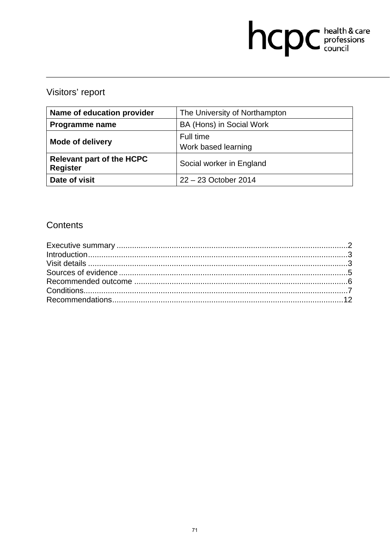# hcpc health & care

# Visitors' report

| Name of education provider                          | The University of Northampton    |
|-----------------------------------------------------|----------------------------------|
| <b>Programme name</b>                               | BA (Hons) in Social Work         |
| <b>Mode of delivery</b>                             | Full time<br>Work based learning |
| <b>Relevant part of the HCPC</b><br><b>Register</b> | Social worker in England         |
| Date of visit                                       | 22 - 23 October 2014             |

# Contents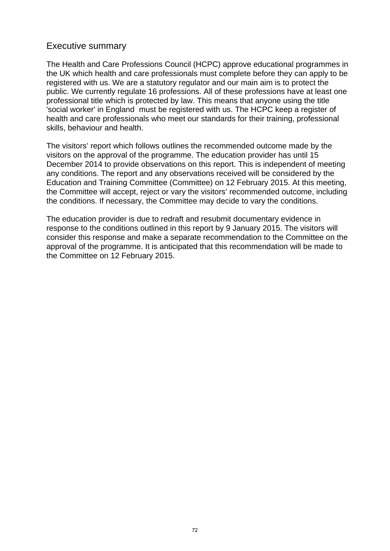### Executive summary

The Health and Care Professions Council (HCPC) approve educational programmes in the UK which health and care professionals must complete before they can apply to be registered with us. We are a statutory regulator and our main aim is to protect the public. We currently regulate 16 professions. All of these professions have at least one professional title which is protected by law. This means that anyone using the title 'social worker' in England must be registered with us. The HCPC keep a register of health and care professionals who meet our standards for their training, professional skills, behaviour and health.

The visitors' report which follows outlines the recommended outcome made by the visitors on the approval of the programme. The education provider has until 15 December 2014 to provide observations on this report. This is independent of meeting any conditions. The report and any observations received will be considered by the Education and Training Committee (Committee) on 12 February 2015. At this meeting, the Committee will accept, reject or vary the visitors' recommended outcome, including the conditions. If necessary, the Committee may decide to vary the conditions.

The education provider is due to redraft and resubmit documentary evidence in response to the conditions outlined in this report by 9 January 2015. The visitors will consider this response and make a separate recommendation to the Committee on the approval of the programme. It is anticipated that this recommendation will be made to the Committee on 12 February 2015.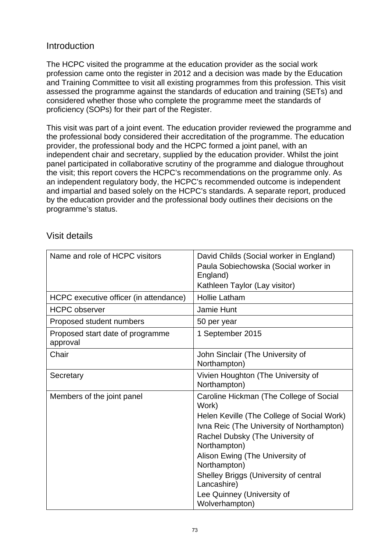# **Introduction**

The HCPC visited the programme at the education provider as the social work profession came onto the register in 2012 and a decision was made by the Education and Training Committee to visit all existing programmes from this profession. This visit assessed the programme against the standards of education and training (SETs) and considered whether those who complete the programme meet the standards of proficiency (SOPs) for their part of the Register.

This visit was part of a joint event. The education provider reviewed the programme and the professional body considered their accreditation of the programme. The education provider, the professional body and the HCPC formed a joint panel, with an independent chair and secretary, supplied by the education provider. Whilst the joint panel participated in collaborative scrutiny of the programme and dialogue throughout the visit; this report covers the HCPC's recommendations on the programme only. As an independent regulatory body, the HCPC's recommended outcome is independent and impartial and based solely on the HCPC's standards. A separate report, produced by the education provider and the professional body outlines their decisions on the programme's status.

| Name and role of HCPC visitors               | David Childs (Social worker in England)<br>Paula Sobiechowska (Social worker in |
|----------------------------------------------|---------------------------------------------------------------------------------|
|                                              | England)                                                                        |
|                                              | Kathleen Taylor (Lay visitor)                                                   |
| HCPC executive officer (in attendance)       | <b>Hollie Latham</b>                                                            |
| <b>HCPC</b> observer                         | Jamie Hunt                                                                      |
| Proposed student numbers                     | 50 per year                                                                     |
| Proposed start date of programme<br>approval | 1 September 2015                                                                |
| Chair                                        | John Sinclair (The University of<br>Northampton)                                |
| Secretary                                    | Vivien Houghton (The University of<br>Northampton)                              |
| Members of the joint panel                   | Caroline Hickman (The College of Social<br>Work)                                |
|                                              | Helen Keville (The College of Social Work)                                      |
|                                              | Ivna Reic (The University of Northampton)                                       |
|                                              | Rachel Dubsky (The University of<br>Northampton)                                |
|                                              | Alison Ewing (The University of<br>Northampton)                                 |
|                                              | Shelley Briggs (University of central<br>Lancashire)                            |
|                                              | Lee Quinney (University of<br>Wolverhampton)                                    |

# Visit details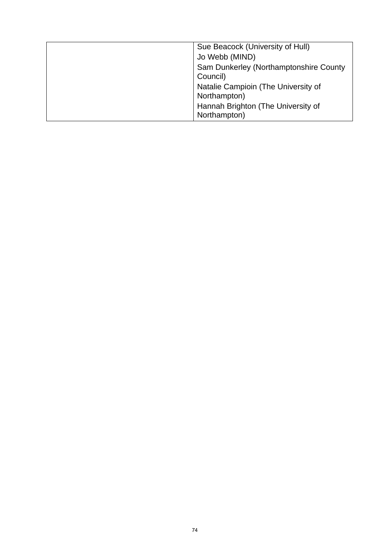| Sue Beacock (University of Hull)                    |
|-----------------------------------------------------|
| Jo Webb (MIND)                                      |
| Sam Dunkerley (Northamptonshire County              |
| Council)                                            |
| Natalie Campioin (The University of<br>Northampton) |
| Hannah Brighton (The University of<br>Northampton)  |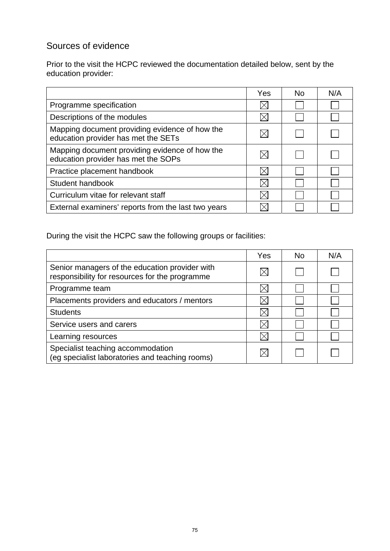# Sources of evidence

Prior to the visit the HCPC reviewed the documentation detailed below, sent by the education provider:

|                                                                                       | Yes | No. | N/A |
|---------------------------------------------------------------------------------------|-----|-----|-----|
| Programme specification                                                               |     |     |     |
| Descriptions of the modules                                                           |     |     |     |
| Mapping document providing evidence of how the<br>education provider has met the SETs |     |     |     |
| Mapping document providing evidence of how the<br>education provider has met the SOPs |     |     |     |
| Practice placement handbook                                                           |     |     |     |
| Student handbook                                                                      |     |     |     |
| Curriculum vitae for relevant staff                                                   |     |     |     |
| External examiners' reports from the last two years                                   |     |     |     |

During the visit the HCPC saw the following groups or facilities:

|                                                                                                  | Yes | No. | N/A |
|--------------------------------------------------------------------------------------------------|-----|-----|-----|
| Senior managers of the education provider with<br>responsibility for resources for the programme |     |     |     |
| Programme team                                                                                   |     |     |     |
| Placements providers and educators / mentors                                                     |     |     |     |
| <b>Students</b>                                                                                  |     |     |     |
| Service users and carers                                                                         |     |     |     |
| Learning resources                                                                               |     |     |     |
| Specialist teaching accommodation<br>(eg specialist laboratories and teaching rooms)             |     |     |     |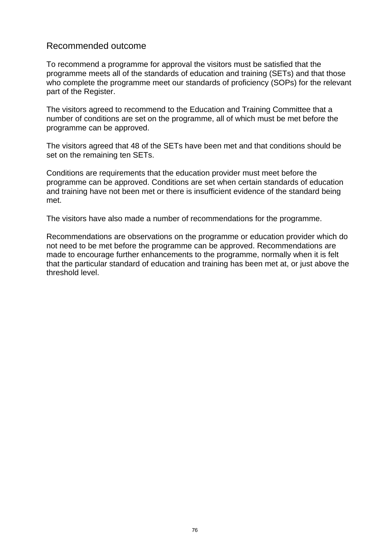# Recommended outcome

To recommend a programme for approval the visitors must be satisfied that the programme meets all of the standards of education and training (SETs) and that those who complete the programme meet our standards of proficiency (SOPs) for the relevant part of the Register.

The visitors agreed to recommend to the Education and Training Committee that a number of conditions are set on the programme, all of which must be met before the programme can be approved.

The visitors agreed that 48 of the SETs have been met and that conditions should be set on the remaining ten SETs.

Conditions are requirements that the education provider must meet before the programme can be approved. Conditions are set when certain standards of education and training have not been met or there is insufficient evidence of the standard being met.

The visitors have also made a number of recommendations for the programme.

Recommendations are observations on the programme or education provider which do not need to be met before the programme can be approved. Recommendations are made to encourage further enhancements to the programme, normally when it is felt that the particular standard of education and training has been met at, or just above the threshold level.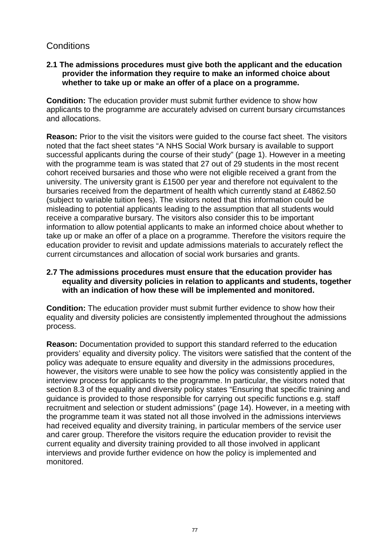# **Conditions**

# **2.1 The admissions procedures must give both the applicant and the education provider the information they require to make an informed choice about whether to take up or make an offer of a place on a programme.**

**Condition:** The education provider must submit further evidence to show how applicants to the programme are accurately advised on current bursary circumstances and allocations.

**Reason:** Prior to the visit the visitors were guided to the course fact sheet. The visitors noted that the fact sheet states "A NHS Social Work bursary is available to support successful applicants during the course of their study" (page 1). However in a meeting with the programme team is was stated that 27 out of 29 students in the most recent cohort received bursaries and those who were not eligible received a grant from the university. The university grant is £1500 per year and therefore not equivalent to the bursaries received from the department of health which currently stand at £4862.50 (subject to variable tuition fees). The visitors noted that this information could be misleading to potential applicants leading to the assumption that all students would receive a comparative bursary. The visitors also consider this to be important information to allow potential applicants to make an informed choice about whether to take up or make an offer of a place on a programme. Therefore the visitors require the education provider to revisit and update admissions materials to accurately reflect the current circumstances and allocation of social work bursaries and grants.

## **2.7 The admissions procedures must ensure that the education provider has equality and diversity policies in relation to applicants and students, together with an indication of how these will be implemented and monitored.**

**Condition:** The education provider must submit further evidence to show how their equality and diversity policies are consistently implemented throughout the admissions process.

**Reason:** Documentation provided to support this standard referred to the education providers' equality and diversity policy. The visitors were satisfied that the content of the policy was adequate to ensure equality and diversity in the admissions procedures, however, the visitors were unable to see how the policy was consistently applied in the interview process for applicants to the programme. In particular, the visitors noted that section 8.3 of the equality and diversity policy states "Ensuring that specific training and guidance is provided to those responsible for carrying out specific functions e.g. staff recruitment and selection or student admissions" (page 14). However, in a meeting with the programme team it was stated not all those involved in the admissions interviews had received equality and diversity training, in particular members of the service user and carer group. Therefore the visitors require the education provider to revisit the current equality and diversity training provided to all those involved in applicant interviews and provide further evidence on how the policy is implemented and monitored.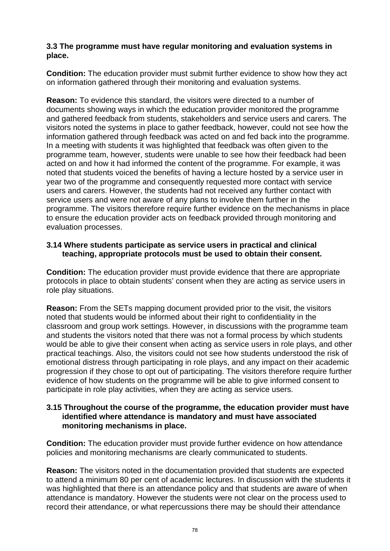### **3.3 The programme must have regular monitoring and evaluation systems in place.**

**Condition:** The education provider must submit further evidence to show how they act on information gathered through their monitoring and evaluation systems.

**Reason:** To evidence this standard, the visitors were directed to a number of documents showing ways in which the education provider monitored the programme and gathered feedback from students, stakeholders and service users and carers. The visitors noted the systems in place to gather feedback, however, could not see how the information gathered through feedback was acted on and fed back into the programme. In a meeting with students it was highlighted that feedback was often given to the programme team, however, students were unable to see how their feedback had been acted on and how it had informed the content of the programme. For example, it was noted that students voiced the benefits of having a lecture hosted by a service user in year two of the programme and consequently requested more contact with service users and carers. However, the students had not received any further contact with service users and were not aware of any plans to involve them further in the programme. The visitors therefore require further evidence on the mechanisms in place to ensure the education provider acts on feedback provided through monitoring and evaluation processes.

### **3.14 Where students participate as service users in practical and clinical teaching, appropriate protocols must be used to obtain their consent.**

**Condition:** The education provider must provide evidence that there are appropriate protocols in place to obtain students' consent when they are acting as service users in role play situations.

**Reason:** From the SETs mapping document provided prior to the visit, the visitors noted that students would be informed about their right to confidentiality in the classroom and group work settings. However, in discussions with the programme team and students the visitors noted that there was not a formal process by which students would be able to give their consent when acting as service users in role plays, and other practical teachings. Also, the visitors could not see how students understood the risk of emotional distress through participating in role plays, and any impact on their academic progression if they chose to opt out of participating. The visitors therefore require further evidence of how students on the programme will be able to give informed consent to participate in role play activities, when they are acting as service users.

### **3.15 Throughout the course of the programme, the education provider must have identified where attendance is mandatory and must have associated monitoring mechanisms in place.**

**Condition:** The education provider must provide further evidence on how attendance policies and monitoring mechanisms are clearly communicated to students.

**Reason:** The visitors noted in the documentation provided that students are expected to attend a minimum 80 per cent of academic lectures. In discussion with the students it was highlighted that there is an attendance policy and that students are aware of when attendance is mandatory. However the students were not clear on the process used to record their attendance, or what repercussions there may be should their attendance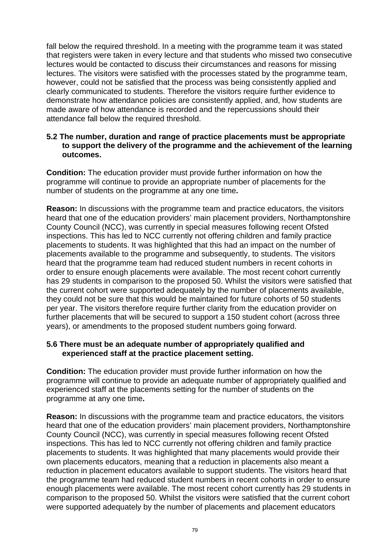fall below the required threshold. In a meeting with the programme team it was stated that registers were taken in every lecture and that students who missed two consecutive lectures would be contacted to discuss their circumstances and reasons for missing lectures. The visitors were satisfied with the processes stated by the programme team, however, could not be satisfied that the process was being consistently applied and clearly communicated to students. Therefore the visitors require further evidence to demonstrate how attendance policies are consistently applied, and, how students are made aware of how attendance is recorded and the repercussions should their attendance fall below the required threshold.

### **5.2 The number, duration and range of practice placements must be appropriate to support the delivery of the programme and the achievement of the learning outcomes.**

**Condition:** The education provider must provide further information on how the programme will continue to provide an appropriate number of placements for the number of students on the programme at any one time**.** 

**Reason:** In discussions with the programme team and practice educators, the visitors heard that one of the education providers' main placement providers, Northamptonshire County Council (NCC), was currently in special measures following recent Ofsted inspections. This has led to NCC currently not offering children and family practice placements to students. It was highlighted that this had an impact on the number of placements available to the programme and subsequently, to students. The visitors heard that the programme team had reduced student numbers in recent cohorts in order to ensure enough placements were available. The most recent cohort currently has 29 students in comparison to the proposed 50. Whilst the visitors were satisfied that the current cohort were supported adequately by the number of placements available, they could not be sure that this would be maintained for future cohorts of 50 students per year. The visitors therefore require further clarity from the education provider on further placements that will be secured to support a 150 student cohort (across three years), or amendments to the proposed student numbers going forward.

# **5.6 There must be an adequate number of appropriately qualified and experienced staff at the practice placement setting.**

**Condition:** The education provider must provide further information on how the programme will continue to provide an adequate number of appropriately qualified and experienced staff at the placements setting for the number of students on the programme at any one time**.** 

**Reason:** In discussions with the programme team and practice educators, the visitors heard that one of the education providers' main placement providers, Northamptonshire County Council (NCC), was currently in special measures following recent Ofsted inspections. This has led to NCC currently not offering children and family practice placements to students. It was highlighted that many placements would provide their own placements educators, meaning that a reduction in placements also meant a reduction in placement educators available to support students. The visitors heard that the programme team had reduced student numbers in recent cohorts in order to ensure enough placements were available. The most recent cohort currently has 29 students in comparison to the proposed 50. Whilst the visitors were satisfied that the current cohort were supported adequately by the number of placements and placement educators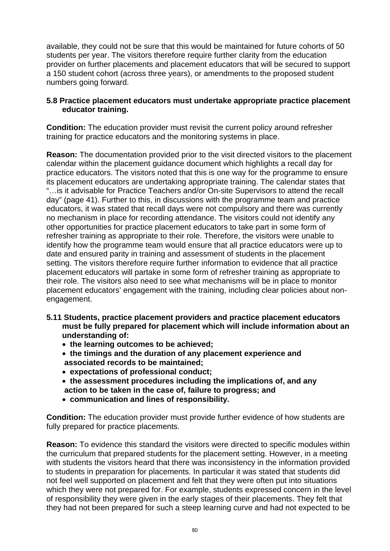available, they could not be sure that this would be maintained for future cohorts of 50 students per year. The visitors therefore require further clarity from the education provider on further placements and placement educators that will be secured to support a 150 student cohort (across three years), or amendments to the proposed student numbers going forward.

# **5.8 Practice placement educators must undertake appropriate practice placement educator training.**

**Condition:** The education provider must revisit the current policy around refresher training for practice educators and the monitoring systems in place.

**Reason:** The documentation provided prior to the visit directed visitors to the placement calendar within the placement guidance document which highlights a recall day for practice educators. The visitors noted that this is one way for the programme to ensure its placement educators are undertaking appropriate training. The calendar states that "…is it advisable for Practice Teachers and/or On-site Supervisors to attend the recall day" (page 41). Further to this, in discussions with the programme team and practice educators, it was stated that recall days were not compulsory and there was currently no mechanism in place for recording attendance. The visitors could not identify any other opportunities for practice placement educators to take part in some form of refresher training as appropriate to their role. Therefore, the visitors were unable to identify how the programme team would ensure that all practice educators were up to date and ensured parity in training and assessment of students in the placement setting. The visitors therefore require further information to evidence that all practice placement educators will partake in some form of refresher training as appropriate to their role. The visitors also need to see what mechanisms will be in place to monitor placement educators' engagement with the training, including clear policies about nonengagement.

- **5.11 Students, practice placement providers and practice placement educators must be fully prepared for placement which will include information about an understanding of:** 
	- **the learning outcomes to be achieved;**
	- **the timings and the duration of any placement experience and associated records to be maintained;**
	- **expectations of professional conduct;**
	- **the assessment procedures including the implications of, and any action to be taken in the case of, failure to progress; and**
	- **communication and lines of responsibility.**

**Condition:** The education provider must provide further evidence of how students are fully prepared for practice placements.

**Reason:** To evidence this standard the visitors were directed to specific modules within the curriculum that prepared students for the placement setting. However, in a meeting with students the visitors heard that there was inconsistency in the information provided to students in preparation for placements. In particular it was stated that students did not feel well supported on placement and felt that they were often put into situations which they were not prepared for. For example, students expressed concern in the level of responsibility they were given in the early stages of their placements. They felt that they had not been prepared for such a steep learning curve and had not expected to be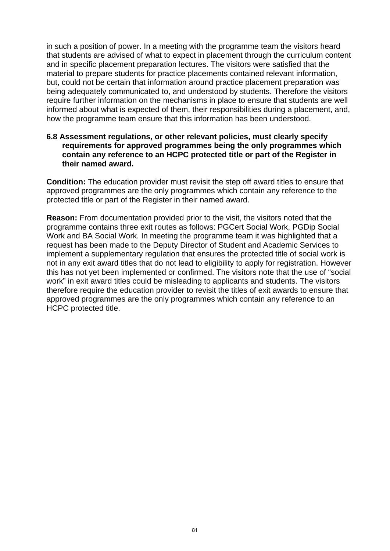in such a position of power. In a meeting with the programme team the visitors heard that students are advised of what to expect in placement through the curriculum content and in specific placement preparation lectures. The visitors were satisfied that the material to prepare students for practice placements contained relevant information, but, could not be certain that information around practice placement preparation was being adequately communicated to, and understood by students. Therefore the visitors require further information on the mechanisms in place to ensure that students are well informed about what is expected of them, their responsibilities during a placement, and, how the programme team ensure that this information has been understood.

#### **6.8 Assessment regulations, or other relevant policies, must clearly specify requirements for approved programmes being the only programmes which contain any reference to an HCPC protected title or part of the Register in their named award.**

**Condition:** The education provider must revisit the step off award titles to ensure that approved programmes are the only programmes which contain any reference to the protected title or part of the Register in their named award.

**Reason:** From documentation provided prior to the visit, the visitors noted that the programme contains three exit routes as follows: PGCert Social Work, PGDip Social Work and BA Social Work. In meeting the programme team it was highlighted that a request has been made to the Deputy Director of Student and Academic Services to implement a supplementary regulation that ensures the protected title of social work is not in any exit award titles that do not lead to eligibility to apply for registration. However this has not yet been implemented or confirmed. The visitors note that the use of "social work" in exit award titles could be misleading to applicants and students. The visitors therefore require the education provider to revisit the titles of exit awards to ensure that approved programmes are the only programmes which contain any reference to an HCPC protected title.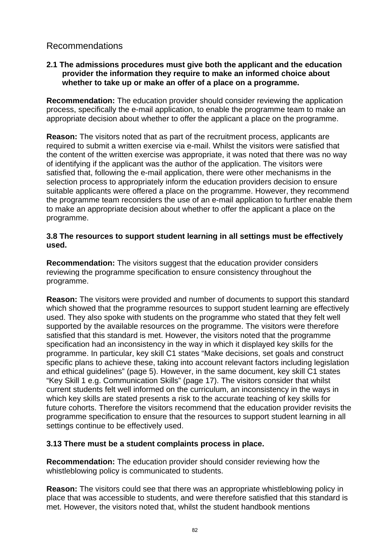# Recommendations

# **2.1 The admissions procedures must give both the applicant and the education provider the information they require to make an informed choice about whether to take up or make an offer of a place on a programme.**

**Recommendation:** The education provider should consider reviewing the application process, specifically the e-mail application, to enable the programme team to make an appropriate decision about whether to offer the applicant a place on the programme.

**Reason:** The visitors noted that as part of the recruitment process, applicants are required to submit a written exercise via e-mail. Whilst the visitors were satisfied that the content of the written exercise was appropriate, it was noted that there was no way of identifying if the applicant was the author of the application. The visitors were satisfied that, following the e-mail application, there were other mechanisms in the selection process to appropriately inform the education providers decision to ensure suitable applicants were offered a place on the programme. However, they recommend the programme team reconsiders the use of an e-mail application to further enable them to make an appropriate decision about whether to offer the applicant a place on the programme.

### **3.8 The resources to support student learning in all settings must be effectively used.**

**Recommendation:** The visitors suggest that the education provider considers reviewing the programme specification to ensure consistency throughout the programme.

**Reason:** The visitors were provided and number of documents to support this standard which showed that the programme resources to support student learning are effectively used. They also spoke with students on the programme who stated that they felt well supported by the available resources on the programme. The visitors were therefore satisfied that this standard is met. However, the visitors noted that the programme specification had an inconsistency in the way in which it displayed key skills for the programme. In particular, key skill C1 states "Make decisions, set goals and construct specific plans to achieve these, taking into account relevant factors including legislation and ethical guidelines" (page 5). However, in the same document, key skill C1 states "Key Skill 1 e.g. Communication Skills" (page 17). The visitors consider that whilst current students felt well informed on the curriculum, an inconsistency in the ways in which key skills are stated presents a risk to the accurate teaching of key skills for future cohorts. Therefore the visitors recommend that the education provider revisits the programme specification to ensure that the resources to support student learning in all settings continue to be effectively used.

### **3.13 There must be a student complaints process in place.**

**Recommendation:** The education provider should consider reviewing how the whistleblowing policy is communicated to students.

**Reason:** The visitors could see that there was an appropriate whistleblowing policy in place that was accessible to students, and were therefore satisfied that this standard is met. However, the visitors noted that, whilst the student handbook mentions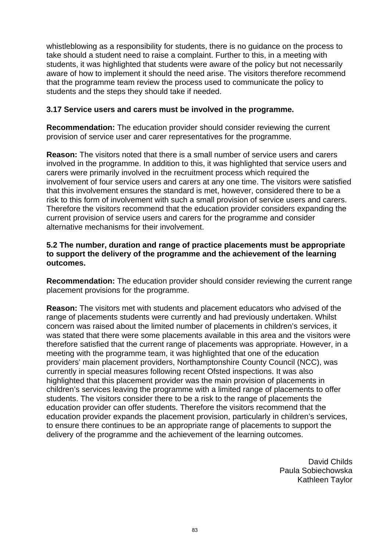whistleblowing as a responsibility for students, there is no guidance on the process to take should a student need to raise a complaint. Further to this, in a meeting with students, it was highlighted that students were aware of the policy but not necessarily aware of how to implement it should the need arise. The visitors therefore recommend that the programme team review the process used to communicate the policy to students and the steps they should take if needed.

# **3.17 Service users and carers must be involved in the programme.**

**Recommendation:** The education provider should consider reviewing the current provision of service user and carer representatives for the programme.

**Reason:** The visitors noted that there is a small number of service users and carers involved in the programme. In addition to this, it was highlighted that service users and carers were primarily involved in the recruitment process which required the involvement of four service users and carers at any one time. The visitors were satisfied that this involvement ensures the standard is met, however, considered there to be a risk to this form of involvement with such a small provision of service users and carers. Therefore the visitors recommend that the education provider considers expanding the current provision of service users and carers for the programme and consider alternative mechanisms for their involvement.

### **5.2 The number, duration and range of practice placements must be appropriate to support the delivery of the programme and the achievement of the learning outcomes.**

**Recommendation:** The education provider should consider reviewing the current range placement provisions for the programme.

**Reason:** The visitors met with students and placement educators who advised of the range of placements students were currently and had previously undertaken. Whilst concern was raised about the limited number of placements in children's services, it was stated that there were some placements available in this area and the visitors were therefore satisfied that the current range of placements was appropriate. However, in a meeting with the programme team, it was highlighted that one of the education providers' main placement providers, Northamptonshire County Council (NCC), was currently in special measures following recent Ofsted inspections. It was also highlighted that this placement provider was the main provision of placements in children's services leaving the programme with a limited range of placements to offer students. The visitors consider there to be a risk to the range of placements the education provider can offer students. Therefore the visitors recommend that the education provider expands the placement provision, particularly in children's services, to ensure there continues to be an appropriate range of placements to support the delivery of the programme and the achievement of the learning outcomes.

> David Childs Paula Sobiechowska Kathleen Taylor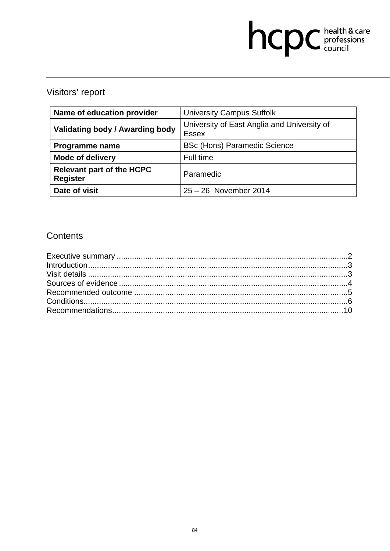# hcpc health & care

# Visitors' report

| Name of education provider                          | <b>University Campus Suffolk</b>                            |
|-----------------------------------------------------|-------------------------------------------------------------|
| Validating body / Awarding body                     | University of East Anglia and University of<br><b>Essex</b> |
| Programme name                                      | <b>BSc (Hons) Paramedic Science</b>                         |
| <b>Mode of delivery</b>                             | Full time                                                   |
| <b>Relevant part of the HCPC</b><br><b>Register</b> | Paramedic                                                   |
| Date of visit                                       | 25 - 26 November 2014                                       |

# **Contents**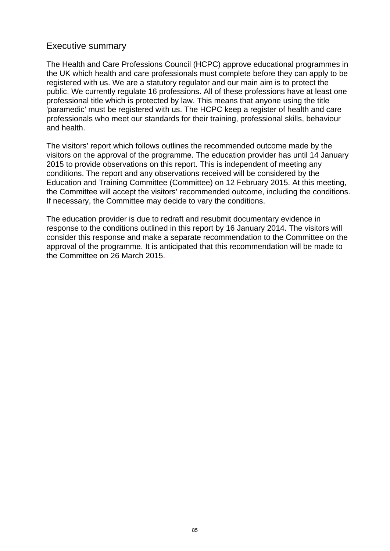# Executive summary

The Health and Care Professions Council (HCPC) approve educational programmes in the UK which health and care professionals must complete before they can apply to be registered with us. We are a statutory regulator and our main aim is to protect the public. We currently regulate 16 professions. All of these professions have at least one professional title which is protected by law. This means that anyone using the title 'paramedic' must be registered with us. The HCPC keep a register of health and care professionals who meet our standards for their training, professional skills, behaviour and health.

The visitors' report which follows outlines the recommended outcome made by the visitors on the approval of the programme. The education provider has until 14 January 2015 to provide observations on this report. This is independent of meeting any conditions. The report and any observations received will be considered by the Education and Training Committee (Committee) on 12 February 2015. At this meeting, the Committee will accept the visitors' recommended outcome, including the conditions. If necessary, the Committee may decide to vary the conditions.

The education provider is due to redraft and resubmit documentary evidence in response to the conditions outlined in this report by 16 January 2014. The visitors will consider this response and make a separate recommendation to the Committee on the approval of the programme. It is anticipated that this recommendation will be made to the Committee on 26 March 2015.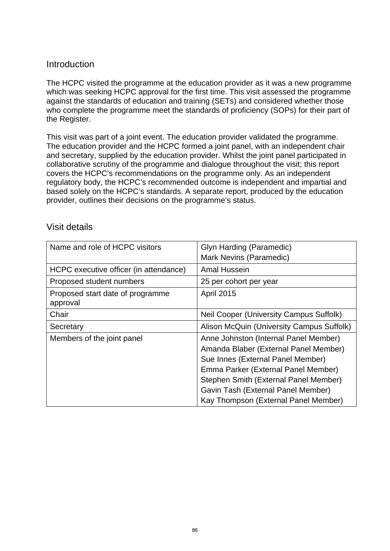# Introduction

The HCPC visited the programme at the education provider as it was a new programme which was seeking HCPC approval for the first time. This visit assessed the programme against the standards of education and training (SETs) and considered whether those who complete the programme meet the standards of proficiency (SOPs) for their part of the Register.

This visit was part of a joint event. The education provider validated the programme. The education provider and the HCPC formed a joint panel, with an independent chair and secretary, supplied by the education provider. Whilst the joint panel participated in collaborative scrutiny of the programme and dialogue throughout the visit; this report covers the HCPC's recommendations on the programme only. As an independent regulatory body, the HCPC's recommended outcome is independent and impartial and based solely on the HCPC's standards. A separate report, produced by the education provider, outlines their decisions on the programme's status.

# Visit details

| Name and role of HCPC visitors               | <b>Glyn Harding (Paramedic)</b>           |
|----------------------------------------------|-------------------------------------------|
|                                              | Mark Nevins (Paramedic)                   |
| HCPC executive officer (in attendance)       | Amal Hussein                              |
| Proposed student numbers                     | 25 per cohort per year                    |
| Proposed start date of programme<br>approval | <b>April 2015</b>                         |
| Chair                                        | Neil Cooper (University Campus Suffolk)   |
| Secretary                                    | Alison McQuin (University Campus Suffolk) |
| Members of the joint panel                   | Anne Johnston (Internal Panel Member)     |
|                                              | Amanda Blaber (External Panel Member)     |
|                                              | Sue Innes (External Panel Member)         |
|                                              | Emma Parker (External Panel Member)       |
|                                              | Stephen Smith (External Panel Member)     |
|                                              | Gavin Tash (External Panel Member)        |
|                                              | Kay Thompson (External Panel Member)      |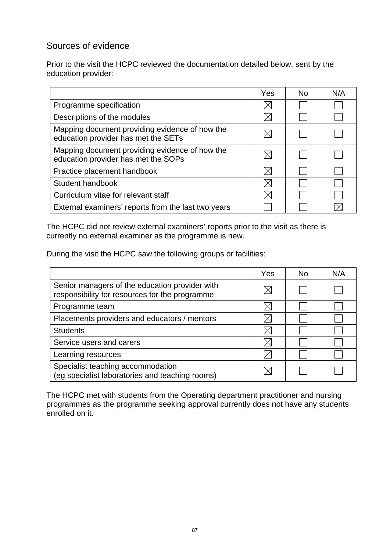# Sources of evidence

Prior to the visit the HCPC reviewed the documentation detailed below, sent by the education provider:

|                                                                                       | Yes | No. | N/A |
|---------------------------------------------------------------------------------------|-----|-----|-----|
| Programme specification                                                               |     |     |     |
| Descriptions of the modules                                                           |     |     |     |
| Mapping document providing evidence of how the<br>education provider has met the SETs |     |     |     |
| Mapping document providing evidence of how the<br>education provider has met the SOPs |     |     |     |
| Practice placement handbook                                                           |     |     |     |
| Student handbook                                                                      |     |     |     |
| Curriculum vitae for relevant staff                                                   |     |     |     |
| External examiners' reports from the last two years                                   |     |     |     |

The HCPC did not review external examiners' reports prior to the visit as there is currently no external examiner as the programme is new.

During the visit the HCPC saw the following groups or facilities:

|                                                                                                  | Yes | No. | N/A |
|--------------------------------------------------------------------------------------------------|-----|-----|-----|
| Senior managers of the education provider with<br>responsibility for resources for the programme |     |     |     |
| Programme team                                                                                   |     |     |     |
| Placements providers and educators / mentors                                                     |     |     |     |
| <b>Students</b>                                                                                  |     |     |     |
| Service users and carers                                                                         |     |     |     |
| Learning resources                                                                               |     |     |     |
| Specialist teaching accommodation<br>(eg specialist laboratories and teaching rooms)             |     |     |     |

The HCPC met with students from the Operating department practitioner and nursing programmes as the programme seeking approval currently does not have any students enrolled on it.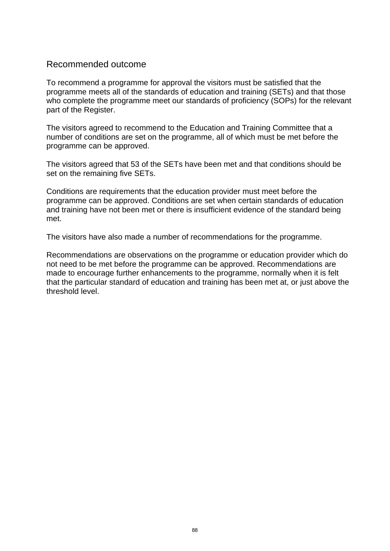# Recommended outcome

To recommend a programme for approval the visitors must be satisfied that the programme meets all of the standards of education and training (SETs) and that those who complete the programme meet our standards of proficiency (SOPs) for the relevant part of the Register.

The visitors agreed to recommend to the Education and Training Committee that a number of conditions are set on the programme, all of which must be met before the programme can be approved.

The visitors agreed that 53 of the SETs have been met and that conditions should be set on the remaining five SETs.

Conditions are requirements that the education provider must meet before the programme can be approved. Conditions are set when certain standards of education and training have not been met or there is insufficient evidence of the standard being met.

The visitors have also made a number of recommendations for the programme.

Recommendations are observations on the programme or education provider which do not need to be met before the programme can be approved. Recommendations are made to encourage further enhancements to the programme, normally when it is felt that the particular standard of education and training has been met at, or just above the threshold level.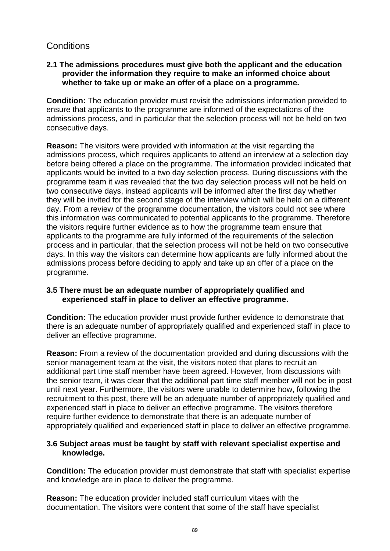# **Conditions**

# **2.1 The admissions procedures must give both the applicant and the education provider the information they require to make an informed choice about whether to take up or make an offer of a place on a programme.**

**Condition:** The education provider must revisit the admissions information provided to ensure that applicants to the programme are informed of the expectations of the admissions process, and in particular that the selection process will not be held on two consecutive days.

**Reason:** The visitors were provided with information at the visit regarding the admissions process, which requires applicants to attend an interview at a selection day before being offered a place on the programme. The information provided indicated that applicants would be invited to a two day selection process. During discussions with the programme team it was revealed that the two day selection process will not be held on two consecutive days, instead applicants will be informed after the first day whether they will be invited for the second stage of the interview which will be held on a different day. From a review of the programme documentation, the visitors could not see where this information was communicated to potential applicants to the programme. Therefore the visitors require further evidence as to how the programme team ensure that applicants to the programme are fully informed of the requirements of the selection process and in particular, that the selection process will not be held on two consecutive days. In this way the visitors can determine how applicants are fully informed about the admissions process before deciding to apply and take up an offer of a place on the programme.

# **3.5 There must be an adequate number of appropriately qualified and experienced staff in place to deliver an effective programme.**

**Condition:** The education provider must provide further evidence to demonstrate that there is an adequate number of appropriately qualified and experienced staff in place to deliver an effective programme.

**Reason:** From a review of the documentation provided and during discussions with the senior management team at the visit, the visitors noted that plans to recruit an additional part time staff member have been agreed. However, from discussions with the senior team, it was clear that the additional part time staff member will not be in post until next year. Furthermore, the visitors were unable to determine how, following the recruitment to this post, there will be an adequate number of appropriately qualified and experienced staff in place to deliver an effective programme. The visitors therefore require further evidence to demonstrate that there is an adequate number of appropriately qualified and experienced staff in place to deliver an effective programme.

# **3.6 Subject areas must be taught by staff with relevant specialist expertise and knowledge.**

**Condition:** The education provider must demonstrate that staff with specialist expertise and knowledge are in place to deliver the programme.

**Reason:** The education provider included staff curriculum vitaes with the documentation. The visitors were content that some of the staff have specialist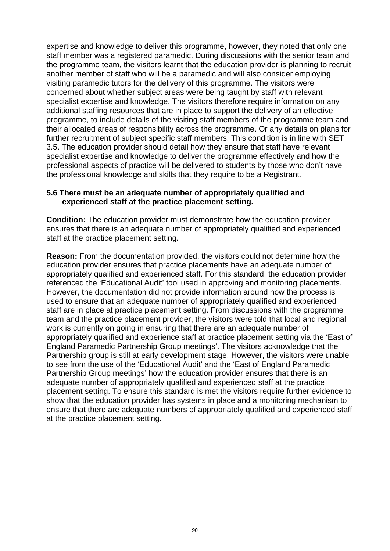expertise and knowledge to deliver this programme, however, they noted that only one staff member was a registered paramedic. During discussions with the senior team and the programme team, the visitors learnt that the education provider is planning to recruit another member of staff who will be a paramedic and will also consider employing visiting paramedic tutors for the delivery of this programme. The visitors were concerned about whether subject areas were being taught by staff with relevant specialist expertise and knowledge. The visitors therefore require information on any additional staffing resources that are in place to support the delivery of an effective programme, to include details of the visiting staff members of the programme team and their allocated areas of responsibility across the programme. Or any details on plans for further recruitment of subject specific staff members. This condition is in line with SET 3.5. The education provider should detail how they ensure that staff have relevant specialist expertise and knowledge to deliver the programme effectively and how the professional aspects of practice will be delivered to students by those who don't have the professional knowledge and skills that they require to be a Registrant.

### **5.6 There must be an adequate number of appropriately qualified and experienced staff at the practice placement setting.**

**Condition:** The education provider must demonstrate how the education provider ensures that there is an adequate number of appropriately qualified and experienced staff at the practice placement setting**.** 

**Reason:** From the documentation provided, the visitors could not determine how the education provider ensures that practice placements have an adequate number of appropriately qualified and experienced staff. For this standard, the education provider referenced the 'Educational Audit' tool used in approving and monitoring placements. However, the documentation did not provide information around how the process is used to ensure that an adequate number of appropriately qualified and experienced staff are in place at practice placement setting. From discussions with the programme team and the practice placement provider, the visitors were told that local and regional work is currently on going in ensuring that there are an adequate number of appropriately qualified and experience staff at practice placement setting via the 'East of England Paramedic Partnership Group meetings'. The visitors acknowledge that the Partnership group is still at early development stage. However, the visitors were unable to see from the use of the 'Educational Audit' and the 'East of England Paramedic Partnership Group meetings' how the education provider ensures that there is an adequate number of appropriately qualified and experienced staff at the practice placement setting. To ensure this standard is met the visitors require further evidence to show that the education provider has systems in place and a monitoring mechanism to ensure that there are adequate numbers of appropriately qualified and experienced staff at the practice placement setting.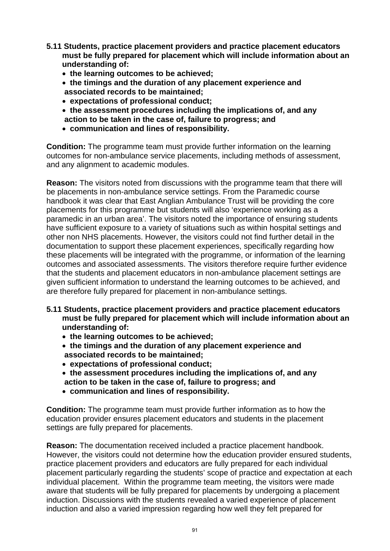- **5.11 Students, practice placement providers and practice placement educators must be fully prepared for placement which will include information about an understanding of:** 
	- **the learning outcomes to be achieved;**
	- **the timings and the duration of any placement experience and associated records to be maintained;**
	- **expectations of professional conduct;**
	- **the assessment procedures including the implications of, and any action to be taken in the case of, failure to progress; and**
	- **communication and lines of responsibility.**

**Condition:** The programme team must provide further information on the learning outcomes for non-ambulance service placements, including methods of assessment, and any alignment to academic modules.

**Reason:** The visitors noted from discussions with the programme team that there will be placements in non-ambulance service settings. From the Paramedic course handbook it was clear that East Anglian Ambulance Trust will be providing the core placements for this programme but students will also 'experience working as a paramedic in an urban area'. The visitors noted the importance of ensuring students have sufficient exposure to a variety of situations such as within hospital settings and other non NHS placements. However, the visitors could not find further detail in the documentation to support these placement experiences, specifically regarding how these placements will be integrated with the programme, or information of the learning outcomes and associated assessments. The visitors therefore require further evidence that the students and placement educators in non-ambulance placement settings are given sufficient information to understand the learning outcomes to be achieved, and are therefore fully prepared for placement in non-ambulance settings.

- **5.11 Students, practice placement providers and practice placement educators must be fully prepared for placement which will include information about an understanding of:** 
	- **the learning outcomes to be achieved;**
	- **the timings and the duration of any placement experience and associated records to be maintained;**
	- **expectations of professional conduct;**
	- **the assessment procedures including the implications of, and any action to be taken in the case of, failure to progress; and**
	- **communication and lines of responsibility.**

**Condition:** The programme team must provide further information as to how the education provider ensures placement educators and students in the placement settings are fully prepared for placements.

**Reason:** The documentation received included a practice placement handbook. However, the visitors could not determine how the education provider ensured students, practice placement providers and educators are fully prepared for each individual placement particularly regarding the students' scope of practice and expectation at each individual placement. Within the programme team meeting, the visitors were made aware that students will be fully prepared for placements by undergoing a placement induction. Discussions with the students revealed a varied experience of placement induction and also a varied impression regarding how well they felt prepared for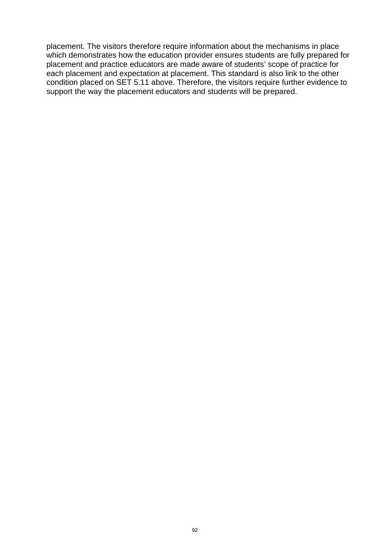placement. The visitors therefore require information about the mechanisms in place which demonstrates how the education provider ensures students are fully prepared for placement and practice educators are made aware of students' scope of practice for each placement and expectation at placement. This standard is also link to the other condition placed on SET 5.11 above. Therefore, the visitors require further evidence to support the way the placement educators and students will be prepared.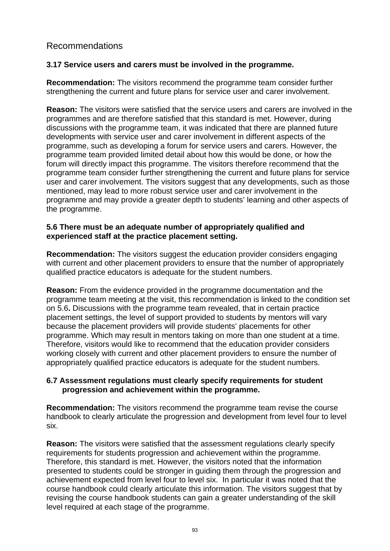# Recommendations

# **3.17 Service users and carers must be involved in the programme.**

**Recommendation:** The visitors recommend the programme team consider further strengthening the current and future plans for service user and carer involvement.

**Reason:** The visitors were satisfied that the service users and carers are involved in the programmes and are therefore satisfied that this standard is met. However, during discussions with the programme team, it was indicated that there are planned future developments with service user and carer involvement in different aspects of the programme, such as developing a forum for service users and carers. However, the programme team provided limited detail about how this would be done, or how the forum will directly impact this programme. The visitors therefore recommend that the programme team consider further strengthening the current and future plans for service user and carer involvement. The visitors suggest that any developments, such as those mentioned, may lead to more robust service user and carer involvement in the programme and may provide a greater depth to students' learning and other aspects of the programme.

### **5.6 There must be an adequate number of appropriately qualified and experienced staff at the practice placement setting.**

**Recommendation:** The visitors suggest the education provider considers engaging with current and other placement providers to ensure that the number of appropriately qualified practice educators is adequate for the student numbers.

**Reason:** From the evidence provided in the programme documentation and the programme team meeting at the visit, this recommendation is linked to the condition set on 5.6**.** Discussions with the programme team revealed, that in certain practice placement settings, the level of support provided to students by mentors will vary because the placement providers will provide students' placements for other programme. Which may result in mentors taking on more than one student at a time. Therefore, visitors would like to recommend that the education provider considers working closely with current and other placement providers to ensure the number of appropriately qualified practice educators is adequate for the student numbers.

### **6.7 Assessment regulations must clearly specify requirements for student progression and achievement within the programme.**

**Recommendation:** The visitors recommend the programme team revise the course handbook to clearly articulate the progression and development from level four to level six.

**Reason:** The visitors were satisfied that the assessment regulations clearly specify requirements for students progression and achievement within the programme. Therefore, this standard is met. However, the visitors noted that the information presented to students could be stronger in guiding them through the progression and achievement expected from level four to level six. In particular it was noted that the course handbook could clearly articulate this information. The visitors suggest that by revising the course handbook students can gain a greater understanding of the skill level required at each stage of the programme.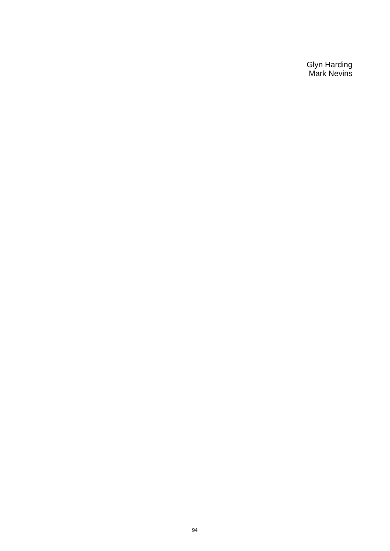Glyn Harding Mark Nevins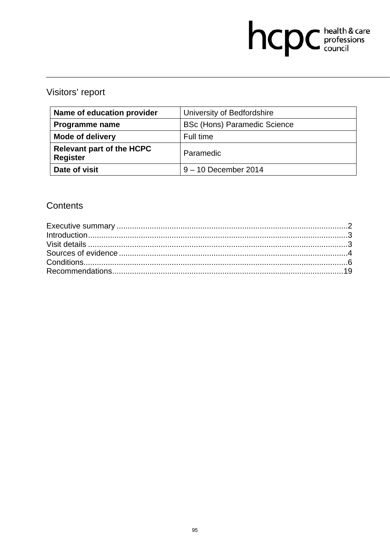# hcpc health & care

# Visitors' report

| Name of education provider                          | University of Bedfordshire          |
|-----------------------------------------------------|-------------------------------------|
| Programme name                                      | <b>BSc (Hons) Paramedic Science</b> |
| <b>Mode of delivery</b>                             | Full time                           |
| <b>Relevant part of the HCPC</b><br><b>Register</b> | Paramedic                           |
| Date of visit                                       | $9 - 10$ December 2014              |

# Contents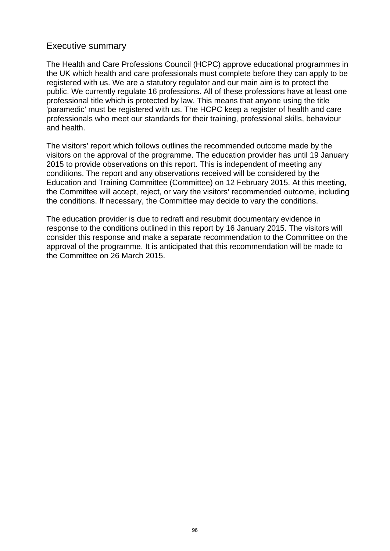# Executive summary

The Health and Care Professions Council (HCPC) approve educational programmes in the UK which health and care professionals must complete before they can apply to be registered with us. We are a statutory regulator and our main aim is to protect the public. We currently regulate 16 professions. All of these professions have at least one professional title which is protected by law. This means that anyone using the title 'paramedic' must be registered with us. The HCPC keep a register of health and care professionals who meet our standards for their training, professional skills, behaviour and health.

The visitors' report which follows outlines the recommended outcome made by the visitors on the approval of the programme. The education provider has until 19 January 2015 to provide observations on this report. This is independent of meeting any conditions. The report and any observations received will be considered by the Education and Training Committee (Committee) on 12 February 2015. At this meeting, the Committee will accept, reject, or vary the visitors' recommended outcome, including the conditions. If necessary, the Committee may decide to vary the conditions.

The education provider is due to redraft and resubmit documentary evidence in response to the conditions outlined in this report by 16 January 2015. The visitors will consider this response and make a separate recommendation to the Committee on the approval of the programme. It is anticipated that this recommendation will be made to the Committee on 26 March 2015.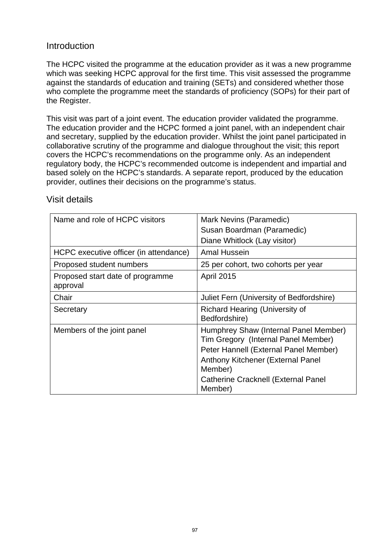# **Introduction**

The HCPC visited the programme at the education provider as it was a new programme which was seeking HCPC approval for the first time. This visit assessed the programme against the standards of education and training (SETs) and considered whether those who complete the programme meet the standards of proficiency (SOPs) for their part of the Register.

This visit was part of a joint event. The education provider validated the programme. The education provider and the HCPC formed a joint panel, with an independent chair and secretary, supplied by the education provider. Whilst the joint panel participated in collaborative scrutiny of the programme and dialogue throughout the visit; this report covers the HCPC's recommendations on the programme only. As an independent regulatory body, the HCPC's recommended outcome is independent and impartial and based solely on the HCPC's standards. A separate report, produced by the education provider, outlines their decisions on the programme's status.

| Name and role of HCPC visitors               | Mark Nevins (Paramedic)<br>Susan Boardman (Paramedic)<br>Diane Whitlock (Lay visitor)                                                                                                                                          |
|----------------------------------------------|--------------------------------------------------------------------------------------------------------------------------------------------------------------------------------------------------------------------------------|
| HCPC executive officer (in attendance)       | <b>Amal Hussein</b>                                                                                                                                                                                                            |
| Proposed student numbers                     | 25 per cohort, two cohorts per year                                                                                                                                                                                            |
| Proposed start date of programme<br>approval | <b>April 2015</b>                                                                                                                                                                                                              |
| Chair                                        | Juliet Fern (University of Bedfordshire)                                                                                                                                                                                       |
| Secretary                                    | <b>Richard Hearing (University of</b><br>Bedfordshire)                                                                                                                                                                         |
| Members of the joint panel                   | Humphrey Shaw (Internal Panel Member)<br>Tim Gregory (Internal Panel Member)<br>Peter Hannell (External Panel Member)<br>Anthony Kitchener (External Panel<br>Member)<br><b>Catherine Cracknell (External Panel</b><br>Member) |

# Visit details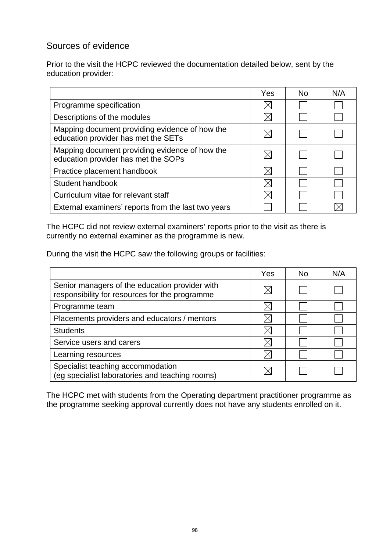# Sources of evidence

Prior to the visit the HCPC reviewed the documentation detailed below, sent by the education provider:

|                                                                                       | Yes | No. | N/A |
|---------------------------------------------------------------------------------------|-----|-----|-----|
| Programme specification                                                               |     |     |     |
| Descriptions of the modules                                                           |     |     |     |
| Mapping document providing evidence of how the<br>education provider has met the SETs |     |     |     |
| Mapping document providing evidence of how the<br>education provider has met the SOPs |     |     |     |
| Practice placement handbook                                                           |     |     |     |
| Student handbook                                                                      |     |     |     |
| Curriculum vitae for relevant staff                                                   |     |     |     |
| External examiners' reports from the last two years                                   |     |     |     |

The HCPC did not review external examiners' reports prior to the visit as there is currently no external examiner as the programme is new.

During the visit the HCPC saw the following groups or facilities:

|                                                                                                  | Yes | No. | N/A |
|--------------------------------------------------------------------------------------------------|-----|-----|-----|
| Senior managers of the education provider with<br>responsibility for resources for the programme |     |     |     |
| Programme team                                                                                   |     |     |     |
| Placements providers and educators / mentors                                                     |     |     |     |
| <b>Students</b>                                                                                  |     |     |     |
| Service users and carers                                                                         |     |     |     |
| Learning resources                                                                               |     |     |     |
| Specialist teaching accommodation<br>(eg specialist laboratories and teaching rooms)             |     |     |     |

The HCPC met with students from the Operating department practitioner programme as the programme seeking approval currently does not have any students enrolled on it.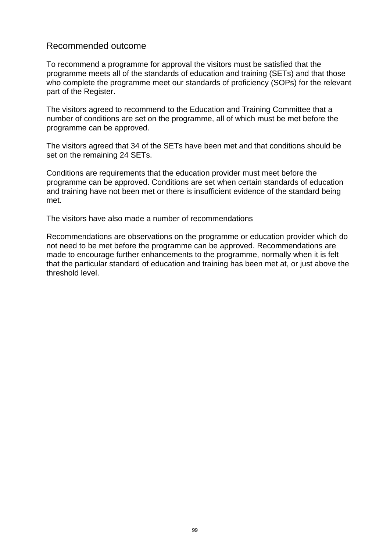# Recommended outcome

To recommend a programme for approval the visitors must be satisfied that the programme meets all of the standards of education and training (SETs) and that those who complete the programme meet our standards of proficiency (SOPs) for the relevant part of the Register.

The visitors agreed to recommend to the Education and Training Committee that a number of conditions are set on the programme, all of which must be met before the programme can be approved.

The visitors agreed that 34 of the SETs have been met and that conditions should be set on the remaining 24 SETs.

Conditions are requirements that the education provider must meet before the programme can be approved. Conditions are set when certain standards of education and training have not been met or there is insufficient evidence of the standard being met.

The visitors have also made a number of recommendations

Recommendations are observations on the programme or education provider which do not need to be met before the programme can be approved. Recommendations are made to encourage further enhancements to the programme, normally when it is felt that the particular standard of education and training has been met at, or just above the threshold level.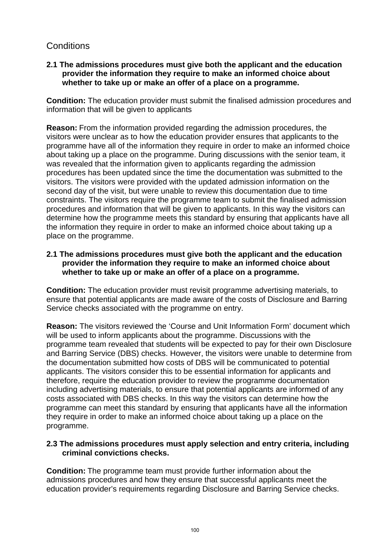# **Conditions**

**2.1 The admissions procedures must give both the applicant and the education provider the information they require to make an informed choice about whether to take up or make an offer of a place on a programme.** 

**Condition:** The education provider must submit the finalised admission procedures and information that will be given to applicants

**Reason:** From the information provided regarding the admission procedures, the visitors were unclear as to how the education provider ensures that applicants to the programme have all of the information they require in order to make an informed choice about taking up a place on the programme. During discussions with the senior team, it was revealed that the information given to applicants regarding the admission procedures has been updated since the time the documentation was submitted to the visitors. The visitors were provided with the updated admission information on the second day of the visit, but were unable to review this documentation due to time constraints. The visitors require the programme team to submit the finalised admission procedures and information that will be given to applicants. In this way the visitors can determine how the programme meets this standard by ensuring that applicants have all the information they require in order to make an informed choice about taking up a place on the programme.

## **2.1 The admissions procedures must give both the applicant and the education provider the information they require to make an informed choice about whether to take up or make an offer of a place on a programme.**

**Condition:** The education provider must revisit programme advertising materials, to ensure that potential applicants are made aware of the costs of Disclosure and Barring Service checks associated with the programme on entry.

**Reason:** The visitors reviewed the 'Course and Unit Information Form' document which will be used to inform applicants about the programme. Discussions with the programme team revealed that students will be expected to pay for their own Disclosure and Barring Service (DBS) checks. However, the visitors were unable to determine from the documentation submitted how costs of DBS will be communicated to potential applicants. The visitors consider this to be essential information for applicants and therefore, require the education provider to review the programme documentation including advertising materials, to ensure that potential applicants are informed of any costs associated with DBS checks. In this way the visitors can determine how the programme can meet this standard by ensuring that applicants have all the information they require in order to make an informed choice about taking up a place on the programme.

# **2.3 The admissions procedures must apply selection and entry criteria, including criminal convictions checks.**

**Condition:** The programme team must provide further information about the admissions procedures and how they ensure that successful applicants meet the education provider's requirements regarding Disclosure and Barring Service checks.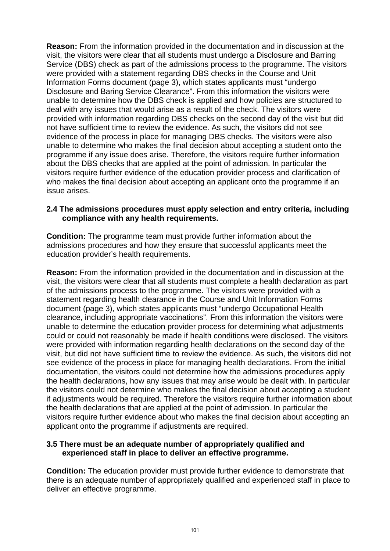**Reason:** From the information provided in the documentation and in discussion at the visit, the visitors were clear that all students must undergo a Disclosure and Barring Service (DBS) check as part of the admissions process to the programme. The visitors were provided with a statement regarding DBS checks in the Course and Unit Information Forms document (page 3), which states applicants must "undergo Disclosure and Baring Service Clearance". From this information the visitors were unable to determine how the DBS check is applied and how policies are structured to deal with any issues that would arise as a result of the check. The visitors were provided with information regarding DBS checks on the second day of the visit but did not have sufficient time to review the evidence. As such, the visitors did not see evidence of the process in place for managing DBS checks. The visitors were also unable to determine who makes the final decision about accepting a student onto the programme if any issue does arise. Therefore, the visitors require further information about the DBS checks that are applied at the point of admission. In particular the visitors require further evidence of the education provider process and clarification of who makes the final decision about accepting an applicant onto the programme if an issue arises.

#### **2.4 The admissions procedures must apply selection and entry criteria, including compliance with any health requirements.**

**Condition:** The programme team must provide further information about the admissions procedures and how they ensure that successful applicants meet the education provider's health requirements.

**Reason:** From the information provided in the documentation and in discussion at the visit, the visitors were clear that all students must complete a health declaration as part of the admissions process to the programme. The visitors were provided with a statement regarding health clearance in the Course and Unit Information Forms document (page 3), which states applicants must "undergo Occupational Health clearance, including appropriate vaccinations". From this information the visitors were unable to determine the education provider process for determining what adjustments could or could not reasonably be made if health conditions were disclosed. The visitors were provided with information regarding health declarations on the second day of the visit, but did not have sufficient time to review the evidence. As such, the visitors did not see evidence of the process in place for managing health declarations. From the initial documentation, the visitors could not determine how the admissions procedures apply the health declarations, how any issues that may arise would be dealt with. In particular the visitors could not determine who makes the final decision about accepting a student if adjustments would be required. Therefore the visitors require further information about the health declarations that are applied at the point of admission. In particular the visitors require further evidence about who makes the final decision about accepting an applicant onto the programme if adjustments are required.

### **3.5 There must be an adequate number of appropriately qualified and experienced staff in place to deliver an effective programme.**

**Condition:** The education provider must provide further evidence to demonstrate that there is an adequate number of appropriately qualified and experienced staff in place to deliver an effective programme.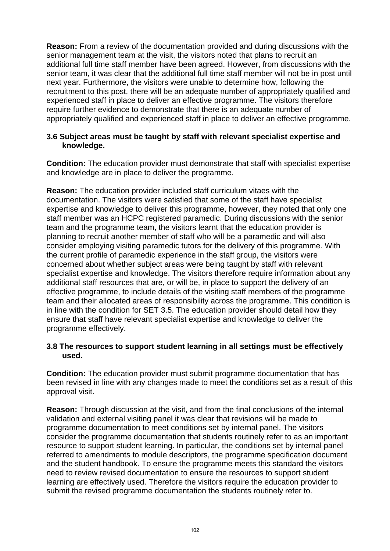**Reason:** From a review of the documentation provided and during discussions with the senior management team at the visit, the visitors noted that plans to recruit an additional full time staff member have been agreed. However, from discussions with the senior team, it was clear that the additional full time staff member will not be in post until next year. Furthermore, the visitors were unable to determine how, following the recruitment to this post, there will be an adequate number of appropriately qualified and experienced staff in place to deliver an effective programme. The visitors therefore require further evidence to demonstrate that there is an adequate number of appropriately qualified and experienced staff in place to deliver an effective programme.

### **3.6 Subject areas must be taught by staff with relevant specialist expertise and knowledge.**

**Condition:** The education provider must demonstrate that staff with specialist expertise and knowledge are in place to deliver the programme.

**Reason:** The education provider included staff curriculum vitaes with the documentation. The visitors were satisfied that some of the staff have specialist expertise and knowledge to deliver this programme, however, they noted that only one staff member was an HCPC registered paramedic. During discussions with the senior team and the programme team, the visitors learnt that the education provider is planning to recruit another member of staff who will be a paramedic and will also consider employing visiting paramedic tutors for the delivery of this programme. With the current profile of paramedic experience in the staff group, the visitors were concerned about whether subject areas were being taught by staff with relevant specialist expertise and knowledge. The visitors therefore require information about any additional staff resources that are, or will be, in place to support the delivery of an effective programme, to include details of the visiting staff members of the programme team and their allocated areas of responsibility across the programme. This condition is in line with the condition for SET 3.5. The education provider should detail how they ensure that staff have relevant specialist expertise and knowledge to deliver the programme effectively.

# **3.8 The resources to support student learning in all settings must be effectively used.**

**Condition:** The education provider must submit programme documentation that has been revised in line with any changes made to meet the conditions set as a result of this approval visit.

**Reason:** Through discussion at the visit, and from the final conclusions of the internal validation and external visiting panel it was clear that revisions will be made to programme documentation to meet conditions set by internal panel. The visitors consider the programme documentation that students routinely refer to as an important resource to support student learning. In particular, the conditions set by internal panel referred to amendments to module descriptors, the programme specification document and the student handbook. To ensure the programme meets this standard the visitors need to review revised documentation to ensure the resources to support student learning are effectively used. Therefore the visitors require the education provider to submit the revised programme documentation the students routinely refer to.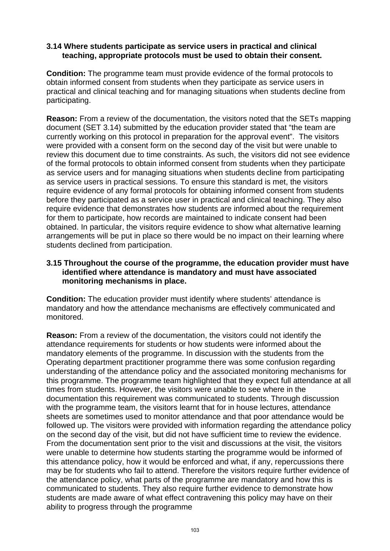#### **3.14 Where students participate as service users in practical and clinical teaching, appropriate protocols must be used to obtain their consent.**

**Condition:** The programme team must provide evidence of the formal protocols to obtain informed consent from students when they participate as service users in practical and clinical teaching and for managing situations when students decline from participating.

**Reason:** From a review of the documentation, the visitors noted that the SETs mapping document (SET 3.14) submitted by the education provider stated that "the team are currently working on this protocol in preparation for the approval event". The visitors were provided with a consent form on the second day of the visit but were unable to review this document due to time constraints. As such, the visitors did not see evidence of the formal protocols to obtain informed consent from students when they participate as service users and for managing situations when students decline from participating as service users in practical sessions. To ensure this standard is met, the visitors require evidence of any formal protocols for obtaining informed consent from students before they participated as a service user in practical and clinical teaching. They also require evidence that demonstrates how students are informed about the requirement for them to participate, how records are maintained to indicate consent had been obtained. In particular, the visitors require evidence to show what alternative learning arrangements will be put in place so there would be no impact on their learning where students declined from participation.

#### **3.15 Throughout the course of the programme, the education provider must have identified where attendance is mandatory and must have associated monitoring mechanisms in place.**

**Condition:** The education provider must identify where students' attendance is mandatory and how the attendance mechanisms are effectively communicated and monitored.

**Reason:** From a review of the documentation, the visitors could not identify the attendance requirements for students or how students were informed about the mandatory elements of the programme. In discussion with the students from the Operating department practitioner programme there was some confusion regarding understanding of the attendance policy and the associated monitoring mechanisms for this programme. The programme team highlighted that they expect full attendance at all times from students. However, the visitors were unable to see where in the documentation this requirement was communicated to students. Through discussion with the programme team, the visitors learnt that for in house lectures, attendance sheets are sometimes used to monitor attendance and that poor attendance would be followed up. The visitors were provided with information regarding the attendance policy on the second day of the visit, but did not have sufficient time to review the evidence. From the documentation sent prior to the visit and discussions at the visit, the visitors were unable to determine how students starting the programme would be informed of this attendance policy, how it would be enforced and what, if any, repercussions there may be for students who fail to attend. Therefore the visitors require further evidence of the attendance policy, what parts of the programme are mandatory and how this is communicated to students. They also require further evidence to demonstrate how students are made aware of what effect contravening this policy may have on their ability to progress through the programme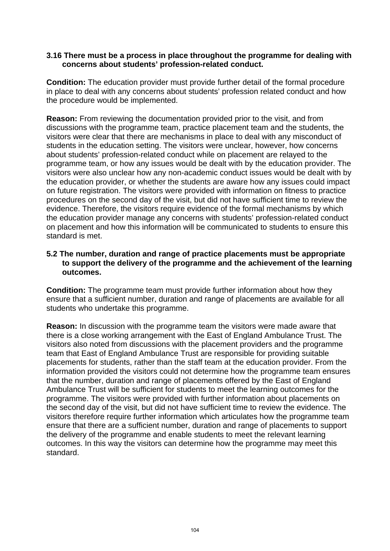#### **3.16 There must be a process in place throughout the programme for dealing with concerns about students' profession-related conduct.**

**Condition:** The education provider must provide further detail of the formal procedure in place to deal with any concerns about students' profession related conduct and how the procedure would be implemented.

**Reason:** From reviewing the documentation provided prior to the visit, and from discussions with the programme team, practice placement team and the students, the visitors were clear that there are mechanisms in place to deal with any misconduct of students in the education setting. The visitors were unclear, however, how concerns about students' profession-related conduct while on placement are relayed to the programme team, or how any issues would be dealt with by the education provider. The visitors were also unclear how any non-academic conduct issues would be dealt with by the education provider, or whether the students are aware how any issues could impact on future registration. The visitors were provided with information on fitness to practice procedures on the second day of the visit, but did not have sufficient time to review the evidence. Therefore, the visitors require evidence of the formal mechanisms by which the education provider manage any concerns with students' profession-related conduct on placement and how this information will be communicated to students to ensure this standard is met.

# **5.2 The number, duration and range of practice placements must be appropriate to support the delivery of the programme and the achievement of the learning outcomes.**

**Condition:** The programme team must provide further information about how they ensure that a sufficient number, duration and range of placements are available for all students who undertake this programme.

**Reason:** In discussion with the programme team the visitors were made aware that there is a close working arrangement with the East of England Ambulance Trust. The visitors also noted from discussions with the placement providers and the programme team that East of England Ambulance Trust are responsible for providing suitable placements for students, rather than the staff team at the education provider. From the information provided the visitors could not determine how the programme team ensures that the number, duration and range of placements offered by the East of England Ambulance Trust will be sufficient for students to meet the learning outcomes for the programme. The visitors were provided with further information about placements on the second day of the visit, but did not have sufficient time to review the evidence. The visitors therefore require further information which articulates how the programme team ensure that there are a sufficient number, duration and range of placements to support the delivery of the programme and enable students to meet the relevant learning outcomes. In this way the visitors can determine how the programme may meet this standard.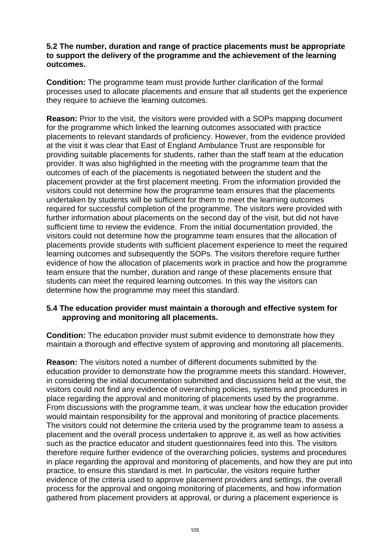### **5.2 The number, duration and range of practice placements must be appropriate to support the delivery of the programme and the achievement of the learning outcomes.**

**Condition:** The programme team must provide further clarification of the formal processes used to allocate placements and ensure that all students get the experience they require to achieve the learning outcomes.

**Reason:** Prior to the visit, the visitors were provided with a SOPs mapping document for the programme which linked the learning outcomes associated with practice placements to relevant standards of proficiency. However, from the evidence provided at the visit it was clear that East of England Ambulance Trust are responsible for providing suitable placements for students, rather than the staff team at the education provider. It was also highlighted in the meeting with the programme team that the outcomes of each of the placements is negotiated between the student and the placement provider at the first placement meeting. From the information provided the visitors could not determine how the programme team ensures that the placements undertaken by students will be sufficient for them to meet the learning outcomes required for successful completion of the programme. The visitors were provided with further information about placements on the second day of the visit, but did not have sufficient time to review the evidence. From the initial documentation provided, the visitors could not determine how the programme team ensures that the allocation of placements provide students with sufficient placement experience to meet the required learning outcomes and subsequently the SOPs. The visitors therefore require further evidence of how the allocation of placements work in practice and how the programme team ensure that the number, duration and range of these placements ensure that students can meet the required learning outcomes. In this way the visitors can determine how the programme may meet this standard.

### **5.4 The education provider must maintain a thorough and effective system for approving and monitoring all placements.**

**Condition:** The education provider must submit evidence to demonstrate how they maintain a thorough and effective system of approving and monitoring all placements.

**Reason:** The visitors noted a number of different documents submitted by the education provider to demonstrate how the programme meets this standard. However, in considering the initial documentation submitted and discussions held at the visit, the visitors could not find any evidence of overarching policies, systems and procedures in place regarding the approval and monitoring of placements used by the programme. From discussions with the programme team, it was unclear how the education provider would maintain responsibility for the approval and monitoring of practice placements. The visitors could not determine the criteria used by the programme team to assess a placement and the overall process undertaken to approve it, as well as how activities such as the practice educator and student questionnaires feed into this. The visitors therefore require further evidence of the overarching policies, systems and procedures in place regarding the approval and monitoring of placements, and how they are put into practice, to ensure this standard is met. In particular, the visitors require further evidence of the criteria used to approve placement providers and settings, the overall process for the approval and ongoing monitoring of placements, and how information gathered from placement providers at approval, or during a placement experience is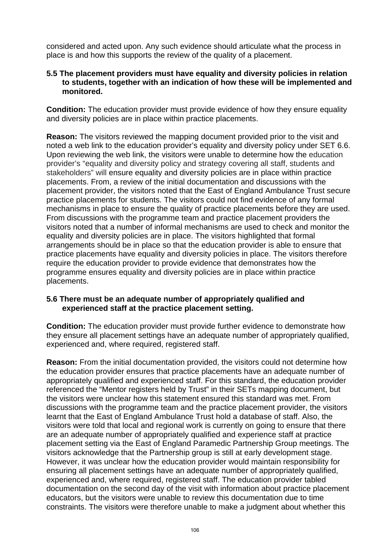considered and acted upon. Any such evidence should articulate what the process in place is and how this supports the review of the quality of a placement.

### **5.5 The placement providers must have equality and diversity policies in relation to students, together with an indication of how these will be implemented and monitored.**

**Condition:** The education provider must provide evidence of how they ensure equality and diversity policies are in place within practice placements.

**Reason:** The visitors reviewed the mapping document provided prior to the visit and noted a web link to the education provider's equality and diversity policy under SET 6.6. Upon reviewing the web link, the visitors were unable to determine how the education provider's "equality and diversity policy and strategy covering all staff, students and stakeholders" will ensure equality and diversity policies are in place within practice placements. From, a review of the initial documentation and discussions with the placement provider, the visitors noted that the East of England Ambulance Trust secure practice placements for students. The visitors could not find evidence of any formal mechanisms in place to ensure the quality of practice placements before they are used. From discussions with the programme team and practice placement providers the visitors noted that a number of informal mechanisms are used to check and monitor the equality and diversity policies are in place. The visitors highlighted that formal arrangements should be in place so that the education provider is able to ensure that practice placements have equality and diversity policies in place. The visitors therefore require the education provider to provide evidence that demonstrates how the programme ensures equality and diversity policies are in place within practice placements.

# **5.6 There must be an adequate number of appropriately qualified and experienced staff at the practice placement setting.**

**Condition:** The education provider must provide further evidence to demonstrate how they ensure all placement settings have an adequate number of appropriately qualified, experienced and, where required, registered staff.

**Reason:** From the initial documentation provided, the visitors could not determine how the education provider ensures that practice placements have an adequate number of appropriately qualified and experienced staff. For this standard, the education provider referenced the "Mentor registers held by Trust" in their SETs mapping document, but the visitors were unclear how this statement ensured this standard was met. From discussions with the programme team and the practice placement provider, the visitors learnt that the East of England Ambulance Trust hold a database of staff. Also, the visitors were told that local and regional work is currently on going to ensure that there are an adequate number of appropriately qualified and experience staff at practice placement setting via the East of England Paramedic Partnership Group meetings. The visitors acknowledge that the Partnership group is still at early development stage. However, it was unclear how the education provider would maintain responsibility for ensuring all placement settings have an adequate number of appropriately qualified, experienced and, where required, registered staff. The education provider tabled documentation on the second day of the visit with information about practice placement educators, but the visitors were unable to review this documentation due to time constraints. The visitors were therefore unable to make a judgment about whether this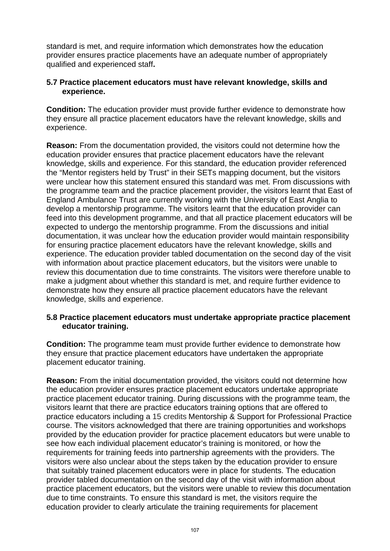standard is met, and require information which demonstrates how the education provider ensures practice placements have an adequate number of appropriately qualified and experienced staff**.** 

#### **5.7 Practice placement educators must have relevant knowledge, skills and experience.**

**Condition:** The education provider must provide further evidence to demonstrate how they ensure all practice placement educators have the relevant knowledge, skills and experience.

**Reason:** From the documentation provided, the visitors could not determine how the education provider ensures that practice placement educators have the relevant knowledge, skills and experience. For this standard, the education provider referenced the "Mentor registers held by Trust" in their SETs mapping document, but the visitors were unclear how this statement ensured this standard was met. From discussions with the programme team and the practice placement provider, the visitors learnt that East of England Ambulance Trust are currently working with the University of East Anglia to develop a mentorship programme. The visitors learnt that the education provider can feed into this development programme, and that all practice placement educators will be expected to undergo the mentorship programme. From the discussions and initial documentation, it was unclear how the education provider would maintain responsibility for ensuring practice placement educators have the relevant knowledge, skills and experience. The education provider tabled documentation on the second day of the visit with information about practice placement educators, but the visitors were unable to review this documentation due to time constraints. The visitors were therefore unable to make a judgment about whether this standard is met, and require further evidence to demonstrate how they ensure all practice placement educators have the relevant knowledge, skills and experience.

# **5.8 Practice placement educators must undertake appropriate practice placement educator training.**

**Condition:** The programme team must provide further evidence to demonstrate how they ensure that practice placement educators have undertaken the appropriate placement educator training.

**Reason:** From the initial documentation provided, the visitors could not determine how the education provider ensures practice placement educators undertake appropriate practice placement educator training. During discussions with the programme team, the visitors learnt that there are practice educators training options that are offered to practice educators including a 15 credits Mentorship & Support for Professional Practice course. The visitors acknowledged that there are training opportunities and workshops provided by the education provider for practice placement educators but were unable to see how each individual placement educator's training is monitored, or how the requirements for training feeds into partnership agreements with the providers. The visitors were also unclear about the steps taken by the education provider to ensure that suitably trained placement educators were in place for students. The education provider tabled documentation on the second day of the visit with information about practice placement educators, but the visitors were unable to review this documentation due to time constraints. To ensure this standard is met, the visitors require the education provider to clearly articulate the training requirements for placement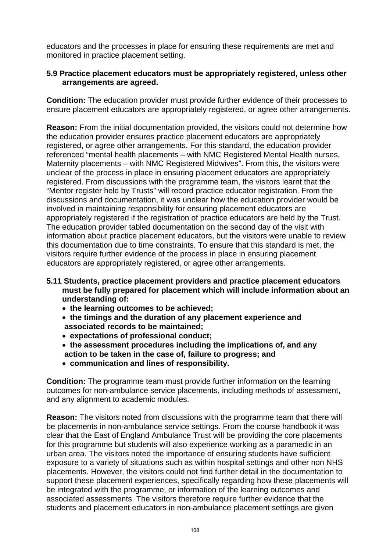educators and the processes in place for ensuring these requirements are met and monitored in practice placement setting.

# **5.9 Practice placement educators must be appropriately registered, unless other arrangements are agreed.**

**Condition:** The education provider must provide further evidence of their processes to ensure placement educators are appropriately registered, or agree other arrangements.

**Reason:** From the initial documentation provided, the visitors could not determine how the education provider ensures practice placement educators are appropriately registered, or agree other arrangements. For this standard, the education provider referenced "mental health placements – with NMC Registered Mental Health nurses, Maternity placements – with NMC Registered Midwives". From this, the visitors were unclear of the process in place in ensuring placement educators are appropriately registered. From discussions with the programme team, the visitors learnt that the "Mentor register held by Trusts" will record practice educator registration. From the discussions and documentation, it was unclear how the education provider would be involved in maintaining responsibility for ensuring placement educators are appropriately registered if the registration of practice educators are held by the Trust. The education provider tabled documentation on the second day of the visit with information about practice placement educators, but the visitors were unable to review this documentation due to time constraints. To ensure that this standard is met, the visitors require further evidence of the process in place in ensuring placement educators are appropriately registered, or agree other arrangements.

- **5.11 Students, practice placement providers and practice placement educators must be fully prepared for placement which will include information about an understanding of:** 
	- **the learning outcomes to be achieved;**
	- **the timings and the duration of any placement experience and associated records to be maintained;**
	- **expectations of professional conduct;**
	- **the assessment procedures including the implications of, and any action to be taken in the case of, failure to progress; and**
	- **communication and lines of responsibility.**

**Condition:** The programme team must provide further information on the learning outcomes for non-ambulance service placements, including methods of assessment, and any alignment to academic modules.

**Reason:** The visitors noted from discussions with the programme team that there will be placements in non-ambulance service settings. From the course handbook it was clear that the East of England Ambulance Trust will be providing the core placements for this programme but students will also experience working as a paramedic in an urban area. The visitors noted the importance of ensuring students have sufficient exposure to a variety of situations such as within hospital settings and other non NHS placements. However, the visitors could not find further detail in the documentation to support these placement experiences, specifically regarding how these placements will be integrated with the programme, or information of the learning outcomes and associated assessments. The visitors therefore require further evidence that the students and placement educators in non-ambulance placement settings are given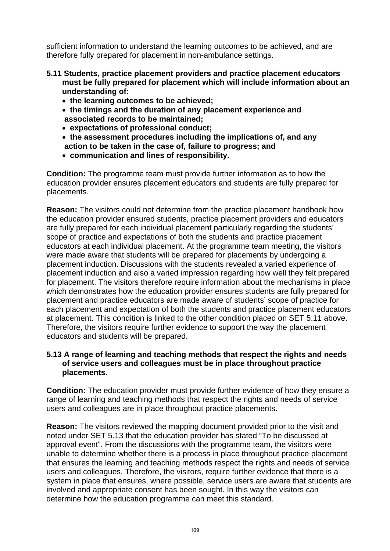sufficient information to understand the learning outcomes to be achieved, and are therefore fully prepared for placement in non-ambulance settings.

- **5.11 Students, practice placement providers and practice placement educators must be fully prepared for placement which will include information about an understanding of:** 
	- **the learning outcomes to be achieved;**
	- **the timings and the duration of any placement experience and associated records to be maintained;**
	- **expectations of professional conduct;**
	- **the assessment procedures including the implications of, and any action to be taken in the case of, failure to progress; and**
	- **communication and lines of responsibility.**

**Condition:** The programme team must provide further information as to how the education provider ensures placement educators and students are fully prepared for placements.

**Reason:** The visitors could not determine from the practice placement handbook how the education provider ensured students, practice placement providers and educators are fully prepared for each individual placement particularly regarding the students' scope of practice and expectations of both the students and practice placement educators at each individual placement. At the programme team meeting, the visitors were made aware that students will be prepared for placements by undergoing a placement induction. Discussions with the students revealed a varied experience of placement induction and also a varied impression regarding how well they felt prepared for placement. The visitors therefore require information about the mechanisms in place which demonstrates how the education provider ensures students are fully prepared for placement and practice educators are made aware of students' scope of practice for each placement and expectation of both the students and practice placement educators at placement. This condition is linked to the other condition placed on SET 5.11 above. Therefore, the visitors require further evidence to support the way the placement educators and students will be prepared.

## **5.13 A range of learning and teaching methods that respect the rights and needs of service users and colleagues must be in place throughout practice placements.**

**Condition:** The education provider must provide further evidence of how they ensure a range of learning and teaching methods that respect the rights and needs of service users and colleagues are in place throughout practice placements.

**Reason:** The visitors reviewed the mapping document provided prior to the visit and noted under SET 5.13 that the education provider has stated "To be discussed at approval event". From the discussions with the programme team, the visitors were unable to determine whether there is a process in place throughout practice placement that ensures the learning and teaching methods respect the rights and needs of service users and colleagues. Therefore, the visitors, require further evidence that there is a system in place that ensures, where possible, service users are aware that students are involved and appropriate consent has been sought. In this way the visitors can determine how the education programme can meet this standard.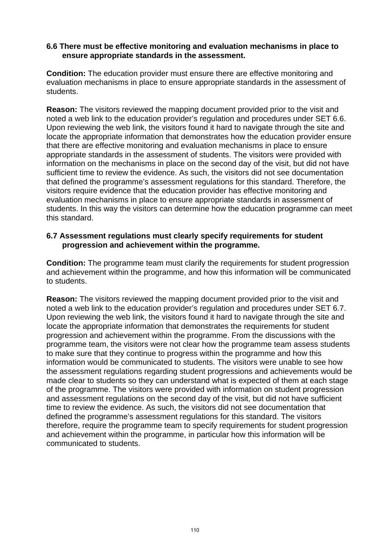#### **6.6 There must be effective monitoring and evaluation mechanisms in place to ensure appropriate standards in the assessment.**

**Condition:** The education provider must ensure there are effective monitoring and evaluation mechanisms in place to ensure appropriate standards in the assessment of students.

**Reason:** The visitors reviewed the mapping document provided prior to the visit and noted a web link to the education provider's regulation and procedures under SET 6.6. Upon reviewing the web link, the visitors found it hard to navigate through the site and locate the appropriate information that demonstrates how the education provider ensure that there are effective monitoring and evaluation mechanisms in place to ensure appropriate standards in the assessment of students. The visitors were provided with information on the mechanisms in place on the second day of the visit, but did not have sufficient time to review the evidence. As such, the visitors did not see documentation that defined the programme's assessment regulations for this standard. Therefore, the visitors require evidence that the education provider has effective monitoring and evaluation mechanisms in place to ensure appropriate standards in assessment of students. In this way the visitors can determine how the education programme can meet this standard.

## **6.7 Assessment regulations must clearly specify requirements for student progression and achievement within the programme.**

**Condition:** The programme team must clarify the requirements for student progression and achievement within the programme, and how this information will be communicated to students.

**Reason:** The visitors reviewed the mapping document provided prior to the visit and noted a web link to the education provider's regulation and procedures under SET 6.7. Upon reviewing the web link, the visitors found it hard to navigate through the site and locate the appropriate information that demonstrates the requirements for student progression and achievement within the programme. From the discussions with the programme team, the visitors were not clear how the programme team assess students to make sure that they continue to progress within the programme and how this information would be communicated to students. The visitors were unable to see how the assessment regulations regarding student progressions and achievements would be made clear to students so they can understand what is expected of them at each stage of the programme. The visitors were provided with information on student progression and assessment regulations on the second day of the visit, but did not have sufficient time to review the evidence. As such, the visitors did not see documentation that defined the programme's assessment regulations for this standard. The visitors therefore, require the programme team to specify requirements for student progression and achievement within the programme, in particular how this information will be communicated to students.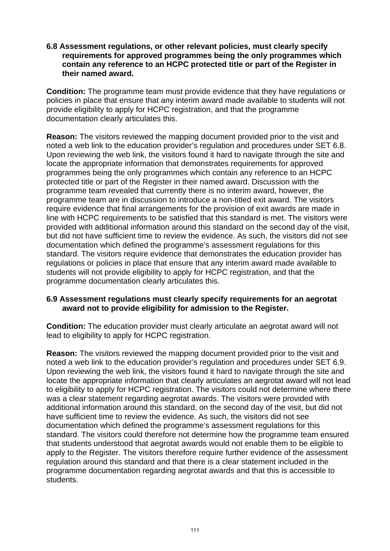**6.8 Assessment regulations, or other relevant policies, must clearly specify requirements for approved programmes being the only programmes which contain any reference to an HCPC protected title or part of the Register in their named award.** 

**Condition:** The programme team must provide evidence that they have regulations or policies in place that ensure that any interim award made available to students will not provide eligibility to apply for HCPC registration, and that the programme documentation clearly articulates this.

**Reason:** The visitors reviewed the mapping document provided prior to the visit and noted a web link to the education provider's regulation and procedures under SET 6.8. Upon reviewing the web link, the visitors found it hard to navigate through the site and locate the appropriate information that demonstrates requirements for approved programmes being the only programmes which contain any reference to an HCPC protected title or part of the Register in their named award. Discussion with the programme team revealed that currently there is no interim award, however, the programme team are in discussion to introduce a non-titled exit award. The visitors require evidence that final arrangements for the provision of exit awards are made in line with HCPC requirements to be satisfied that this standard is met. The visitors were provided with additional information around this standard on the second day of the visit, but did not have sufficient time to review the evidence. As such, the visitors did not see documentation which defined the programme's assessment regulations for this standard. The visitors require evidence that demonstrates the education provider has regulations or policies in place that ensure that any interim award made available to students will not provide eligibility to apply for HCPC registration, and that the programme documentation clearly articulates this.

## **6.9 Assessment regulations must clearly specify requirements for an aegrotat award not to provide eligibility for admission to the Register.**

**Condition:** The education provider must clearly articulate an aegrotat award will not lead to eligibility to apply for HCPC registration.

**Reason:** The visitors reviewed the mapping document provided prior to the visit and noted a web link to the education provider's regulation and procedures under SET 6.9. Upon reviewing the web link, the visitors found it hard to navigate through the site and locate the appropriate information that clearly articulates an aegrotat award will not lead to eligibility to apply for HCPC registration. The visitors could not determine where there was a clear statement regarding aegrotat awards. The visitors were provided with additional information around this standard, on the second day of the visit, but did not have sufficient time to review the evidence. As such, the visitors did not see documentation which defined the programme's assessment regulations for this standard. The visitors could therefore not determine how the programme team ensured that students understood that aegrotat awards would not enable them to be eligible to apply to the Register. The visitors therefore require further evidence of the assessment regulation around this standard and that there is a clear statement included in the programme documentation regarding aegrotat awards and that this is accessible to students.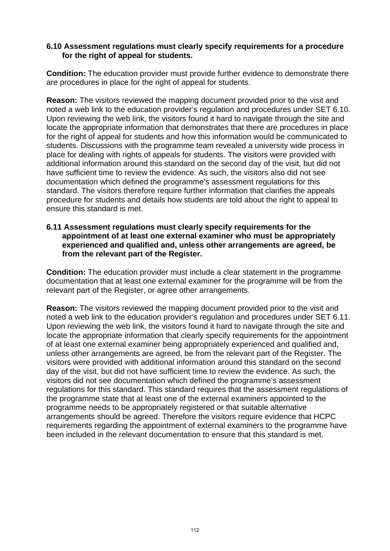#### **6.10 Assessment regulations must clearly specify requirements for a procedure for the right of appeal for students.**

**Condition:** The education provider must provide further evidence to demonstrate there are procedures in place for the right of appeal for students.

**Reason:** The visitors reviewed the mapping document provided prior to the visit and noted a web link to the education provider's regulation and procedures under SET 6.10. Upon reviewing the web link, the visitors found it hard to navigate through the site and locate the appropriate information that demonstrates that there are procedures in place for the right of appeal for students and how this information would be communicated to students. Discussions with the programme team revealed a university wide process in place for dealing with rights of appeals for students. The visitors were provided with additional information around this standard on the second day of the visit, but did not have sufficient time to review the evidence. As such, the visitors also did not see documentation which defined the programme's assessment regulations for this standard. The visitors therefore require further information that clarifies the appeals procedure for students and details how students are told about the right to appeal to ensure this standard is met.

#### **6.11 Assessment regulations must clearly specify requirements for the appointment of at least one external examiner who must be appropriately experienced and qualified and, unless other arrangements are agreed, be from the relevant part of the Register.**

**Condition:** The education provider must include a clear statement in the programme documentation that at least one external examiner for the programme will be from the relevant part of the Register, or agree other arrangements.

**Reason:** The visitors reviewed the mapping document provided prior to the visit and noted a web link to the education provider's regulation and procedures under SET 6.11. Upon reviewing the web link, the visitors found it hard to navigate through the site and locate the appropriate information that clearly specify requirements for the appointment of at least one external examiner being appropriately experienced and qualified and, unless other arrangements are agreed, be from the relevant part of the Register. The visitors were provided with additional information around this standard on the second day of the visit, but did not have sufficient time to review the evidence. As such, the visitors did not see documentation which defined the programme's assessment regulations for this standard. This standard requires that the assessment regulations of the programme state that at least one of the external examiners appointed to the programme needs to be appropriately registered or that suitable alternative arrangements should be agreed. Therefore the visitors require evidence that HCPC requirements regarding the appointment of external examiners to the programme have been included in the relevant documentation to ensure that this standard is met.